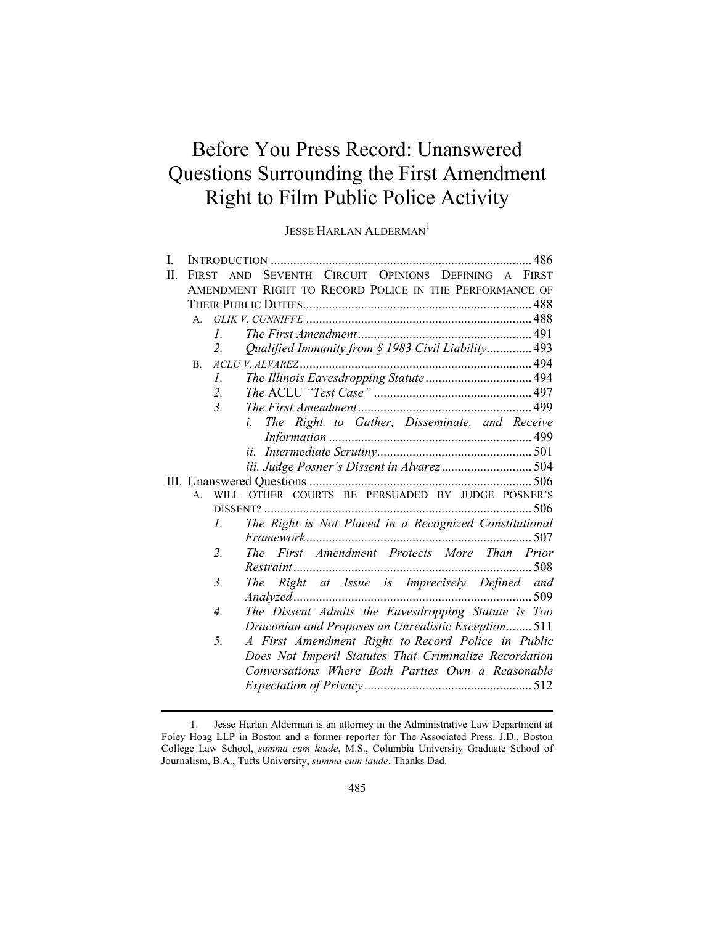# Before You Press Record: Unanswered Questions Surrounding the First Amendment Right to Film Public Police Activity

JESSE HARLAN ALDERMAN<sup>1</sup>

| T. |                                                                 |                  |                                                               |
|----|-----------------------------------------------------------------|------------------|---------------------------------------------------------------|
| Π. | <b>FIRST</b>                                                    |                  | SEVENTH CIRCUIT OPINIONS DEFINING A FIRST<br><b>AND</b>       |
|    | AMENDMENT RIGHT TO RECORD POLICE IN THE PERFORMANCE OF          |                  |                                                               |
|    |                                                                 |                  |                                                               |
|    | A.                                                              |                  |                                                               |
|    |                                                                 | $\mathcal{L}$    |                                                               |
|    |                                                                 | 2.               | Qualified Immunity from § 1983 Civil Liability 493            |
|    | <b>B.</b>                                                       |                  |                                                               |
|    |                                                                 | I.               |                                                               |
|    |                                                                 | 2.               |                                                               |
|    |                                                                 | 3 <sub>1</sub>   |                                                               |
|    |                                                                 |                  | The Right to Gather, Disseminate, and Receive<br>$l_{\rm{r}}$ |
|    |                                                                 |                  |                                                               |
|    |                                                                 |                  |                                                               |
|    |                                                                 |                  | iii. Judge Posner's Dissent in Alvarez 504                    |
|    |                                                                 |                  |                                                               |
|    | WILL OTHER COURTS BE PERSUADED BY JUDGE POSNER'S<br>$A_{\cdot}$ |                  |                                                               |
|    |                                                                 |                  |                                                               |
|    |                                                                 | $\mathcal{L}$    | The Right is Not Placed in a Recognized Constitutional        |
|    |                                                                 |                  |                                                               |
|    |                                                                 | 2.               | First Amendment Protects More Than Prior<br>The               |
|    |                                                                 |                  |                                                               |
|    |                                                                 | $\mathfrak{Z}$ . | The Right at Issue is Imprecisely Defined and                 |
|    |                                                                 |                  |                                                               |
|    |                                                                 | 4.               | The Dissent Admits the Eavesdropping Statute is Too           |
|    |                                                                 |                  | Draconian and Proposes an Unrealistic Exception 511           |
|    |                                                                 | 5 <sub>1</sub>   | A First Amendment Right to Record Police in Public            |
|    |                                                                 |                  | Does Not Imperil Statutes That Criminalize Recordation        |
|    |                                                                 |                  | Conversations Where Both Parties Own a Reasonable             |
|    |                                                                 |                  |                                                               |
|    |                                                                 |                  |                                                               |

<sup>1.</sup> Jesse Harlan Alderman is an attorney in the Administrative Law Department at Foley Hoag LLP in Boston and a former reporter for The Associated Press. J.D., Boston College Law School, *summa cum laude*, M.S., Columbia University Graduate School of Journalism, B.A., Tufts University, *summa cum laude*. Thanks Dad.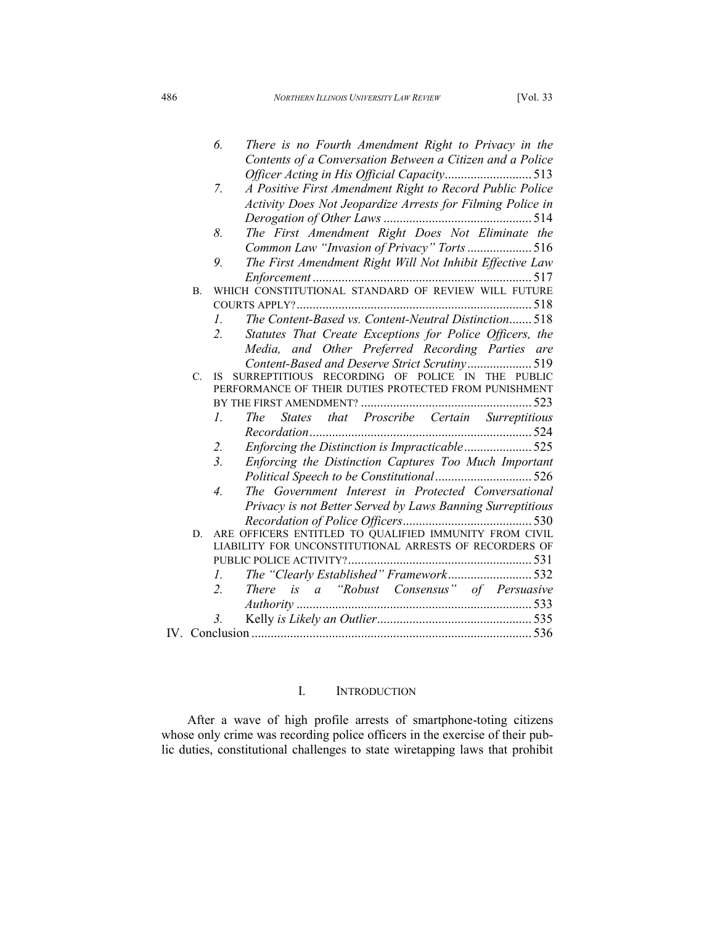*6. There is no Fourth Amendment Right to Privacy in the Contents of a Conversation Between a Citizen and a Police Officer Acting in His Official Capacity* ........................... 513 *7. A Positive First Amendment Right to Record Public Police Activity Does Not Jeopardize Arrests for Filming Police in Derogation of Other Laws* .............................................. 514 *8. The First Amendment Right Does Not Eliminate the Common Law "Invasion of Privacy" Torts* .................... 516 *9. The First Amendment Right Will Not Inhibit Effective Law Enforcement* .................................................................... 517 B. WHICH CONSTITUTIONAL STANDARD OF REVIEW WILL FUTURE COURTS APPLY? ......................................................................... 518 *1. The Content-Based vs. Content-Neutral Distinction* ....... 518 *2. Statutes That Create Exceptions for Police Officers, the Media, and Other Preferred Recording Parties are Content-Based and Deserve Strict Scrutiny* .................... 519 C. IS SURREPTITIOUS RECORDING OF POLICE IN THE PUBLIC PERFORMANCE OF THEIR DUTIES PROTECTED FROM PUNISHMENT BY THE FIRST AMENDMENT? ..................................................... 523 *1. The States that Proscribe Certain Surreptitious Recordation* ..................................................................... 524 *2. Enforcing the Distinction is Impracticable* ..................... 525 *3. Enforcing the Distinction Captures Too Much Important Political Speech to be Constitutional* .............................. 526 *4. The Government Interest in Protected Conversational Privacy is not Better Served by Laws Banning Surreptitious Recordation of Police Officers* ........................................ 530 D. ARE OFFICERS ENTITLED TO QUALIFIED IMMUNITY FROM CIVIL LIABILITY FOR UNCONSTITUTIONAL ARRESTS OF RECORDERS OF PUBLIC POLICE ACTIVITY? ......................................................... 531 *1. The "Clearly Established" Framework* .......................... 532 *2. There is a "Robust Consensus" of Persuasive Authority* ......................................................................... 533 *3.* Kelly *is Likely an Outlier*................................................ 535 IV. Conclusion ....................................................................................... 536

### I. INTRODUCTION

After a wave of high profile arrests of smartphone-toting citizens whose only crime was recording police officers in the exercise of their public duties, constitutional challenges to state wiretapping laws that prohibit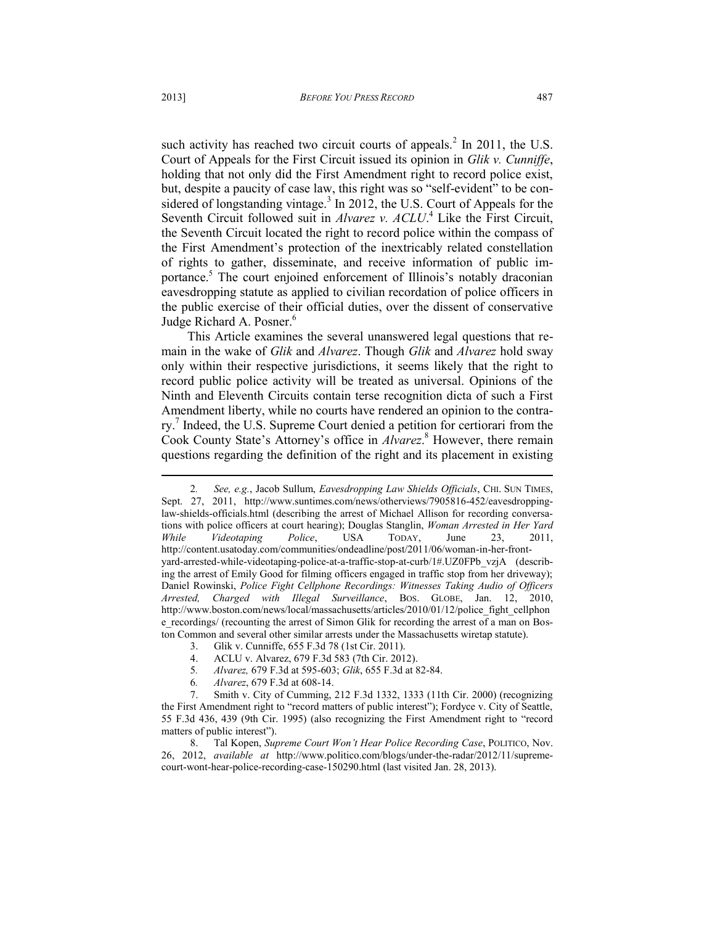such activity has reached two circuit courts of appeals.<sup>2</sup> In 2011, the U.S. Court of Appeals for the First Circuit issued its opinion in *Glik v. Cunniffe*, holding that not only did the First Amendment right to record police exist, but, despite a paucity of case law, this right was so "self-evident" to be considered of longstanding vintage.<sup>3</sup> In 2012, the U.S. Court of Appeals for the Seventh Circuit followed suit in *Alvarez v. ACLU*.<sup>4</sup> Like the First Circuit, the Seventh Circuit located the right to record police within the compass of the First Amendment's protection of the inextricably related constellation of rights to gather, disseminate, and receive information of public importance.<sup>5</sup> The court enjoined enforcement of Illinois's notably draconian eavesdropping statute as applied to civilian recordation of police officers in the public exercise of their official duties, over the dissent of conservative Judge Richard A. Posner.<sup>6</sup>

This Article examines the several unanswered legal questions that remain in the wake of *Glik* and *Alvarez*. Though *Glik* and *Alvarez* hold sway only within their respective jurisdictions, it seems likely that the right to record public police activity will be treated as universal. Opinions of the Ninth and Eleventh Circuits contain terse recognition dicta of such a First Amendment liberty, while no courts have rendered an opinion to the contrary.<sup>7</sup> Indeed, the U.S. Supreme Court denied a petition for certiorari from the Cook County State's Attorney's office in *Alvarez*.<sup>8</sup> However, there remain questions regarding the definition of the right and its placement in existing

 $\overline{a}$ 

<sup>2</sup>*. See, e.g.*, Jacob Sullum, *Eavesdropping Law Shields Officials*, CHI. SUN TIMES, Sept. 27, 2011, http://www.suntimes.com/news/otherviews/7905816-452/eavesdroppinglaw-shields-officials.html (describing the arrest of Michael Allison for recording conversations with police officers at court hearing); Douglas Stanglin, *Woman Arrested in Her Yard While Videotaping Police*, USA TODAY, June 23, 2011, http://content.usatoday.com/communities/ondeadline/post/2011/06/woman-in-her-frontyard-arrested-while-videotaping-police-at-a-traffic-stop-at-curb/1#.UZ0FPb\_vzjA (describing the arrest of Emily Good for filming officers engaged in traffic stop from her driveway); Daniel Rowinski, *Police Fight Cellphone Recordings: Witnesses Taking Audio of Officers Arrested, Charged with Illegal Surveillance*, BOS. GLOBE, Jan. 12, 2010, http://www.boston.com/news/local/massachusetts/articles/2010/01/12/police\_fight\_cellphon e\_recordings/ (recounting the arrest of Simon Glik for recording the arrest of a man on Boston Common and several other similar arrests under the Massachusetts wiretap statute).

<sup>3.</sup> Glik v. Cunniffe, 655 F.3d 78 (1st Cir. 2011).

<sup>4.</sup> ACLU v. Alvarez, 679 F.3d 583 (7th Cir. 2012).<br>5 *Alvarez*. 679 F.3d at 595-603; *Glik*, 655 F.3d at 8

<sup>5</sup>*. Alvarez,* 679 F.3d at 595-603; *Glik*, 655 F.3d at 82-84.

<sup>6</sup>*. Alvarez*, 679 F.3d at 608-14.

<sup>7.</sup> Smith v. City of Cumming, 212 F.3d 1332, 1333 (11th Cir. 2000) (recognizing the First Amendment right to "record matters of public interest"); Fordyce v. City of Seattle, 55 F.3d 436, 439 (9th Cir. 1995) (also recognizing the First Amendment right to "record matters of public interest").

<sup>8.</sup> Tal Kopen, *Supreme Court Won't Hear Police Recording Case*, POLITICO, Nov. 26, 2012, *available at* http://www.politico.com/blogs/under-the-radar/2012/11/supremecourt-wont-hear-police-recording-case-150290.html (last visited Jan. 28, 2013).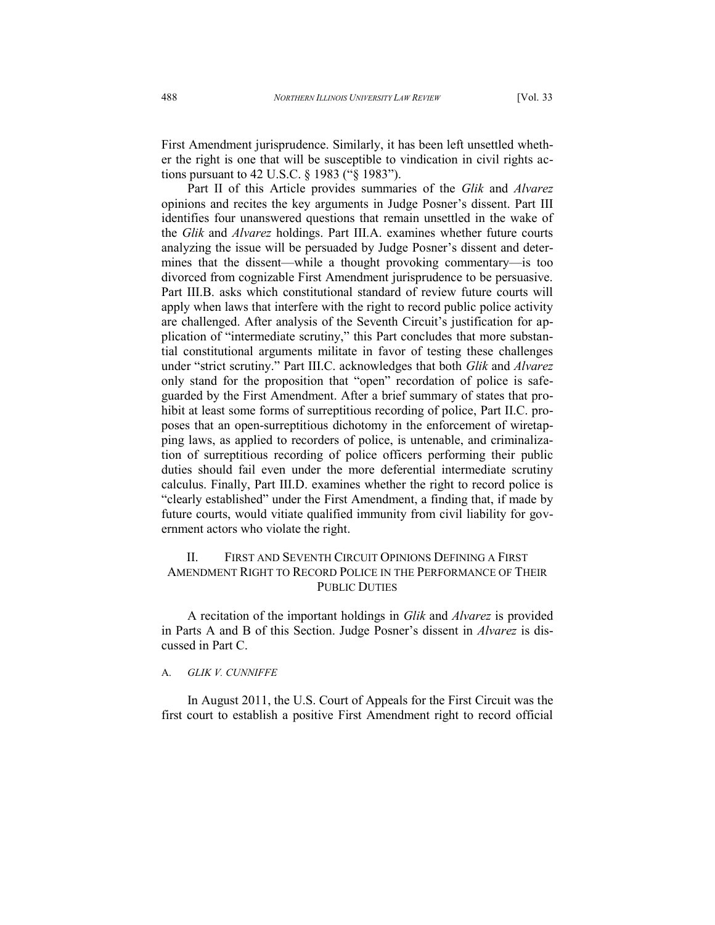First Amendment jurisprudence. Similarly, it has been left unsettled whether the right is one that will be susceptible to vindication in civil rights actions pursuant to 42 U.S.C. § 1983 ("§ 1983").

Part II of this Article provides summaries of the *Glik* and *Alvarez* opinions and recites the key arguments in Judge Posner's dissent. Part III identifies four unanswered questions that remain unsettled in the wake of the *Glik* and *Alvarez* holdings. Part III.A. examines whether future courts analyzing the issue will be persuaded by Judge Posner's dissent and determines that the dissent—while a thought provoking commentary—is too divorced from cognizable First Amendment jurisprudence to be persuasive. Part III.B. asks which constitutional standard of review future courts will apply when laws that interfere with the right to record public police activity are challenged. After analysis of the Seventh Circuit's justification for application of "intermediate scrutiny," this Part concludes that more substantial constitutional arguments militate in favor of testing these challenges under "strict scrutiny." Part III.C. acknowledges that both *Glik* and *Alvarez* only stand for the proposition that "open" recordation of police is safeguarded by the First Amendment. After a brief summary of states that prohibit at least some forms of surreptitious recording of police, Part II.C. proposes that an open-surreptitious dichotomy in the enforcement of wiretapping laws, as applied to recorders of police, is untenable, and criminalization of surreptitious recording of police officers performing their public duties should fail even under the more deferential intermediate scrutiny calculus. Finally, Part III.D. examines whether the right to record police is "clearly established" under the First Amendment, a finding that, if made by future courts, would vitiate qualified immunity from civil liability for government actors who violate the right.

### II. FIRST AND SEVENTH CIRCUIT OPINIONS DEFINING A FIRST AMENDMENT RIGHT TO RECORD POLICE IN THE PERFORMANCE OF THEIR PUBLIC DUTIES

A recitation of the important holdings in *Glik* and *Alvarez* is provided in Parts A and B of this Section. Judge Posner's dissent in *Alvarez* is discussed in Part C.

#### A. *GLIK V. CUNNIFFE*

In August 2011, the U.S. Court of Appeals for the First Circuit was the first court to establish a positive First Amendment right to record official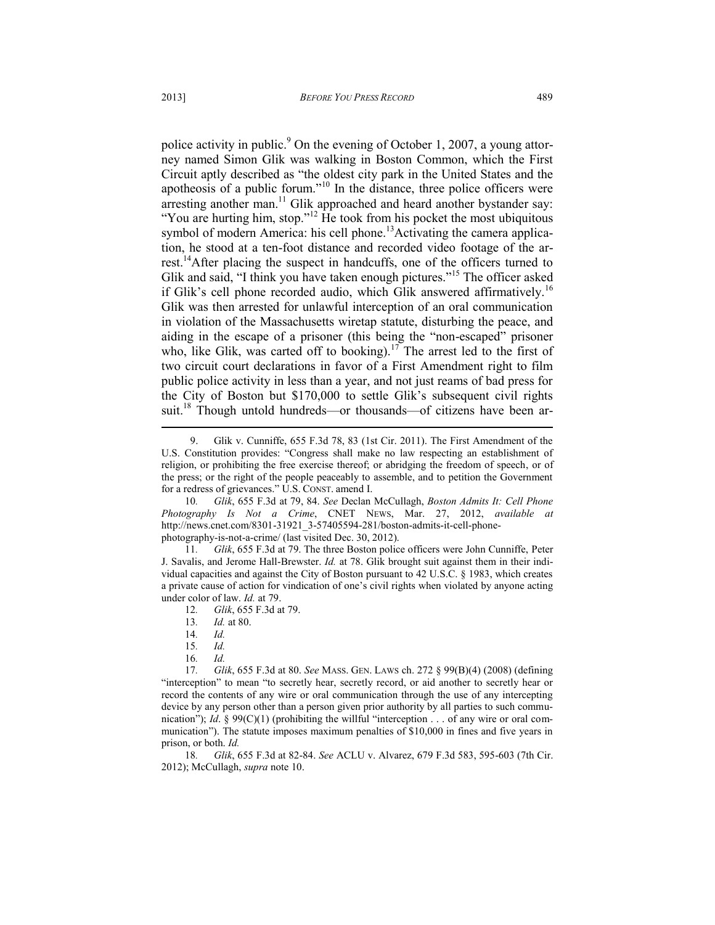police activity in public.<sup>9</sup> On the evening of October 1, 2007, a young attorney named Simon Glik was walking in Boston Common, which the First Circuit aptly described as "the oldest city park in the United States and the apotheosis of a public forum."<sup>10</sup> In the distance, three police officers were arresting another man.<sup>11</sup> Glik approached and heard another bystander say: "You are hurting him, stop."<sup>12</sup> He took from his pocket the most ubiquitous symbol of modern America: his cell phone.<sup>13</sup>Activating the camera application, he stood at a ten-foot distance and recorded video footage of the arrest.<sup>14</sup>After placing the suspect in handcuffs, one of the officers turned to Glik and said, "I think you have taken enough pictures."<sup>15</sup> The officer asked if Glik's cell phone recorded audio, which Glik answered affirmatively.<sup>16</sup> Glik was then arrested for unlawful interception of an oral communication in violation of the Massachusetts wiretap statute, disturbing the peace, and aiding in the escape of a prisoner (this being the "non-escaped" prisoner who, like Glik, was carted off to booking).<sup>17</sup> The arrest led to the first of two circuit court declarations in favor of a First Amendment right to film public police activity in less than a year, and not just reams of bad press for the City of Boston but \$170,000 to settle Glik's subsequent civil rights suit.<sup>18</sup> Though untold hundreds—or thousands—of citizens have been ar-

11*. Glik*, 655 F.3d at 79. The three Boston police officers were John Cunniffe, Peter J. Savalis, and Jerome Hall-Brewster. *Id.* at 78. Glik brought suit against them in their individual capacities and against the City of Boston pursuant to 42 U.S.C. § 1983, which creates a private cause of action for vindication of one's civil rights when violated by anyone acting under color of law. *Id.* at 79.

13*. Id.* at 80.

- 15*. Id.*
- 16*. Id.*
- 17*. Glik*, 655 F.3d at 80. *See* MASS. GEN. LAWS ch. 272 § 99(B)(4) (2008) (defining "interception" to mean "to secretly hear, secretly record, or aid another to secretly hear or record the contents of any wire or oral communication through the use of any intercepting device by any person other than a person given prior authority by all parties to such communication"); *Id.* § 99(C)(1) (prohibiting the willful "interception . . . of any wire or oral communication"). The statute imposes maximum penalties of \$10,000 in fines and five years in prison, or both. *Id.*

18*. Glik*, 655 F.3d at 82-84. *See* ACLU v. Alvarez, 679 F.3d 583, 595-603 (7th Cir. 2012); McCullagh, *supra* note 10.

<sup>9.</sup> Glik v. Cunniffe, 655 F.3d 78, 83 (1st Cir. 2011). The First Amendment of the U.S. Constitution provides: "Congress shall make no law respecting an establishment of religion, or prohibiting the free exercise thereof; or abridging the freedom of speech, or of the press; or the right of the people peaceably to assemble, and to petition the Government for a redress of grievances." U.S. CONST. amend I.

<sup>10</sup>*. Glik*, 655 F.3d at 79, 84. *See* Declan McCullagh, *Boston Admits It: Cell Phone Photography Is Not a Crime*, CNET NEWS, Mar. 27, 2012, *available at*  http://news.cnet.com/8301-31921\_3-57405594-281/boston-admits-it-cell-phonephotography-is-not-a-crime/ (last visited Dec. 30, 2012).

<sup>12</sup>*. Glik*, 655 F.3d at 79.

<sup>14</sup>*. Id.*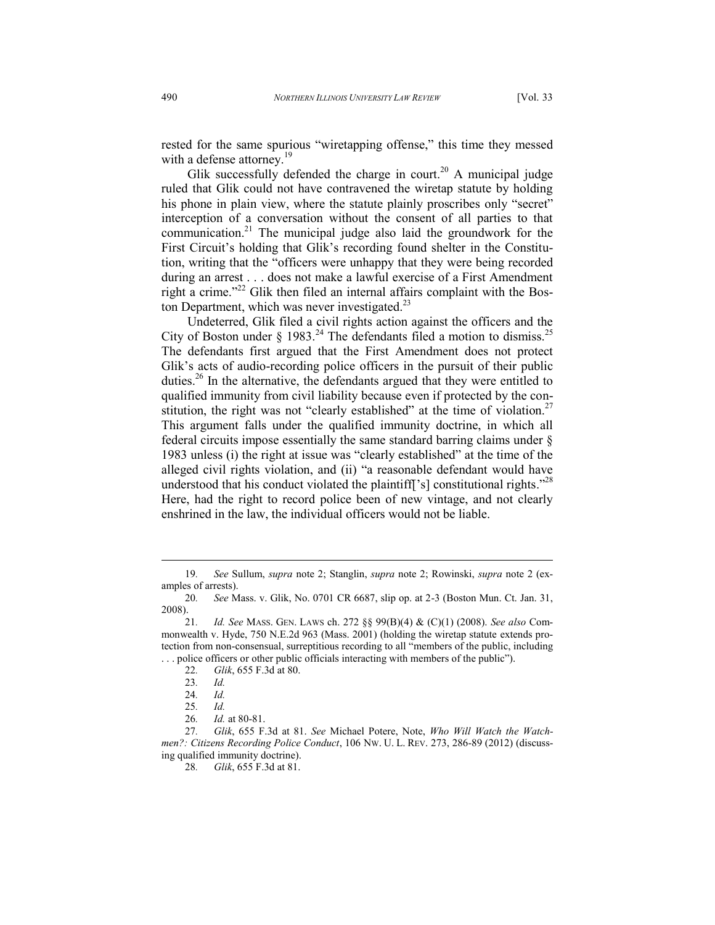rested for the same spurious "wiretapping offense," this time they messed with a defense attorney.<sup>19</sup>

Glik successfully defended the charge in court.<sup>20</sup> A municipal judge ruled that Glik could not have contravened the wiretap statute by holding his phone in plain view, where the statute plainly proscribes only "secret" interception of a conversation without the consent of all parties to that communication.<sup>21</sup> The municipal judge also laid the groundwork for the First Circuit's holding that Glik's recording found shelter in the Constitution, writing that the "officers were unhappy that they were being recorded during an arrest . . . does not make a lawful exercise of a First Amendment right a crime."<sup>22</sup> Glik then filed an internal affairs complaint with the Boston Department, which was never investigated.<sup>23</sup>

Undeterred, Glik filed a civil rights action against the officers and the City of Boston under  $\S$  1983.<sup>24</sup> The defendants filed a motion to dismiss.<sup>25</sup> The defendants first argued that the First Amendment does not protect Glik's acts of audio-recording police officers in the pursuit of their public duties.<sup>26</sup> In the alternative, the defendants argued that they were entitled to qualified immunity from civil liability because even if protected by the constitution, the right was not "clearly established" at the time of violation.<sup>27</sup> This argument falls under the qualified immunity doctrine, in which all federal circuits impose essentially the same standard barring claims under § 1983 unless (i) the right at issue was "clearly established" at the time of the alleged civil rights violation, and (ii) "a reasonable defendant would have understood that his conduct violated the plaintiff  $s$  constitutional rights.<sup>"28</sup> Here, had the right to record police been of new vintage, and not clearly enshrined in the law, the individual officers would not be liable.

<sup>19</sup>*. See* Sullum, *supra* note 2; Stanglin, *supra* note 2; Rowinski, *supra* note 2 (examples of arrests).

<sup>20</sup>*. See* Mass. v. Glik, No. 0701 CR 6687, slip op. at 2-3 (Boston Mun. Ct. Jan. 31, 2008).

<sup>21</sup>*. Id. See* MASS. GEN. LAWS ch. 272 §§ 99(B)(4) & (C)(1) (2008). *See also* Commonwealth v. Hyde, 750 N.E.2d 963 (Mass. 2001) (holding the wiretap statute extends protection from non-consensual, surreptitious recording to all "members of the public, including . . . police officers or other public officials interacting with members of the public").

<sup>22</sup>*. Glik*, 655 F.3d at 80.

<sup>23</sup>*. Id.*

<sup>24</sup>*. Id.*

<sup>25</sup>*. Id.*

<sup>26</sup>*. Id.* at 80-81.

<sup>27</sup>*. Glik*, 655 F.3d at 81. *See* Michael Potere, Note, *Who Will Watch the Watchmen?: Citizens Recording Police Conduct*, 106 NW. U. L. REV. 273, 286-89 (2012) (discussing qualified immunity doctrine).

<sup>28</sup>*. Glik*, 655 F.3d at 81.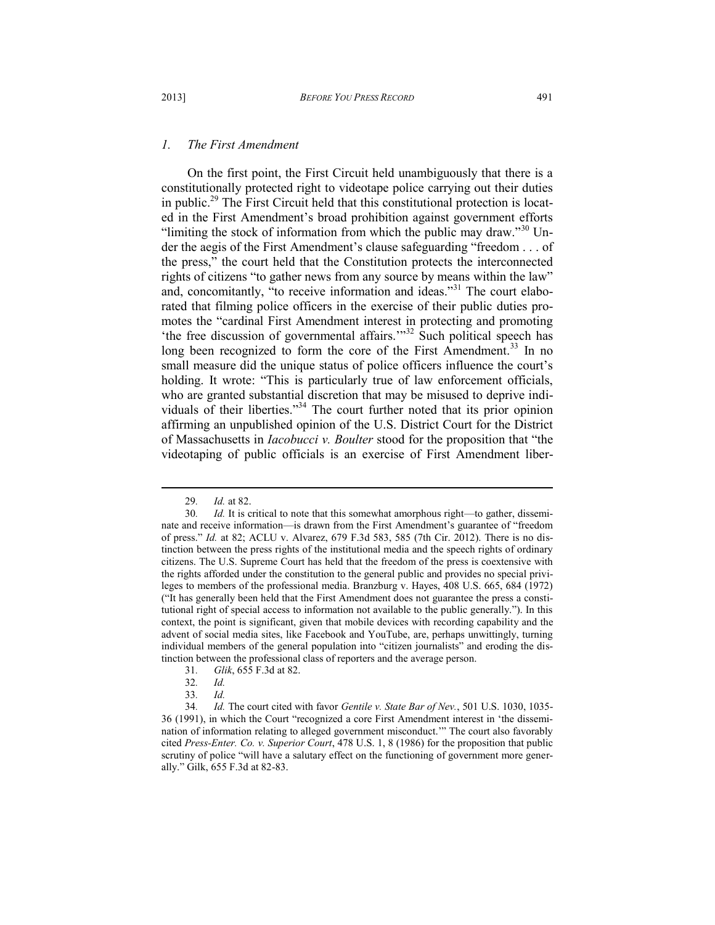#### *1. The First Amendment*

On the first point, the First Circuit held unambiguously that there is a constitutionally protected right to videotape police carrying out their duties in public.<sup>29</sup> The First Circuit held that this constitutional protection is located in the First Amendment's broad prohibition against government efforts "limiting the stock of information from which the public may draw."<sup>30</sup> Under the aegis of the First Amendment's clause safeguarding "freedom . . . of the press," the court held that the Constitution protects the interconnected rights of citizens "to gather news from any source by means within the law" and, concomitantly, "to receive information and ideas."<sup>31</sup> The court elaborated that filming police officers in the exercise of their public duties promotes the "cardinal First Amendment interest in protecting and promoting 'the free discussion of governmental affairs.'"<sup>32</sup> Such political speech has long been recognized to form the core of the First Amendment.<sup>33</sup> In no small measure did the unique status of police officers influence the court's holding. It wrote: "This is particularly true of law enforcement officials, who are granted substantial discretion that may be misused to deprive individuals of their liberties."<sup>34</sup> The court further noted that its prior opinion affirming an unpublished opinion of the U.S. District Court for the District of Massachusetts in *Iacobucci v. Boulter* stood for the proposition that "the videotaping of public officials is an exercise of First Amendment liber-

- 31*. Glik*, 655 F.3d at 82.
- 32*. Id.*
- 33*. Id.*

<sup>29</sup>*. Id.* at 82.

<sup>30.</sup> Id. It is critical to note that this somewhat amorphous right—to gather, disseminate and receive information—is drawn from the First Amendment's guarantee of "freedom of press." *Id.* at 82; ACLU v. Alvarez, 679 F.3d 583, 585 (7th Cir. 2012). There is no distinction between the press rights of the institutional media and the speech rights of ordinary citizens. The U.S. Supreme Court has held that the freedom of the press is coextensive with the rights afforded under the constitution to the general public and provides no special privileges to members of the professional media. Branzburg v. Hayes, 408 U.S. 665, 684 (1972) ("It has generally been held that the First Amendment does not guarantee the press a constitutional right of special access to information not available to the public generally."). In this context, the point is significant, given that mobile devices with recording capability and the advent of social media sites, like Facebook and YouTube, are, perhaps unwittingly, turning individual members of the general population into "citizen journalists" and eroding the distinction between the professional class of reporters and the average person.

<sup>34</sup>*. Id.* The court cited with favor *Gentile v. State Bar of Nev.*, 501 U.S. 1030, 1035- 36 (1991), in which the Court "recognized a core First Amendment interest in 'the dissemination of information relating to alleged government misconduct.'" The court also favorably cited *Press-Enter. Co. v. Superior Court*, 478 U.S. 1, 8 (1986) for the proposition that public scrutiny of police "will have a salutary effect on the functioning of government more generally." Gilk, 655 F.3d at 82-83.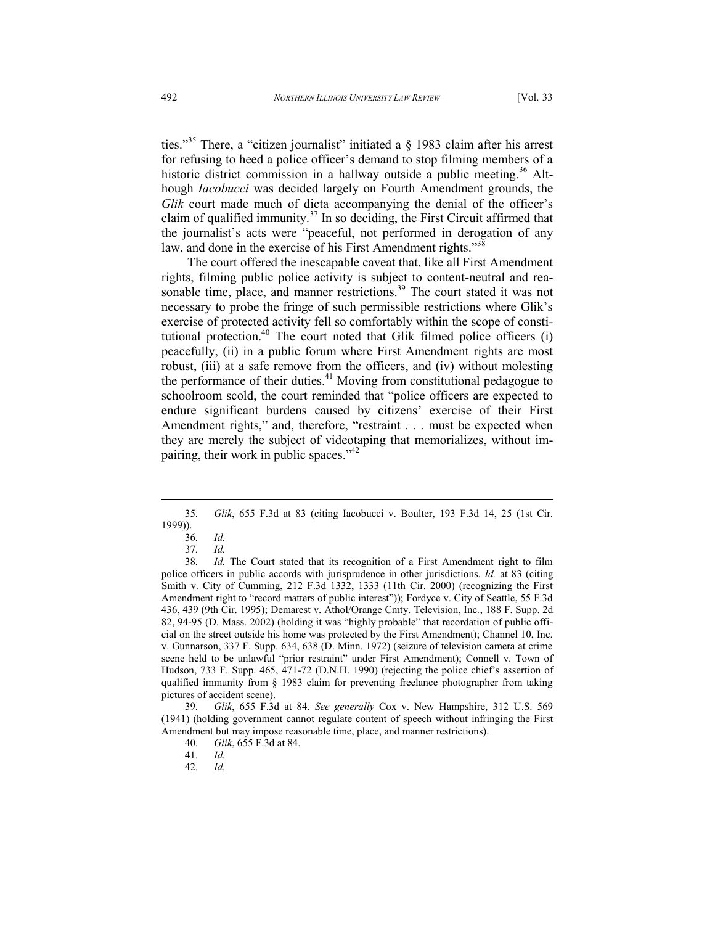ties."<sup>35</sup> There, a "citizen journalist" initiated a  $\S$  1983 claim after his arrest for refusing to heed a police officer's demand to stop filming members of a historic district commission in a hallway outside a public meeting.<sup>36</sup> Although *Iacobucci* was decided largely on Fourth Amendment grounds, the *Glik* court made much of dicta accompanying the denial of the officer's claim of qualified immunity.<sup>37</sup> In so deciding, the First Circuit affirmed that the journalist's acts were "peaceful, not performed in derogation of any law, and done in the exercise of his First Amendment rights."<sup>38</sup>

The court offered the inescapable caveat that, like all First Amendment rights, filming public police activity is subject to content-neutral and reasonable time, place, and manner restrictions.<sup>39</sup> The court stated it was not necessary to probe the fringe of such permissible restrictions where Glik's exercise of protected activity fell so comfortably within the scope of constitutional protection. $40$  The court noted that Glik filmed police officers (i) peacefully, (ii) in a public forum where First Amendment rights are most robust, (iii) at a safe remove from the officers, and (iv) without molesting the performance of their duties. $41$  Moving from constitutional pedagogue to schoolroom scold, the court reminded that "police officers are expected to endure significant burdens caused by citizens' exercise of their First Amendment rights," and, therefore, "restraint . . . must be expected when they are merely the subject of videotaping that memorializes, without impairing, their work in public spaces."<sup>42</sup>

 $\overline{a}$ 

<sup>35</sup>*. Glik*, 655 F.3d at 83 (citing Iacobucci v. Boulter, 193 F.3d 14, 25 (1st Cir. 1999)).

<sup>36</sup>*. Id.*

<sup>37</sup>*. Id.*

<sup>38</sup>*. Id.* The Court stated that its recognition of a First Amendment right to film police officers in public accords with jurisprudence in other jurisdictions. *Id.* at 83 (citing Smith v. City of Cumming, 212 F.3d 1332, 1333 (11th Cir. 2000) (recognizing the First Amendment right to "record matters of public interest")); Fordyce v. City of Seattle, 55 F.3d 436, 439 (9th Cir. 1995); Demarest v. Athol/Orange Cmty. Television, Inc*.*, 188 F. Supp. 2d 82, 94-95 (D. Mass. 2002) (holding it was "highly probable" that recordation of public official on the street outside his home was protected by the First Amendment); Channel 10, Inc. v. Gunnarson, 337 F. Supp. 634, 638 (D. Minn. 1972) (seizure of television camera at crime scene held to be unlawful "prior restraint" under First Amendment); Connell v. Town of Hudson, 733 F. Supp. 465, 471-72 (D.N.H. 1990) (rejecting the police chief's assertion of qualified immunity from § 1983 claim for preventing freelance photographer from taking pictures of accident scene).

<sup>39</sup>*. Glik*, 655 F.3d at 84. *See generally* Cox v. New Hampshire, 312 U.S. 569 (1941) (holding government cannot regulate content of speech without infringing the First Amendment but may impose reasonable time, place, and manner restrictions).

<sup>40</sup>*. Glik*, 655 F.3d at 84.

<sup>41</sup>*. Id.*

<sup>42</sup>*. Id.*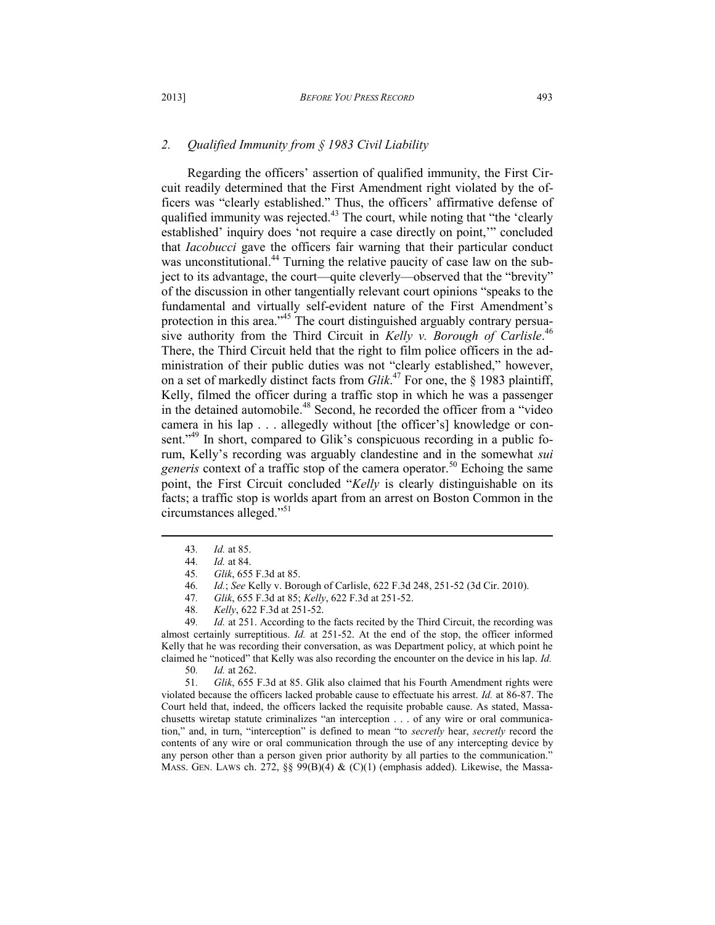### *2. Qualified Immunity from § 1983 Civil Liability*

Regarding the officers' assertion of qualified immunity, the First Circuit readily determined that the First Amendment right violated by the officers was "clearly established." Thus, the officers' affirmative defense of qualified immunity was rejected.<sup>43</sup> The court, while noting that "the 'clearly established' inquiry does 'not require a case directly on point,'" concluded that *Iacobucci* gave the officers fair warning that their particular conduct was unconstitutional.<sup>44</sup> Turning the relative paucity of case law on the subject to its advantage, the court—quite cleverly—observed that the "brevity" of the discussion in other tangentially relevant court opinions "speaks to the fundamental and virtually self-evident nature of the First Amendment's protection in this area."<sup>45</sup> The court distinguished arguably contrary persuasive authority from the Third Circuit in *Kelly v. Borough of Carlisle*. 46 There, the Third Circuit held that the right to film police officers in the administration of their public duties was not "clearly established," however, on a set of markedly distinct facts from *Glik*. <sup>47</sup> For one, the § 1983 plaintiff, Kelly, filmed the officer during a traffic stop in which he was a passenger in the detained automobile.<sup>48</sup> Second, he recorded the officer from a "video" camera in his lap . . . allegedly without [the officer's] knowledge or consent."<sup>49</sup> In short, compared to Glik's conspicuous recording in a public forum, Kelly's recording was arguably clandestine and in the somewhat *sui generis* context of a traffic stop of the camera operator.<sup>50</sup> Echoing the same point, the First Circuit concluded "*Kelly* is clearly distinguishable on its facts; a traffic stop is worlds apart from an arrest on Boston Common in the circumstances alleged."<sup>51</sup>

 $\overline{a}$ 

49*. Id.* at 251. According to the facts recited by the Third Circuit, the recording was almost certainly surreptitious. *Id.* at 251-52. At the end of the stop, the officer informed Kelly that he was recording their conversation, as was Department policy, at which point he claimed he "noticed" that Kelly was also recording the encounter on the device in his lap. *Id.*

50*. Id.* at 262.

51*. Glik*, 655 F.3d at 85. Glik also claimed that his Fourth Amendment rights were violated because the officers lacked probable cause to effectuate his arrest. *Id.* at 86-87. The Court held that, indeed, the officers lacked the requisite probable cause. As stated, Massachusetts wiretap statute criminalizes "an interception . . . of any wire or oral communication," and, in turn, "interception" is defined to mean "to *secretly* hear, *secretly* record the contents of any wire or oral communication through the use of any intercepting device by any person other than a person given prior authority by all parties to the communication." MASS. GEN. LAWS ch. 272, §§ 99(B)(4) &  $(C)(1)$  (emphasis added). Likewise, the Massa-

<sup>43</sup>*. Id.* at 85.

<sup>44</sup>*. Id.* at 84.

<sup>45</sup>*. Glik*, 655 F.3d at 85.

<sup>46</sup>*. Id.*; *See* Kelly v. Borough of Carlisle, 622 F.3d 248, 251-52 (3d Cir. 2010).

<sup>47</sup>*. Glik*, 655 F.3d at 85; *Kelly*, 622 F.3d at 251-52.

<sup>48</sup>*. Kelly*, 622 F.3d at 251-52.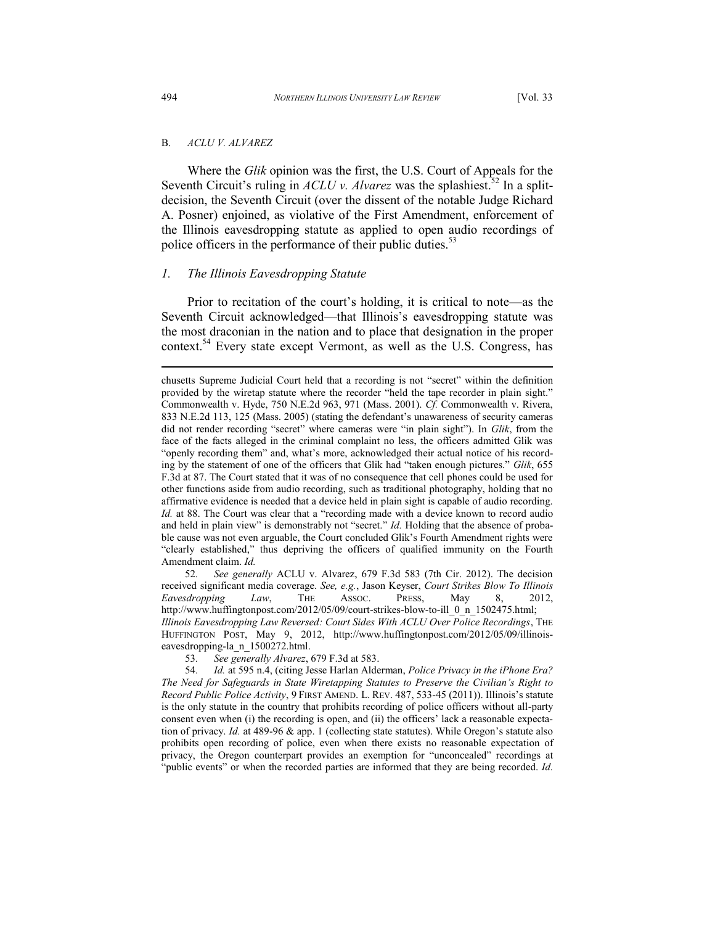### B. *ACLU V. ALVAREZ*

Where the *Glik* opinion was the first, the U.S. Court of Appeals for the Seventh Circuit's ruling in  $ACLU$  v. Alvarez was the splashiest.<sup>52</sup> In a splitdecision, the Seventh Circuit (over the dissent of the notable Judge Richard A. Posner) enjoined, as violative of the First Amendment, enforcement of the Illinois eavesdropping statute as applied to open audio recordings of police officers in the performance of their public duties.<sup>53</sup>

### *1. The Illinois Eavesdropping Statute*

Prior to recitation of the court's holding, it is critical to note—as the Seventh Circuit acknowledged—that Illinois's eavesdropping statute was the most draconian in the nation and to place that designation in the proper context.<sup>54</sup> Every state except Vermont, as well as the U.S. Congress, has

52*. See generally* ACLU v. Alvarez, 679 F.3d 583 (7th Cir. 2012). The decision received significant media coverage. *See, e.g.*, Jason Keyser, *Court Strikes Blow To Illinois Eavesdropping Law*, THE ASSOC. PRESS, May 8, 2012, http://www.huffingtonpost.com/2012/05/09/court-strikes-blow-to-ill\_0\_n\_1502475.html; *Illinois Eavesdropping Law Reversed: Court Sides With ACLU Over Police Recordings*, THE HUFFINGTON POST, May 9, 2012, http://www.huffingtonpost.com/2012/05/09/illinoiseavesdropping-la\_n\_1500272.html.

chusetts Supreme Judicial Court held that a recording is not "secret" within the definition provided by the wiretap statute where the recorder "held the tape recorder in plain sight." Commonwealth v. Hyde, 750 N.E.2d 963, 971 (Mass. 2001). *Cf.* Commonwealth v. Rivera, 833 N.E.2d 113, 125 (Mass. 2005) (stating the defendant's unawareness of security cameras did not render recording "secret" where cameras were "in plain sight"). In *Glik*, from the face of the facts alleged in the criminal complaint no less, the officers admitted Glik was "openly recording them" and, what's more, acknowledged their actual notice of his recording by the statement of one of the officers that Glik had "taken enough pictures." *Glik*, 655 F.3d at 87. The Court stated that it was of no consequence that cell phones could be used for other functions aside from audio recording, such as traditional photography, holding that no affirmative evidence is needed that a device held in plain sight is capable of audio recording. *Id.* at 88. The Court was clear that a "recording made with a device known to record audio and held in plain view" is demonstrably not "secret." *Id.* Holding that the absence of probable cause was not even arguable, the Court concluded Glik's Fourth Amendment rights were "clearly established," thus depriving the officers of qualified immunity on the Fourth Amendment claim. *Id.*

<sup>53</sup>*. See generally Alvarez*, 679 F.3d at 583.

<sup>54</sup>*. Id.* at 595 n.4, (citing Jesse Harlan Alderman, *Police Privacy in the iPhone Era? The Need for Safeguards in State Wiretapping Statutes to Preserve the Civilian's Right to Record Public Police Activity*, 9 FIRST AMEND. L. REV. 487, 533-45 (2011)). Illinois's statute is the only statute in the country that prohibits recording of police officers without all-party consent even when (i) the recording is open, and (ii) the officers' lack a reasonable expectation of privacy. *Id.* at 489-96 & app. 1 (collecting state statutes). While Oregon's statute also prohibits open recording of police, even when there exists no reasonable expectation of privacy, the Oregon counterpart provides an exemption for "unconcealed" recordings at "public events" or when the recorded parties are informed that they are being recorded. *Id.*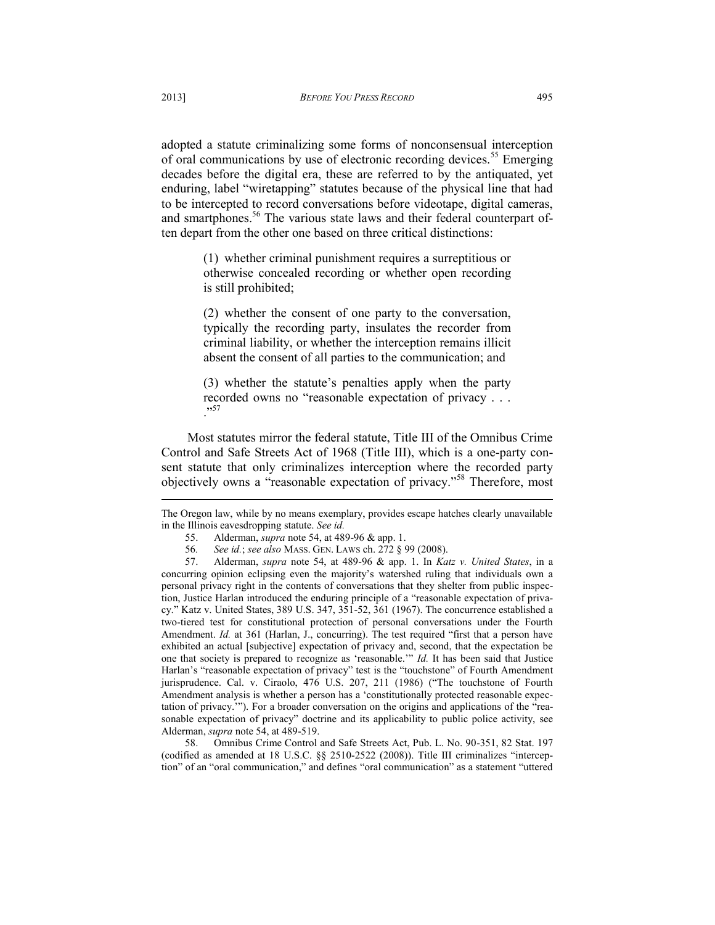adopted a statute criminalizing some forms of nonconsensual interception of oral communications by use of electronic recording devices.<sup>55</sup> Emerging decades before the digital era, these are referred to by the antiquated, yet enduring, label "wiretapping" statutes because of the physical line that had to be intercepted to record conversations before videotape, digital cameras, and smartphones.<sup>56</sup> The various state laws and their federal counterpart often depart from the other one based on three critical distinctions:

> (1) whether criminal punishment requires a surreptitious or otherwise concealed recording or whether open recording is still prohibited;

> (2) whether the consent of one party to the conversation, typically the recording party, insulates the recorder from criminal liability, or whether the interception remains illicit absent the consent of all parties to the communication; and

> (3) whether the statute's penalties apply when the party recorded owns no "reasonable expectation of privacy . . . .,57

Most statutes mirror the federal statute, Title III of the Omnibus Crime Control and Safe Streets Act of 1968 (Title III), which is a one-party consent statute that only criminalizes interception where the recorded party objectively owns a "reasonable expectation of privacy."<sup>58</sup> Therefore, most  $\overline{a}$ 

The Oregon law, while by no means exemplary, provides escape hatches clearly unavailable in the Illinois eavesdropping statute. *See id.*

57. Alderman, *supra* note 54, at 489-96 & app. 1. In *Katz v. United States*, in a concurring opinion eclipsing even the majority's watershed ruling that individuals own a personal privacy right in the contents of conversations that they shelter from public inspection, Justice Harlan introduced the enduring principle of a "reasonable expectation of privacy." Katz v. United States, 389 U.S. 347, 351-52, 361 (1967). The concurrence established a two-tiered test for constitutional protection of personal conversations under the Fourth Amendment. *Id.* at 361 (Harlan, J., concurring). The test required "first that a person have exhibited an actual [subjective] expectation of privacy and, second, that the expectation be one that society is prepared to recognize as 'reasonable.'" *Id.* It has been said that Justice Harlan's "reasonable expectation of privacy" test is the "touchstone" of Fourth Amendment jurisprudence. Cal. v. Ciraolo, 476 U.S. 207, 211 (1986) ("The touchstone of Fourth Amendment analysis is whether a person has a 'constitutionally protected reasonable expectation of privacy.'"). For a broader conversation on the origins and applications of the "reasonable expectation of privacy" doctrine and its applicability to public police activity, see Alderman, *supra* note 54, at 489-519.

58. Omnibus Crime Control and Safe Streets Act, Pub. L. No. 90-351, 82 Stat. 197 (codified as amended at 18 U.S.C. §§ 2510-2522 (2008)). Title III criminalizes "interception" of an "oral communication," and defines "oral communication" as a statement "uttered

<sup>55.</sup> Alderman, *supra* note 54, at 489-96 & app. 1.

<sup>56</sup>*. See id.*; *see also* MASS. GEN. LAWS ch. 272 § 99 (2008).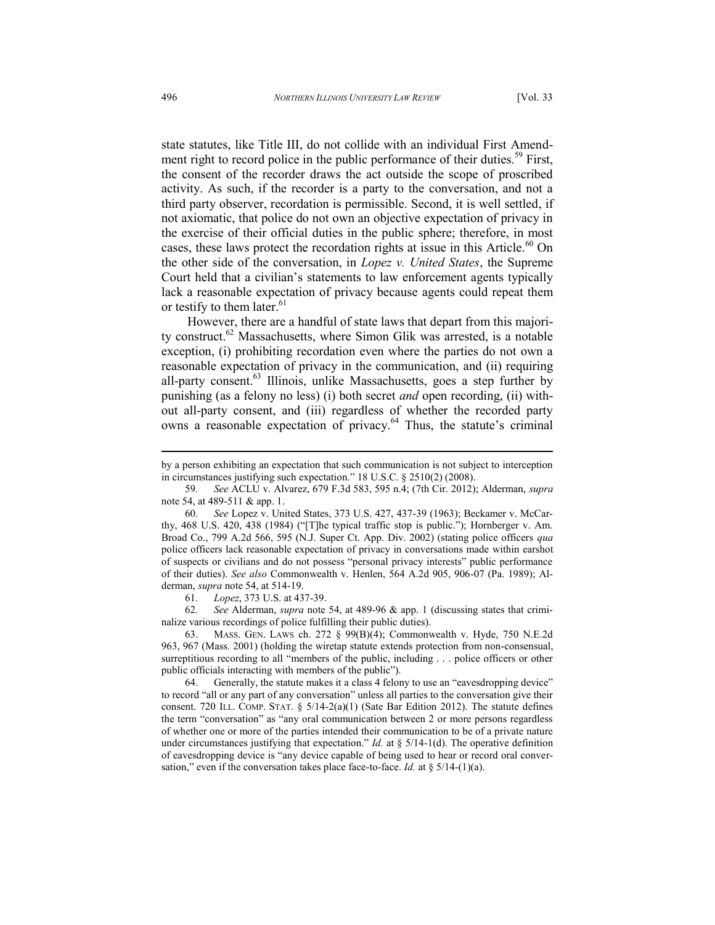state statutes, like Title III, do not collide with an individual First Amendment right to record police in the public performance of their duties.<sup>59</sup> First, the consent of the recorder draws the act outside the scope of proscribed activity. As such, if the recorder is a party to the conversation, and not a third party observer, recordation is permissible. Second, it is well settled, if not axiomatic, that police do not own an objective expectation of privacy in the exercise of their official duties in the public sphere; therefore, in most cases, these laws protect the recordation rights at issue in this Article.<sup>60</sup> On the other side of the conversation, in *Lopez v. United States*, the Supreme Court held that a civilian's statements to law enforcement agents typically lack a reasonable expectation of privacy because agents could repeat them or testify to them later. $61$ 

However, there are a handful of state laws that depart from this majority construct.<sup>62</sup> Massachusetts, where Simon Glik was arrested, is a notable exception, (i) prohibiting recordation even where the parties do not own a reasonable expectation of privacy in the communication, and (ii) requiring all-party consent.<sup>63</sup> Illinois, unlike Massachusetts, goes a step further by punishing (as a felony no less) (i) both secret *and* open recording, (ii) without all-party consent, and (iii) regardless of whether the recorded party owns a reasonable expectation of privacy.<sup>64</sup> Thus, the statute's criminal

61*. Lopez*, 373 U.S. at 437-39.

62*. See* Alderman, *supra* note 54, at 489-96 & app. 1 (discussing states that criminalize various recordings of police fulfilling their public duties).

63. MASS. GEN. LAWS ch. 272 § 99(B)(4); Commonwealth v. Hyde, 750 N.E.2d 963, 967 (Mass. 2001) (holding the wiretap statute extends protection from non-consensual, surreptitious recording to all "members of the public, including . . . police officers or other public officials interacting with members of the public").

64. Generally, the statute makes it a class 4 felony to use an "eavesdropping device" to record "all or any part of any conversation" unless all parties to the conversation give their consent. 720 ILL. COMP. STAT. § 5/14-2(a)(1) (Sate Bar Edition 2012). The statute defines the term "conversation" as "any oral communication between 2 or more persons regardless of whether one or more of the parties intended their communication to be of a private nature under circumstances justifying that expectation." *Id.* at  $\S 5/14$ -1(d). The operative definition of eavesdropping device is "any device capable of being used to hear or record oral conversation," even if the conversation takes place face-to-face. *Id.* at  $\S$  5/14-(1)(a).

by a person exhibiting an expectation that such communication is not subject to interception in circumstances justifying such expectation." 18 U.S.C. § 2510(2) (2008).

<sup>59</sup>*. See* ACLU v. Alvarez, 679 F.3d 583, 595 n.4; (7th Cir. 2012); Alderman, *supra* note 54, at 489-511 & app. 1.

<sup>60</sup>*. See* Lopez v. United States, 373 U.S. 427, 437-39 (1963); Beckamer v. McCarthy, 468 U.S. 420, 438 (1984) ("[T]he typical traffic stop is public."); Hornberger v. Am. Broad Co., 799 A.2d 566, 595 (N.J. Super Ct. App. Div. 2002) (stating police officers *qua* police officers lack reasonable expectation of privacy in conversations made within earshot of suspects or civilians and do not possess "personal privacy interests" public performance of their duties). *See also* Commonwealth v. Henlen, 564 A.2d 905, 906-07 (Pa. 1989); Alderman, *supra* note 54, at 514-19.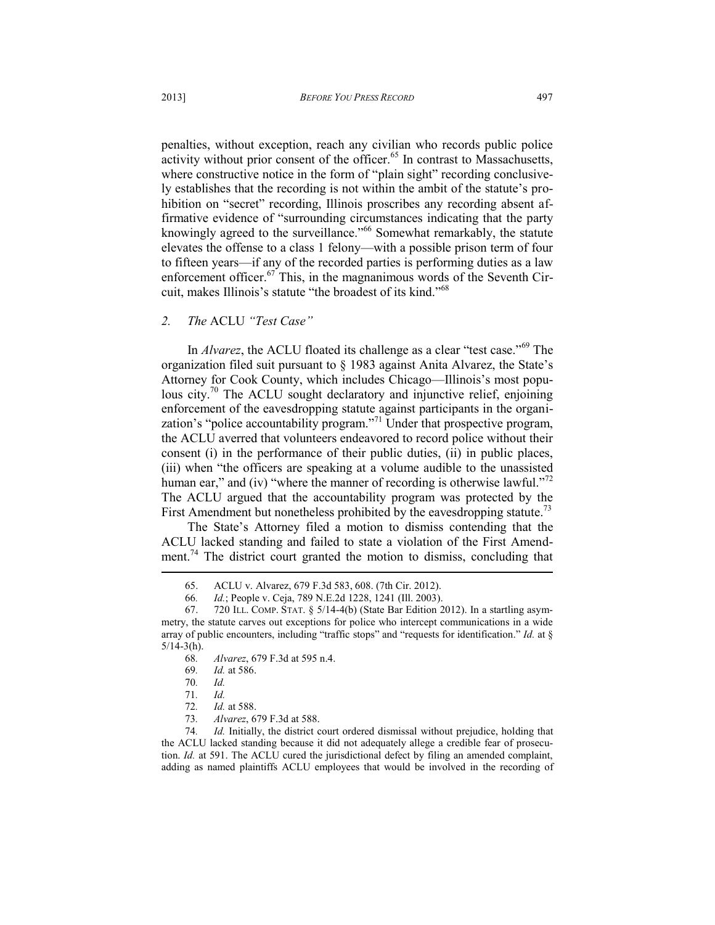penalties, without exception, reach any civilian who records public police activity without prior consent of the officer. $65$  In contrast to Massachusetts, where constructive notice in the form of "plain sight" recording conclusively establishes that the recording is not within the ambit of the statute's prohibition on "secret" recording, Illinois proscribes any recording absent affirmative evidence of "surrounding circumstances indicating that the party knowingly agreed to the surveillance."<sup>66</sup> Somewhat remarkably, the statute elevates the offense to a class 1 felony—with a possible prison term of four to fifteen years—if any of the recorded parties is performing duties as a law enforcement officer. $67$  This, in the magnanimous words of the Seventh Circuit, makes Illinois's statute "the broadest of its kind."<sup>68</sup>

# *2. The* ACLU *"Test Case"*

In *Alvarez*, the ACLU floated its challenge as a clear "test case."<sup>69</sup> The organization filed suit pursuant to § 1983 against Anita Alvarez, the State's Attorney for Cook County, which includes Chicago—Illinois's most populous city.<sup>70</sup> The ACLU sought declaratory and injunctive relief, enjoining enforcement of the eavesdropping statute against participants in the organization's "police accountability program."<sup>71</sup> Under that prospective program, the ACLU averred that volunteers endeavored to record police without their consent (i) in the performance of their public duties, (ii) in public places, (iii) when "the officers are speaking at a volume audible to the unassisted human ear," and (iv) "where the manner of recording is otherwise lawful."<sup>72</sup> The ACLU argued that the accountability program was protected by the First Amendment but nonetheless prohibited by the eavesdropping statute.<sup>73</sup>

The State's Attorney filed a motion to dismiss contending that the ACLU lacked standing and failed to state a violation of the First Amendment.<sup>74</sup> The district court granted the motion to dismiss, concluding that  $\overline{a}$ 

- 68*. Alvarez*, 679 F.3d at 595 n.4.
- 69*. Id.* at 586.

73*. Alvarez*, 679 F.3d at 588.

74*. Id.* Initially, the district court ordered dismissal without prejudice, holding that the ACLU lacked standing because it did not adequately allege a credible fear of prosecution. *Id.* at 591. The ACLU cured the jurisdictional defect by filing an amended complaint, adding as named plaintiffs ACLU employees that would be involved in the recording of

<sup>65.</sup> ACLU v. Alvarez, 679 F.3d 583, 608. (7th Cir. 2012).

<sup>66</sup>*. Id.*; People v. Ceja, 789 N.E.2d 1228, 1241 (Ill. 2003).

<sup>67. 720</sup> ILL. COMP. STAT. § 5/14-4(b) (State Bar Edition 2012). In a startling asymmetry, the statute carves out exceptions for police who intercept communications in a wide array of public encounters, including "traffic stops" and "requests for identification." *Id.* at §  $5/14-3(h)$ .

<sup>70</sup>*. Id.* 71*. Id.*

<sup>72</sup>*. Id.* at 588.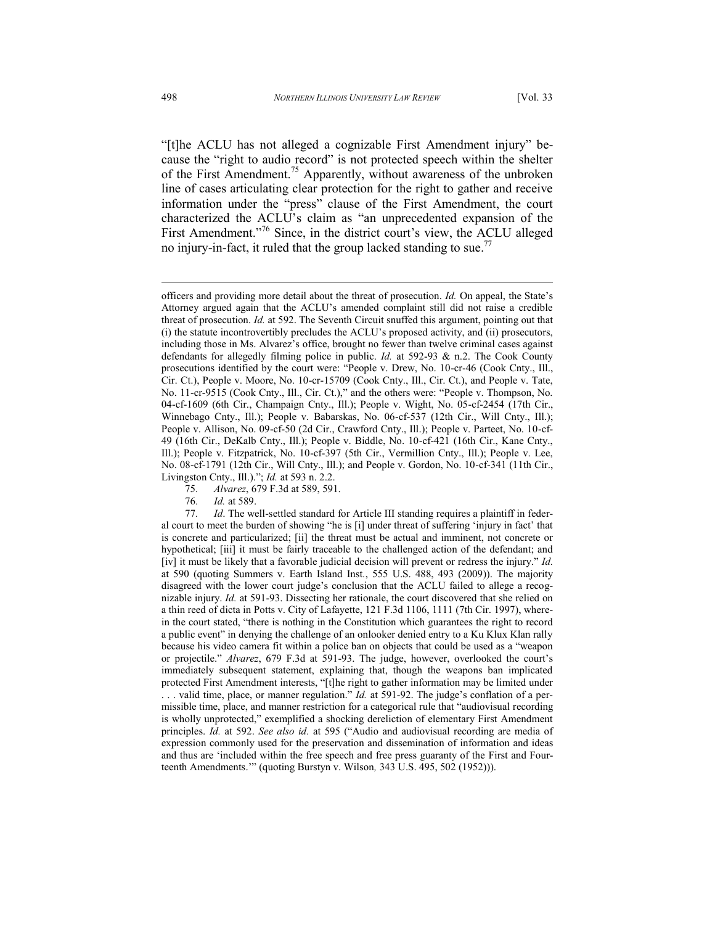"[t]he ACLU has not alleged a cognizable First Amendment injury" because the "right to audio record" is not protected speech within the shelter of the First Amendment.<sup>75</sup> Apparently, without awareness of the unbroken line of cases articulating clear protection for the right to gather and receive information under the "press" clause of the First Amendment, the court characterized the ACLU's claim as "an unprecedented expansion of the First Amendment."<sup>76</sup> Since, in the district court's view, the ACLU alleged no injury-in-fact, it ruled that the group lacked standing to sue.<sup>77</sup>

officers and providing more detail about the threat of prosecution. *Id.* On appeal, the State's Attorney argued again that the ACLU's amended complaint still did not raise a credible threat of prosecution. *Id.* at 592. The Seventh Circuit snuffed this argument, pointing out that (i) the statute incontrovertibly precludes the ACLU's proposed activity, and (ii) prosecutors, including those in Ms. Alvarez's office, brought no fewer than twelve criminal cases against defendants for allegedly filming police in public. *Id.* at 592-93 & n.2. The Cook County prosecutions identified by the court were: "People v. Drew, No. 10-cr-46 (Cook Cnty., Ill., Cir. Ct.), People v. Moore, No. 10-cr-15709 (Cook Cnty., Ill., Cir. Ct.), and People v. Tate, No. 11-cr-9515 (Cook Cnty., Ill., Cir. Ct.)," and the others were: "People v. Thompson, No. 04-cf-1609 (6th Cir., Champaign Cnty., Ill.); People v. Wight, No. 05-cf-2454 (17th Cir., Winnebago Cnty., Ill.); People v. Babarskas, No. 06-cf-537 (12th Cir., Will Cnty., Ill.); People v. Allison, No. 09-cf-50 (2d Cir., Crawford Cnty., Ill.); People v. Parteet, No. 10-cf-49 (16th Cir., DeKalb Cnty., Ill.); People v. Biddle, No. 10-cf-421 (16th Cir., Kane Cnty., Ill.); People v. Fitzpatrick, No. 10-cf-397 (5th Cir., Vermillion Cnty., Ill.); People v. Lee, No. 08-cf-1791 (12th Cir., Will Cnty., Ill.); and People v. Gordon, No. 10-cf-341 (11th Cir., Livingston Cnty., Ill.)."; *Id.* at 593 n. 2.2.

<sup>75</sup>*. Alvarez*, 679 F.3d at 589, 591.

<sup>76</sup>*. Id.* at 589.

<sup>77</sup>*. Id*. The well-settled standard for Article III standing requires a plaintiff in federal court to meet the burden of showing "he is [i] under threat of suffering 'injury in fact' that is concrete and particularized; [ii] the threat must be actual and imminent, not concrete or hypothetical; [iii] it must be fairly traceable to the challenged action of the defendant; and [iv] it must be likely that a favorable judicial decision will prevent or redress the injury." *Id.* at 590 (quoting Summers v. Earth Island Inst*.*, 555 U.S. 488, 493 (2009)). The majority disagreed with the lower court judge's conclusion that the ACLU failed to allege a recognizable injury. *Id.* at 591-93. Dissecting her rationale, the court discovered that she relied on a thin reed of dicta in Potts v. City of Lafayette, 121 F.3d 1106, 1111 (7th Cir. 1997), wherein the court stated, "there is nothing in the Constitution which guarantees the right to record a public event" in denying the challenge of an onlooker denied entry to a Ku Klux Klan rally because his video camera fit within a police ban on objects that could be used as a "weapon or projectile." *Alvarez*, 679 F.3d at 591-93. The judge, however, overlooked the court's immediately subsequent statement, explaining that, though the weapons ban implicated protected First Amendment interests, "[t]he right to gather information may be limited under . . . valid time, place, or manner regulation." *Id.* at 591-92. The judge's conflation of a permissible time, place, and manner restriction for a categorical rule that "audiovisual recording is wholly unprotected," exemplified a shocking dereliction of elementary First Amendment principles. *Id.* at 592. *See also id.* at 595 ("Audio and audiovisual recording are media of expression commonly used for the preservation and dissemination of information and ideas and thus are 'included within the free speech and free press guaranty of the First and Fourteenth Amendments.'" (quoting Burstyn v. Wilson*,* 343 U.S. 495, 502 (1952))).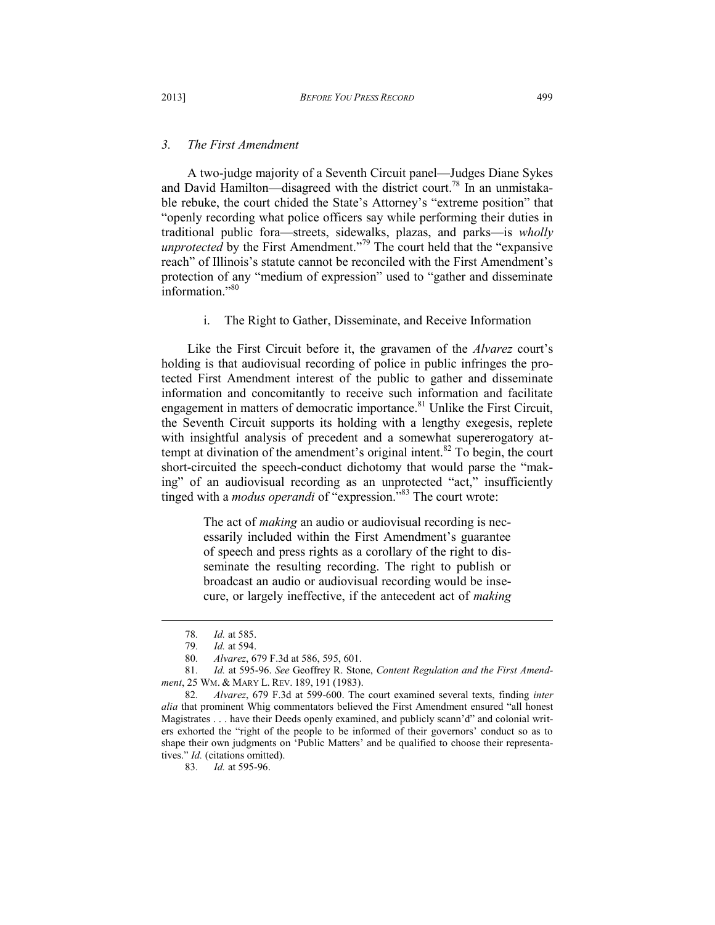#### *3. The First Amendment*

A two-judge majority of a Seventh Circuit panel—Judges Diane Sykes and David Hamilton—disagreed with the district court.<sup>78</sup> In an unmistakable rebuke, the court chided the State's Attorney's "extreme position" that "openly recording what police officers say while performing their duties in traditional public fora—streets, sidewalks, plazas, and parks—is *wholly unprotected* by the First Amendment."<sup>79</sup> The court held that the "expansive" reach" of Illinois's statute cannot be reconciled with the First Amendment's protection of any "medium of expression" used to "gather and disseminate information."<sup>80</sup>

i. The Right to Gather, Disseminate, and Receive Information

Like the First Circuit before it, the gravamen of the *Alvarez* court's holding is that audiovisual recording of police in public infringes the protected First Amendment interest of the public to gather and disseminate information and concomitantly to receive such information and facilitate engagement in matters of democratic importance.<sup>81</sup> Unlike the First Circuit, the Seventh Circuit supports its holding with a lengthy exegesis, replete with insightful analysis of precedent and a somewhat supererogatory attempt at divination of the amendment's original intent.<sup>82</sup> To begin, the court short-circuited the speech-conduct dichotomy that would parse the "making" of an audiovisual recording as an unprotected "act," insufficiently tinged with a *modus operandi* of "expression.<sup>"83</sup> The court wrote:

> The act of *making* an audio or audiovisual recording is necessarily included within the First Amendment's guarantee of speech and press rights as a corollary of the right to disseminate the resulting recording. The right to publish or broadcast an audio or audiovisual recording would be insecure, or largely ineffective, if the antecedent act of *making*

l

83*. Id.* at 595-96.

<sup>78</sup>*. Id.* at 585.

<sup>79</sup>*. Id.* at 594.

<sup>80</sup>*. Alvarez*, 679 F.3d at 586, 595, 601.

<sup>81</sup>*. Id.* at 595-96. *See* Geoffrey R. Stone, *Content Regulation and the First Amendment*, 25 WM. & MARY L. REV. 189, 191 (1983).

<sup>82</sup>*. Alvarez*, 679 F.3d at 599-600. The court examined several texts, finding *inter alia* that prominent Whig commentators believed the First Amendment ensured "all honest Magistrates . . . have their Deeds openly examined, and publicly scann'd" and colonial writers exhorted the "right of the people to be informed of their governors' conduct so as to shape their own judgments on 'Public Matters' and be qualified to choose their representatives." *Id.* (citations omitted).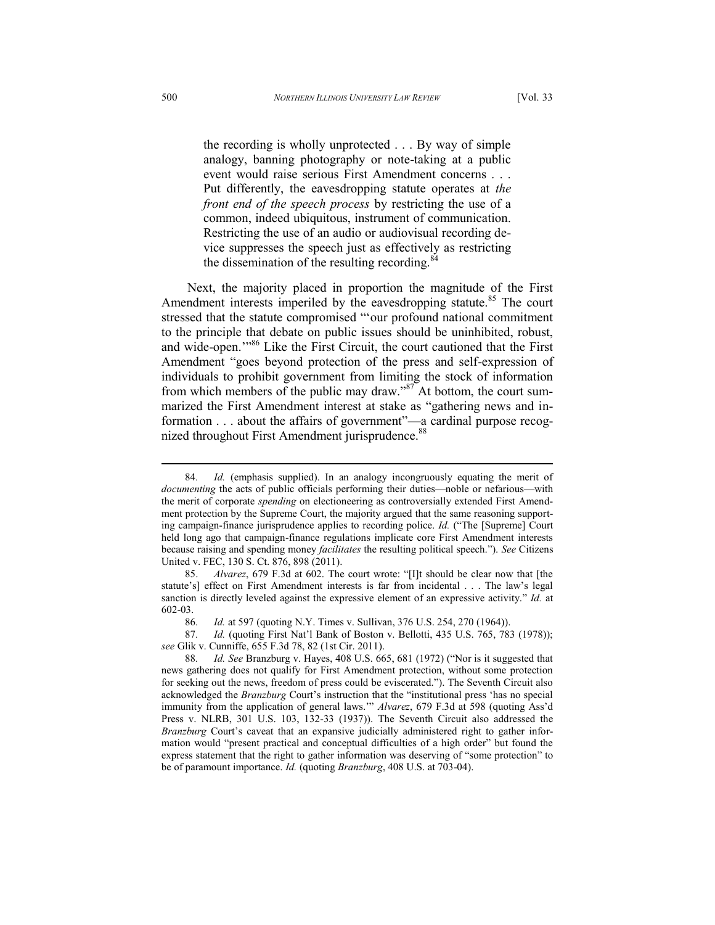the recording is wholly unprotected . . . By way of simple analogy, banning photography or note-taking at a public event would raise serious First Amendment concerns . . . Put differently, the eavesdropping statute operates at *the front end of the speech process* by restricting the use of a common, indeed ubiquitous, instrument of communication. Restricting the use of an audio or audiovisual recording device suppresses the speech just as effectively as restricting the dissemination of the resulting recording. $84$ 

Next, the majority placed in proportion the magnitude of the First Amendment interests imperiled by the eavesdropping statute.<sup>85</sup> The court stressed that the statute compromised "'our profound national commitment to the principle that debate on public issues should be uninhibited, robust, and wide-open.'"<sup>86</sup> Like the First Circuit, the court cautioned that the First Amendment "goes beyond protection of the press and self-expression of individuals to prohibit government from limiting the stock of information from which members of the public may draw."<sup>87</sup> At bottom, the court summarized the First Amendment interest at stake as "gathering news and information . . . about the affairs of government"—a cardinal purpose recognized throughout First Amendment jurisprudence.<sup>88</sup>

<sup>84</sup>*. Id.* (emphasis supplied). In an analogy incongruously equating the merit of *documenting* the acts of public officials performing their duties—noble or nefarious—with the merit of corporate *spending* on electioneering as controversially extended First Amendment protection by the Supreme Court, the majority argued that the same reasoning supporting campaign-finance jurisprudence applies to recording police. *Id.* ("The [Supreme] Court held long ago that campaign-finance regulations implicate core First Amendment interests because raising and spending money *facilitates* the resulting political speech."). *See* Citizens United v. FEC, 130 S. Ct. 876, 898 (2011).

<sup>85.</sup> *Alvarez*, 679 F.3d at 602. The court wrote: "[I]t should be clear now that [the statute's] effect on First Amendment interests is far from incidental . . . The law's legal sanction is directly leveled against the expressive element of an expressive activity." *Id.* at 602-03.

<sup>86</sup>*. Id.* at 597 (quoting N.Y. Times v. Sullivan, 376 U.S. 254, 270 (1964)).

<sup>87</sup>*. Id.* (quoting First Nat'l Bank of Boston v. Bellotti, 435 U.S. 765, 783 (1978)); *see* Glik v. Cunniffe, 655 F.3d 78, 82 (1st Cir. 2011).

<sup>88</sup>*. Id. See* Branzburg v. Hayes, 408 U.S. 665, 681 (1972) ("Nor is it suggested that news gathering does not qualify for First Amendment protection, without some protection for seeking out the news, freedom of press could be eviscerated."). The Seventh Circuit also acknowledged the *Branzburg* Court's instruction that the "institutional press 'has no special immunity from the application of general laws.'" *Alvarez*, 679 F.3d at 598 (quoting Ass'd Press v. NLRB, 301 U.S. 103, 132-33 (1937)). The Seventh Circuit also addressed the *Branzburg* Court's caveat that an expansive judicially administered right to gather information would "present practical and conceptual difficulties of a high order" but found the express statement that the right to gather information was deserving of "some protection" to be of paramount importance. *Id.* (quoting *Branzburg*, 408 U.S. at 703-04).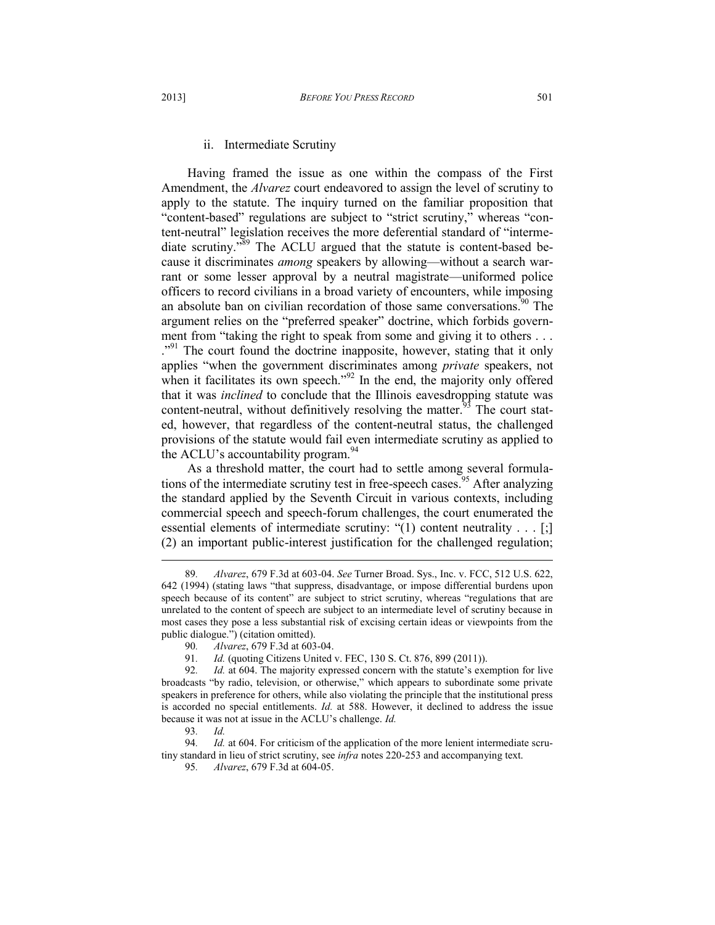Having framed the issue as one within the compass of the First Amendment, the *Alvarez* court endeavored to assign the level of scrutiny to apply to the statute. The inquiry turned on the familiar proposition that "content-based" regulations are subject to "strict scrutiny," whereas "content-neutral" legislation receives the more deferential standard of "intermediate scrutiny."<sup>89</sup> The ACLU argued that the statute is content-based because it discriminates *among* speakers by allowing—without a search warrant or some lesser approval by a neutral magistrate—uniformed police officers to record civilians in a broad variety of encounters, while imposing an absolute ban on civilian recordation of those same conversations.<sup>90</sup> The argument relies on the "preferred speaker" doctrine, which forbids government from "taking the right to speak from some and giving it to others ... <sup>."91</sup> The court found the doctrine inapposite, however, stating that it only applies "when the government discriminates among *private* speakers, not when it facilitates its own speech."<sup>92</sup> In the end, the majority only offered that it was *inclined* to conclude that the Illinois eavesdropping statute was content-neutral, without definitively resolving the matter.<sup>93</sup> The court stated, however, that regardless of the content-neutral status, the challenged provisions of the statute would fail even intermediate scrutiny as applied to the ACLU's accountability program.  $94$ 

As a threshold matter, the court had to settle among several formulations of the intermediate scrutiny test in free-speech cases.<sup>95</sup> After analyzing the standard applied by the Seventh Circuit in various contexts, including commercial speech and speech-forum challenges, the court enumerated the essential elements of intermediate scrutiny: "(1) content neutrality . . . [;] (2) an important public-interest justification for the challenged regulation;  $\overline{a}$ 

<sup>89</sup>*. Alvarez*, 679 F.3d at 603-04. *See* Turner Broad. Sys., Inc. v. FCC, 512 U.S. 622, 642 (1994) (stating laws "that suppress, disadvantage, or impose differential burdens upon speech because of its content" are subject to strict scrutiny, whereas "regulations that are unrelated to the content of speech are subject to an intermediate level of scrutiny because in most cases they pose a less substantial risk of excising certain ideas or viewpoints from the public dialogue.") (citation omitted).

<sup>90</sup>*. Alvarez*, 679 F.3d at 603-04.

<sup>91.</sup> *Id.* (quoting Citizens United v. FEC, 130 S. Ct. 876, 899 (2011)).<br>92. *Id.* at 604. The maiority expressed concern with the statute's exe

*Id.* at 604. The majority expressed concern with the statute's exemption for live broadcasts "by radio, television, or otherwise," which appears to subordinate some private speakers in preference for others, while also violating the principle that the institutional press is accorded no special entitlements. *Id.* at 588. However, it declined to address the issue because it was not at issue in the ACLU's challenge. *Id.*

<sup>93</sup>*. Id.*

<sup>94</sup>*. Id.* at 604. For criticism of the application of the more lenient intermediate scrutiny standard in lieu of strict scrutiny, see *infra* notes 220-253 and accompanying text.

<sup>95</sup>*. Alvarez*, 679 F.3d at 604-05.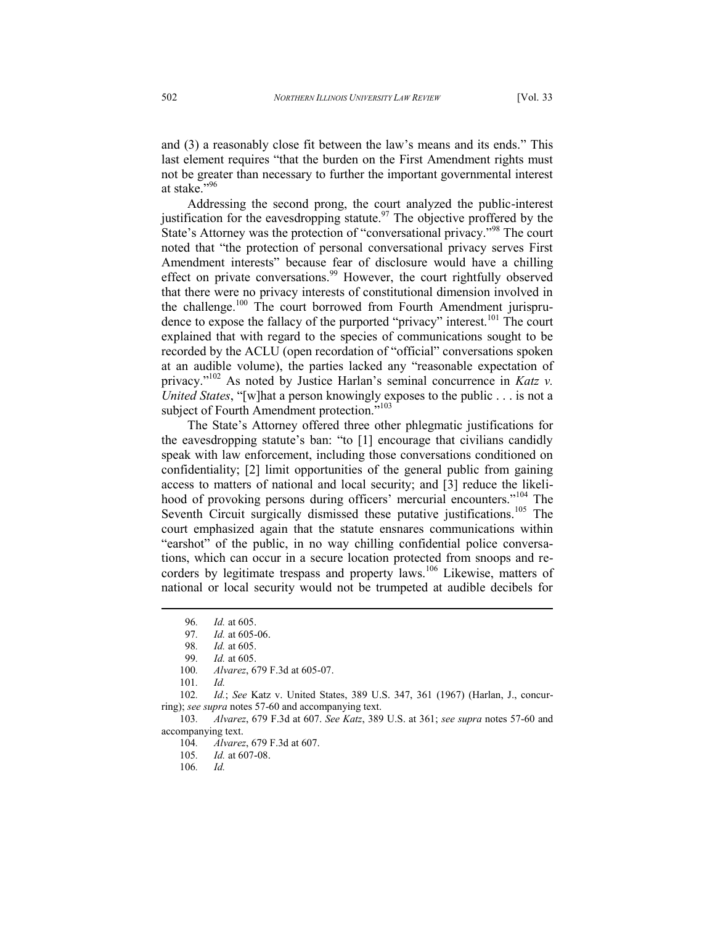and (3) a reasonably close fit between the law's means and its ends." This last element requires "that the burden on the First Amendment rights must not be greater than necessary to further the important governmental interest at stake."<sup>96</sup>

Addressing the second prong, the court analyzed the public-interest justification for the eavesdropping statute.<sup>97</sup> The objective proffered by the State's Attorney was the protection of "conversational privacy."<sup>98</sup> The court noted that "the protection of personal conversational privacy serves First Amendment interests" because fear of disclosure would have a chilling effect on private conversations.<sup>99</sup> However, the court rightfully observed that there were no privacy interests of constitutional dimension involved in the challenge.<sup>100</sup> The court borrowed from Fourth Amendment jurisprudence to expose the fallacy of the purported "privacy" interest.<sup>101</sup> The court explained that with regard to the species of communications sought to be recorded by the ACLU (open recordation of "official" conversations spoken at an audible volume), the parties lacked any "reasonable expectation of privacy."<sup>102</sup> As noted by Justice Harlan's seminal concurrence in *Katz v. United States*, "[w]hat a person knowingly exposes to the public . . . is not a subject of Fourth Amendment protection."<sup>103</sup>

The State's Attorney offered three other phlegmatic justifications for the eavesdropping statute's ban: "to [1] encourage that civilians candidly speak with law enforcement, including those conversations conditioned on confidentiality; [2] limit opportunities of the general public from gaining access to matters of national and local security; and [3] reduce the likelihood of provoking persons during officers' mercurial encounters."<sup>104</sup> The Seventh Circuit surgically dismissed these putative justifications.<sup>105</sup> The court emphasized again that the statute ensnares communications within "earshot" of the public, in no way chilling confidential police conversations, which can occur in a secure location protected from snoops and recorders by legitimate trespass and property laws.<sup>106</sup> Likewise, matters of national or local security would not be trumpeted at audible decibels for

<sup>96.</sup> *Id.* at 605.<br>97. *Id.* at 605-

*Id.* at 605-06.

<sup>98</sup>*. Id.* at 605.

<sup>99</sup>*. Id.* at 605.

<sup>100</sup>*. Alvarez*, 679 F.3d at 605-07.

<sup>101</sup>*. Id.*

<sup>102</sup>*. Id.*; *See* Katz v. United States, 389 U.S. 347, 361 (1967) (Harlan, J., concurring); *see supra* notes 57-60 and accompanying text.

<sup>103</sup>*. Alvarez*, 679 F.3d at 607. *See Katz*, 389 U.S. at 361; *see supra* notes 57-60 and accompanying text.

<sup>104</sup>*. Alvarez*, 679 F.3d at 607.

<sup>105</sup>*. Id.* at 607-08.

<sup>106</sup>*. Id.*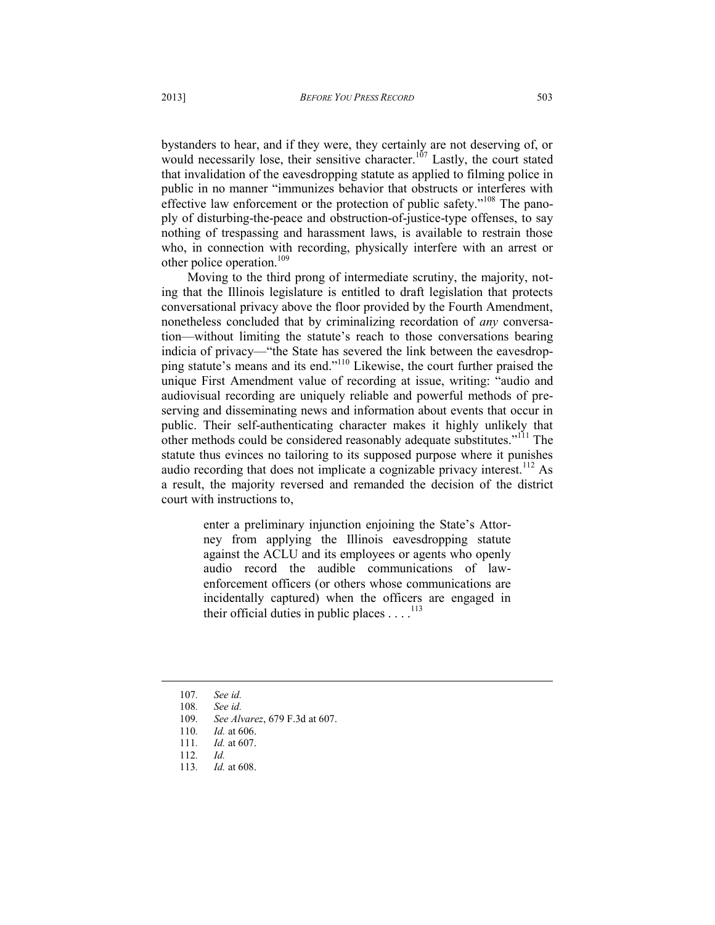bystanders to hear, and if they were, they certainly are not deserving of, or would necessarily lose, their sensitive character.<sup>107</sup> Lastly, the court stated that invalidation of the eavesdropping statute as applied to filming police in public in no manner "immunizes behavior that obstructs or interferes with effective law enforcement or the protection of public safety."<sup>108</sup> The panoply of disturbing-the-peace and obstruction-of-justice-type offenses, to say nothing of trespassing and harassment laws, is available to restrain those who, in connection with recording, physically interfere with an arrest or other police operation.<sup>109</sup>

Moving to the third prong of intermediate scrutiny, the majority, noting that the Illinois legislature is entitled to draft legislation that protects conversational privacy above the floor provided by the Fourth Amendment, nonetheless concluded that by criminalizing recordation of *any* conversation—without limiting the statute's reach to those conversations bearing indicia of privacy—"the State has severed the link between the eavesdropping statute's means and its end."<sup>110</sup> Likewise, the court further praised the unique First Amendment value of recording at issue, writing: "audio and audiovisual recording are uniquely reliable and powerful methods of preserving and disseminating news and information about events that occur in public. Their self-authenticating character makes it highly unlikely that other methods could be considered reasonably adequate substitutes."<sup>111</sup> The statute thus evinces no tailoring to its supposed purpose where it punishes audio recording that does not implicate a cognizable privacy interest.<sup>112</sup> As a result, the majority reversed and remanded the decision of the district court with instructions to,

> enter a preliminary injunction enjoining the State's Attorney from applying the Illinois eavesdropping statute against the ACLU and its employees or agents who openly audio record the audible communications of lawenforcement officers (or others whose communications are incidentally captured) when the officers are engaged in their official duties in public places  $\dots$ .<sup>113</sup>

<sup>107</sup>*. See id.*

<sup>108</sup>*. See id.*

<sup>109</sup>*. See Alvarez*, 679 F.3d at 607.

<sup>110</sup>*. Id.* at 606.

<sup>111</sup>*. Id.* at 607.

<sup>112</sup>*. Id.* 

<sup>113</sup>*. Id.* at 608.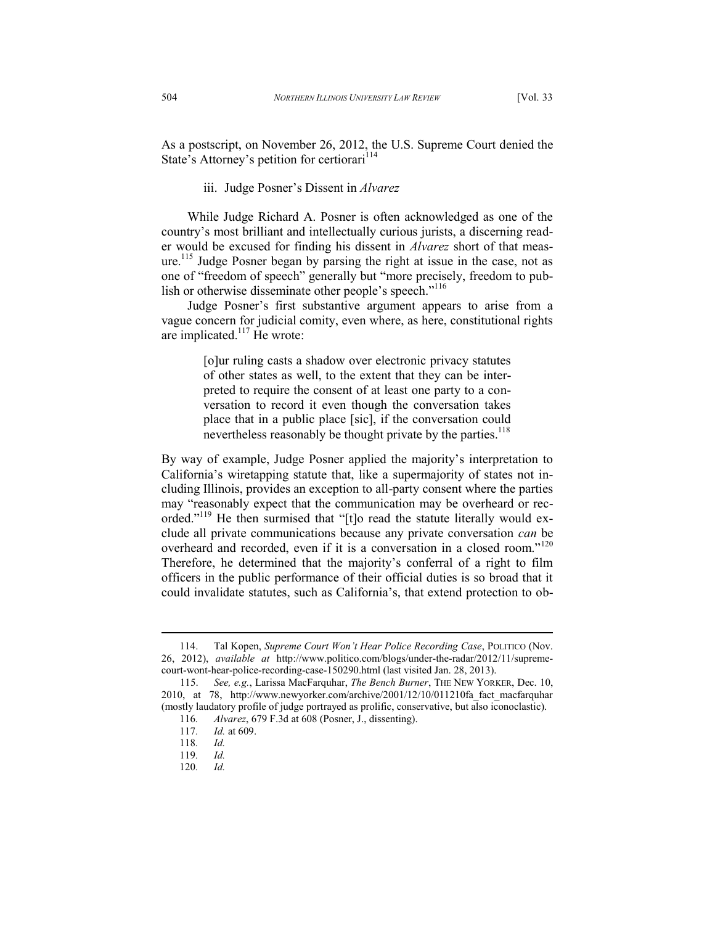As a postscript, on November 26, 2012, the U.S. Supreme Court denied the State's Attorney's petition for certiorari<sup>114</sup>

iii. Judge Posner's Dissent in *Alvarez*

While Judge Richard A. Posner is often acknowledged as one of the country's most brilliant and intellectually curious jurists, a discerning reader would be excused for finding his dissent in *Alvarez* short of that measure.<sup>115</sup> Judge Posner began by parsing the right at issue in the case, not as one of "freedom of speech" generally but "more precisely, freedom to publish or otherwise disseminate other people's speech."<sup>116</sup>

Judge Posner's first substantive argument appears to arise from a vague concern for judicial comity, even where, as here, constitutional rights are implicated. $117$  He wrote:

> [o]ur ruling casts a shadow over electronic privacy statutes of other states as well, to the extent that they can be interpreted to require the consent of at least one party to a conversation to record it even though the conversation takes place that in a public place [sic], if the conversation could nevertheless reasonably be thought private by the parties.<sup>118</sup>

By way of example, Judge Posner applied the majority's interpretation to California's wiretapping statute that, like a supermajority of states not including Illinois, provides an exception to all-party consent where the parties may "reasonably expect that the communication may be overheard or recorded."<sup>119</sup> He then surmised that "[t]o read the statute literally would exclude all private communications because any private conversation *can* be overheard and recorded, even if it is a conversation in a closed room."<sup>120</sup> Therefore, he determined that the majority's conferral of a right to film officers in the public performance of their official duties is so broad that it could invalidate statutes, such as California's, that extend protection to ob-

<sup>114.</sup> Tal Kopen, *Supreme Court Won't Hear Police Recording Case*, POLITICO (Nov. 26, 2012), *available at* http://www.politico.com/blogs/under-the-radar/2012/11/supremecourt-wont-hear-police-recording-case-150290.html (last visited Jan. 28, 2013).

 <sup>115.</sup> *See, e.g.*, Larissa MacFarquhar, *The Bench Burner*, THE NEW YORKER, Dec. 10, 2010, at 78, http://www.newyorker.com/archive/2001/12/10/011210fa\_fact\_macfarquhar (mostly laudatory profile of judge portrayed as prolific, conservative, but also iconoclastic).

<sup>116</sup>*. Alvarez*, 679 F.3d at 608 (Posner, J., dissenting).

<sup>117</sup>*. Id.* at 609.

<sup>118</sup>*. Id.*

<sup>119</sup>*. Id.*

<sup>120</sup>*. Id.*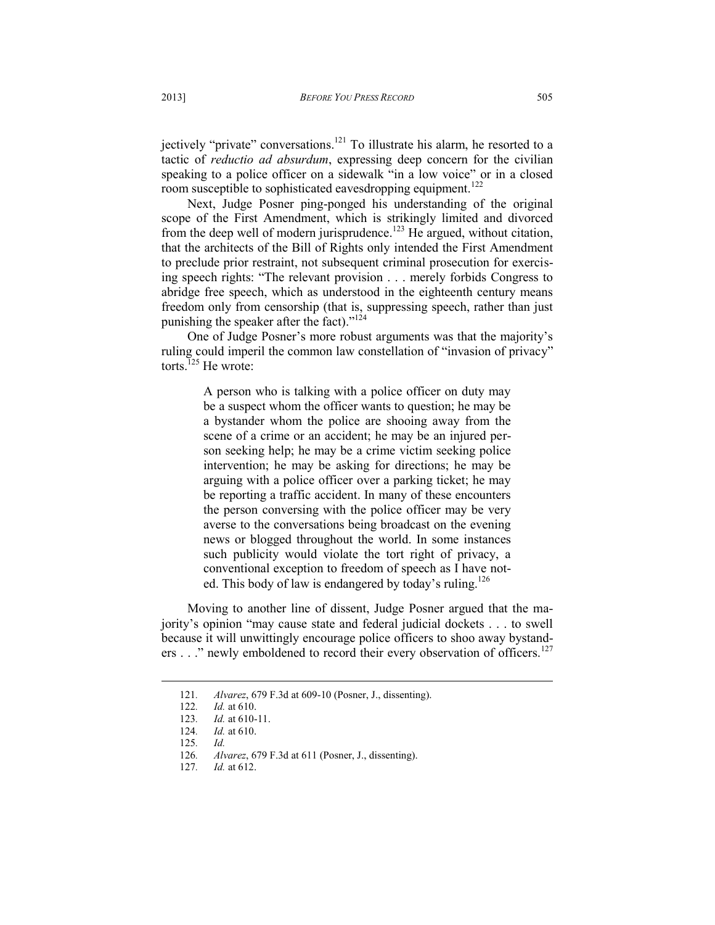jectively "private" conversations.<sup>121</sup> To illustrate his alarm, he resorted to a tactic of *reductio ad absurdum*, expressing deep concern for the civilian speaking to a police officer on a sidewalk "in a low voice" or in a closed room susceptible to sophisticated eavesdropping equipment.<sup>122</sup>

Next, Judge Posner ping-ponged his understanding of the original scope of the First Amendment, which is strikingly limited and divorced from the deep well of modern jurisprudence.<sup>123</sup> He argued, without citation, that the architects of the Bill of Rights only intended the First Amendment to preclude prior restraint, not subsequent criminal prosecution for exercising speech rights: "The relevant provision . . . merely forbids Congress to abridge free speech, which as understood in the eighteenth century means freedom only from censorship (that is, suppressing speech, rather than just punishing the speaker after the fact)."<sup>124</sup>

One of Judge Posner's more robust arguments was that the majority's ruling could imperil the common law constellation of "invasion of privacy" torts. $^{125}$  He wrote:

> A person who is talking with a police officer on duty may be a suspect whom the officer wants to question; he may be a bystander whom the police are shooing away from the scene of a crime or an accident; he may be an injured person seeking help; he may be a crime victim seeking police intervention; he may be asking for directions; he may be arguing with a police officer over a parking ticket; he may be reporting a traffic accident. In many of these encounters the person conversing with the police officer may be very averse to the conversations being broadcast on the evening news or blogged throughout the world. In some instances such publicity would violate the tort right of privacy, a conventional exception to freedom of speech as I have noted. This body of law is endangered by today's ruling.<sup>126</sup>

Moving to another line of dissent, Judge Posner argued that the majority's opinion "may cause state and federal judicial dockets . . . to swell because it will unwittingly encourage police officers to shoo away bystanders  $\dots$ " newly emboldened to record their every observation of officers.<sup>127</sup>

<sup>121</sup>*. Alvarez*, 679 F.3d at 609-10 (Posner, J., dissenting).

<sup>122</sup>*. Id.* at 610.

<sup>123</sup>*. Id.* at 610-11.

<sup>124</sup>*. Id.* at 610.

<sup>125</sup>*. Id.*

<sup>126</sup>*. Alvarez*, 679 F.3d at 611 (Posner, J., dissenting).

<sup>127</sup>*. Id.* at 612.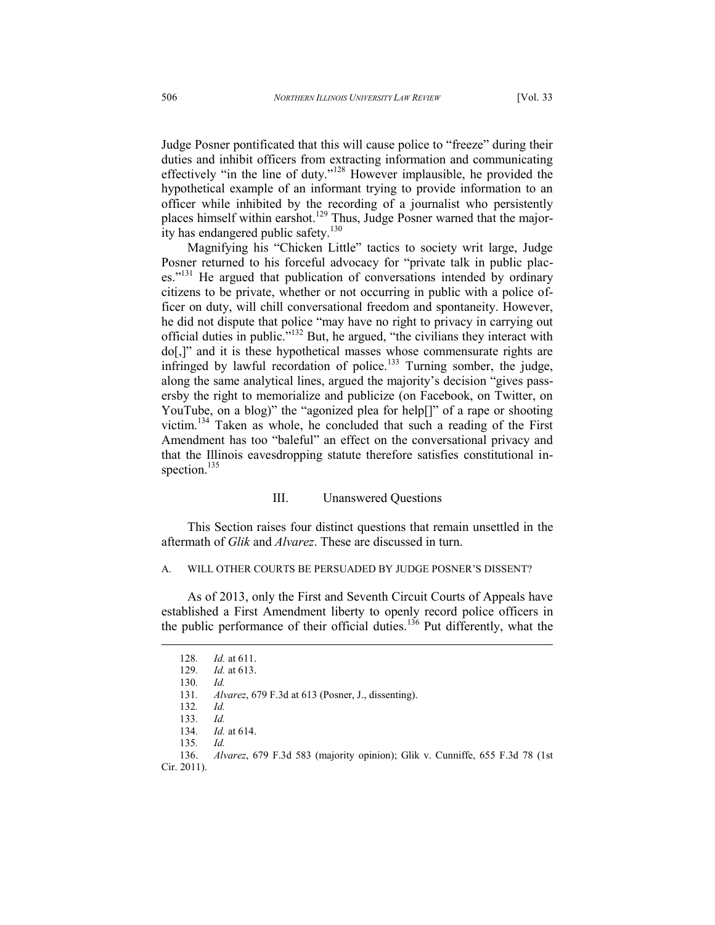Judge Posner pontificated that this will cause police to "freeze" during their duties and inhibit officers from extracting information and communicating effectively "in the line of duty."<sup>128</sup> However implausible, he provided the hypothetical example of an informant trying to provide information to an officer while inhibited by the recording of a journalist who persistently places himself within earshot.<sup>129</sup> Thus, Judge Posner warned that the majority has endangered public safety.<sup>130</sup>

Magnifying his "Chicken Little" tactics to society writ large, Judge Posner returned to his forceful advocacy for "private talk in public places."<sup>131</sup> He argued that publication of conversations intended by ordinary citizens to be private, whether or not occurring in public with a police officer on duty, will chill conversational freedom and spontaneity. However, he did not dispute that police "may have no right to privacy in carrying out official duties in public."<sup>132</sup> But, he argued, "the civilians they interact with do[,]" and it is these hypothetical masses whose commensurate rights are infringed by lawful recordation of police.<sup>133</sup> Turning somber, the judge, along the same analytical lines, argued the majority's decision "gives passersby the right to memorialize and publicize (on Facebook, on Twitter, on YouTube, on a blog)" the "agonized plea for help[]" of a rape or shooting victim.<sup>134</sup> Taken as whole, he concluded that such a reading of the First Amendment has too "baleful" an effect on the conversational privacy and that the Illinois eavesdropping statute therefore satisfies constitutional inspection.<sup>135</sup>

### III. Unanswered Questions

This Section raises four distinct questions that remain unsettled in the aftermath of *Glik* and *Alvarez*. These are discussed in turn.

#### A. WILL OTHER COURTS BE PERSUADED BY JUDGE POSNER'S DISSENT?

As of 2013, only the First and Seventh Circuit Courts of Appeals have established a First Amendment liberty to openly record police officers in the public performance of their official duties.<sup>136</sup> Put differently, what the

<sup>128</sup>*. Id.* at 611.

*Id.* at 613.

<sup>130</sup>*. Id.*

<sup>131</sup>*. Alvarez*, 679 F.3d at 613 (Posner, J., dissenting).

<sup>132</sup>*. Id.*

<sup>133</sup>*. Id.*

<sup>134</sup>*. Id.* at 614.

<sup>135</sup>*. Id.*

<sup>136.</sup> *Alvarez*, 679 F.3d 583 (majority opinion); Glik v. Cunniffe, 655 F.3d 78 (1st Cir. 2011).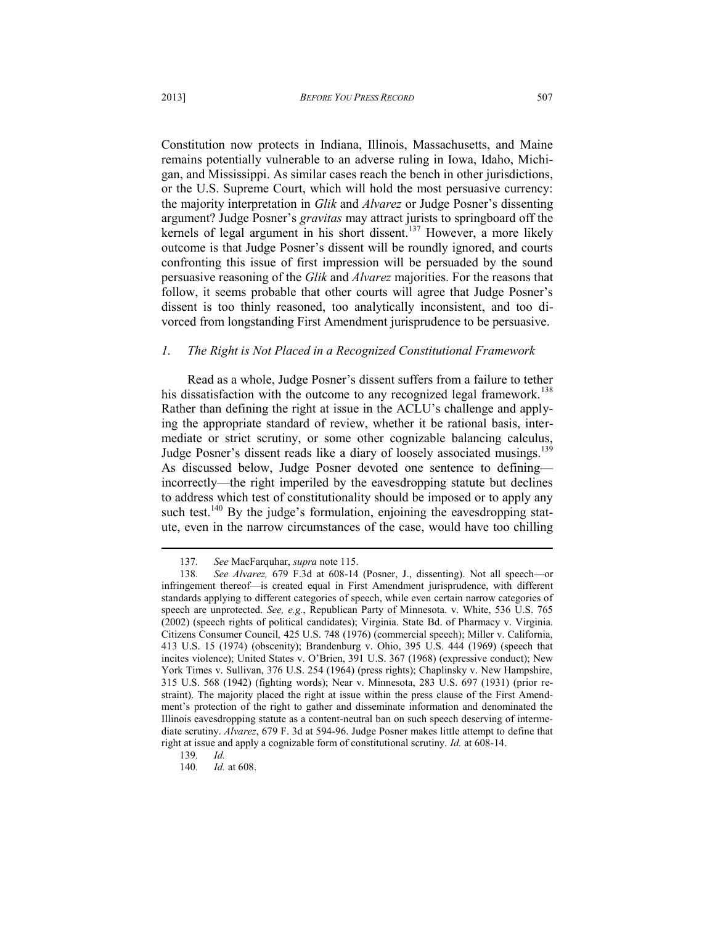Constitution now protects in Indiana, Illinois, Massachusetts, and Maine remains potentially vulnerable to an adverse ruling in Iowa, Idaho, Michigan, and Mississippi. As similar cases reach the bench in other jurisdictions, or the U.S. Supreme Court, which will hold the most persuasive currency: the majority interpretation in *Glik* and *Alvarez* or Judge Posner's dissenting argument? Judge Posner's *gravitas* may attract jurists to springboard off the kernels of legal argument in his short dissent.<sup>137</sup> However, a more likely outcome is that Judge Posner's dissent will be roundly ignored, and courts confronting this issue of first impression will be persuaded by the sound persuasive reasoning of the *Glik* and *Alvarez* majorities. For the reasons that follow, it seems probable that other courts will agree that Judge Posner's dissent is too thinly reasoned, too analytically inconsistent, and too divorced from longstanding First Amendment jurisprudence to be persuasive.

### *1. The Right is Not Placed in a Recognized Constitutional Framework*

Read as a whole, Judge Posner's dissent suffers from a failure to tether his dissatisfaction with the outcome to any recognized legal framework.<sup>138</sup> Rather than defining the right at issue in the ACLU's challenge and applying the appropriate standard of review, whether it be rational basis, intermediate or strict scrutiny, or some other cognizable balancing calculus, Judge Posner's dissent reads like a diary of loosely associated musings.<sup>139</sup> As discussed below, Judge Posner devoted one sentence to defining incorrectly—the right imperiled by the eavesdropping statute but declines to address which test of constitutionality should be imposed or to apply any such test.<sup>140</sup> By the judge's formulation, enjoining the eavesdropping statute, even in the narrow circumstances of the case, would have too chilling

<sup>137</sup>*. See* MacFarquhar, *supra* note 115.

<sup>138</sup>*. See Alvarez,* 679 F.3d at 608-14 (Posner, J., dissenting). Not all speech—or infringement thereof—is created equal in First Amendment jurisprudence, with different standards applying to different categories of speech, while even certain narrow categories of speech are unprotected. *See, e.g.*, Republican Party of Minnesota. v. White, 536 U.S. 765 (2002) (speech rights of political candidates); Virginia. State Bd. of Pharmacy v. Virginia. Citizens Consumer Council*,* 425 U.S. 748 (1976) (commercial speech); Miller v. California, 413 U.S. 15 (1974) (obscenity); Brandenburg v. Ohio, 395 U.S. 444 (1969) (speech that incites violence); United States v. O'Brien, 391 U.S. 367 (1968) (expressive conduct); New York Times v. Sullivan, 376 U.S. 254 (1964) (press rights); Chaplinsky v. New Hampshire, 315 U.S. 568 (1942) (fighting words); Near v. Minnesota, 283 U.S. 697 (1931) (prior restraint). The majority placed the right at issue within the press clause of the First Amendment's protection of the right to gather and disseminate information and denominated the Illinois eavesdropping statute as a content-neutral ban on such speech deserving of intermediate scrutiny. *Alvarez*, 679 F. 3d at 594-96. Judge Posner makes little attempt to define that right at issue and apply a cognizable form of constitutional scrutiny. *Id.* at 608-14.

<sup>139</sup>*. Id.*

<sup>140</sup>*. Id.* at 608.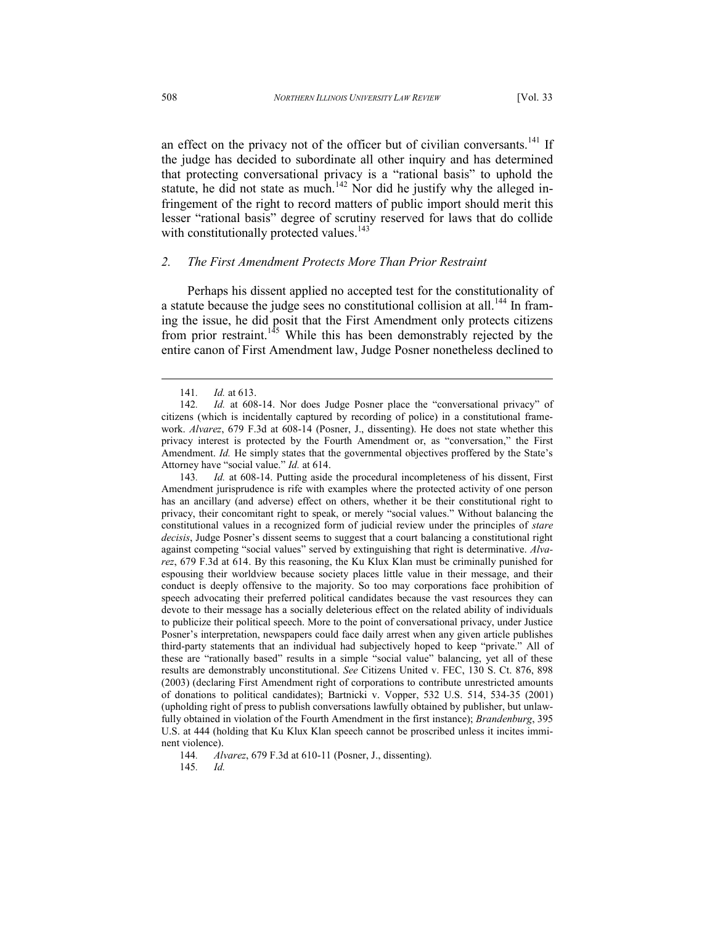an effect on the privacy not of the officer but of civilian conversants.<sup>141</sup> If the judge has decided to subordinate all other inquiry and has determined that protecting conversational privacy is a "rational basis" to uphold the statute, he did not state as much.<sup>142</sup> Nor did he justify why the alleged infringement of the right to record matters of public import should merit this lesser "rational basis" degree of scrutiny reserved for laws that do collide with constitutionally protected values.<sup>143</sup>

### *2. The First Amendment Protects More Than Prior Restraint*

Perhaps his dissent applied no accepted test for the constitutionality of a statute because the judge sees no constitutional collision at all.<sup>144</sup> In framing the issue, he did posit that the First Amendment only protects citizens from prior restraint.<sup>145</sup> While this has been demonstrably rejected by the entire canon of First Amendment law, Judge Posner nonetheless declined to

l

144*. Alvarez*, 679 F.3d at 610-11 (Posner, J., dissenting).

<sup>141</sup>*. Id.* at 613.

<sup>142</sup>*. Id.* at 608-14. Nor does Judge Posner place the "conversational privacy" of citizens (which is incidentally captured by recording of police) in a constitutional framework. *Alvarez*, 679 F.3d at 608-14 (Posner, J., dissenting). He does not state whether this privacy interest is protected by the Fourth Amendment or, as "conversation," the First Amendment. *Id.* He simply states that the governmental objectives proffered by the State's Attorney have "social value." *Id.* at 614.

<sup>143</sup>*. Id.* at 608-14. Putting aside the procedural incompleteness of his dissent, First Amendment jurisprudence is rife with examples where the protected activity of one person has an ancillary (and adverse) effect on others, whether it be their constitutional right to privacy, their concomitant right to speak, or merely "social values." Without balancing the constitutional values in a recognized form of judicial review under the principles of *stare decisis*, Judge Posner's dissent seems to suggest that a court balancing a constitutional right against competing "social values" served by extinguishing that right is determinative. *Alvarez*, 679 F.3d at 614. By this reasoning, the Ku Klux Klan must be criminally punished for espousing their worldview because society places little value in their message, and their conduct is deeply offensive to the majority. So too may corporations face prohibition of speech advocating their preferred political candidates because the vast resources they can devote to their message has a socially deleterious effect on the related ability of individuals to publicize their political speech. More to the point of conversational privacy, under Justice Posner's interpretation, newspapers could face daily arrest when any given article publishes third-party statements that an individual had subjectively hoped to keep "private." All of these are "rationally based" results in a simple "social value" balancing, yet all of these results are demonstrably unconstitutional. *See* Citizens United v. FEC, 130 S. Ct. 876, 898 (2003) (declaring First Amendment right of corporations to contribute unrestricted amounts of donations to political candidates); Bartnicki v. Vopper, 532 U.S. 514, 534-35 (2001) (upholding right of press to publish conversations lawfully obtained by publisher, but unlawfully obtained in violation of the Fourth Amendment in the first instance); *Brandenburg*, 395 U.S. at 444 (holding that Ku Klux Klan speech cannot be proscribed unless it incites imminent violence).

<sup>145</sup>*. Id.*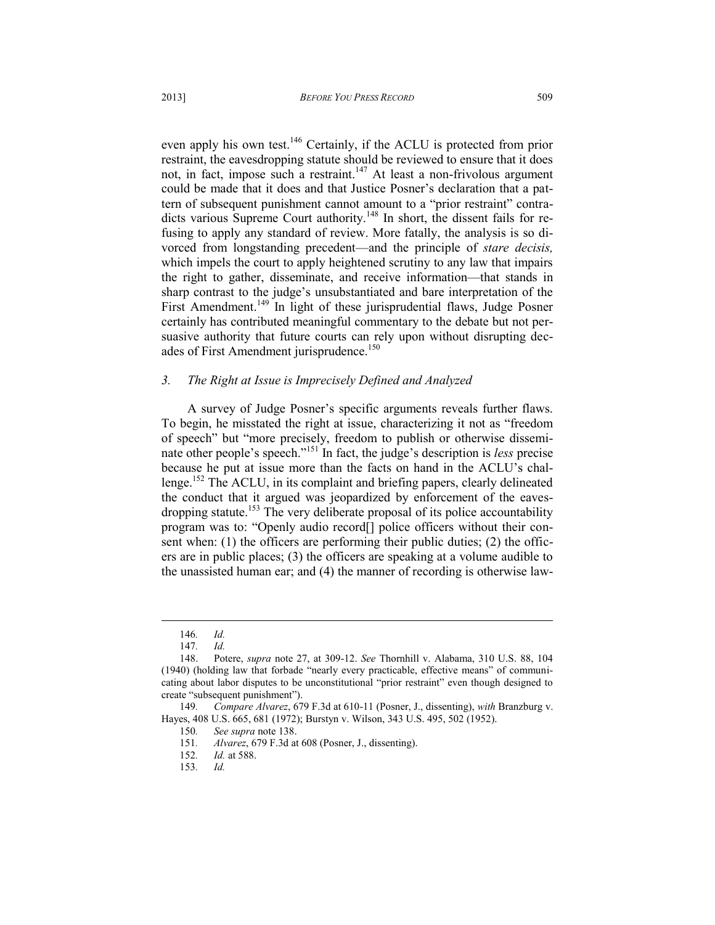even apply his own test.<sup>146</sup> Certainly, if the ACLU is protected from prior restraint, the eavesdropping statute should be reviewed to ensure that it does not, in fact, impose such a restraint.<sup>147</sup> At least a non-frivolous argument could be made that it does and that Justice Posner's declaration that a pattern of subsequent punishment cannot amount to a "prior restraint" contradicts various Supreme Court authority.<sup>148</sup> In short, the dissent fails for refusing to apply any standard of review. More fatally, the analysis is so divorced from longstanding precedent—and the principle of *stare decisis,* which impels the court to apply heightened scrutiny to any law that impairs the right to gather, disseminate, and receive information—that stands in sharp contrast to the judge's unsubstantiated and bare interpretation of the First Amendment.<sup>149</sup> In light of these jurisprudential flaws, Judge Posner certainly has contributed meaningful commentary to the debate but not persuasive authority that future courts can rely upon without disrupting decades of First Amendment jurisprudence.<sup>150</sup>

### *3. The Right at Issue is Imprecisely Defined and Analyzed*

A survey of Judge Posner's specific arguments reveals further flaws. To begin, he misstated the right at issue, characterizing it not as "freedom of speech" but "more precisely, freedom to publish or otherwise disseminate other people's speech."<sup>151</sup> In fact, the judge's description is *less* precise because he put at issue more than the facts on hand in the ACLU's challenge.<sup>152</sup> The ACLU, in its complaint and briefing papers, clearly delineated the conduct that it argued was jeopardized by enforcement of the eavesdropping statute.<sup>153</sup> The very deliberate proposal of its police accountability program was to: "Openly audio record<sup>[]</sup> police officers without their consent when: (1) the officers are performing their public duties; (2) the officers are in public places; (3) the officers are speaking at a volume audible to the unassisted human ear; and (4) the manner of recording is otherwise law-

<sup>146</sup>*. Id.* 

<sup>147</sup>*. Id.*

<sup>148.</sup> Potere, *supra* note 27, at 309-12. *See* Thornhill v. Alabama, 310 U.S. 88, 104 (1940) (holding law that forbade "nearly every practicable, effective means" of communicating about labor disputes to be unconstitutional "prior restraint" even though designed to create "subsequent punishment").

<sup>149</sup>*. Compare Alvarez*, 679 F.3d at 610-11 (Posner, J., dissenting), *with* Branzburg v. Hayes, 408 U.S. 665, 681 (1972); Burstyn v. Wilson, 343 U.S. 495, 502 (1952).

<sup>150</sup>*. See supra* note 138.

<sup>151</sup>*. Alvarez*, 679 F.3d at 608 (Posner, J., dissenting).

<sup>152</sup>*. Id.* at 588.

<sup>153</sup>*. Id.*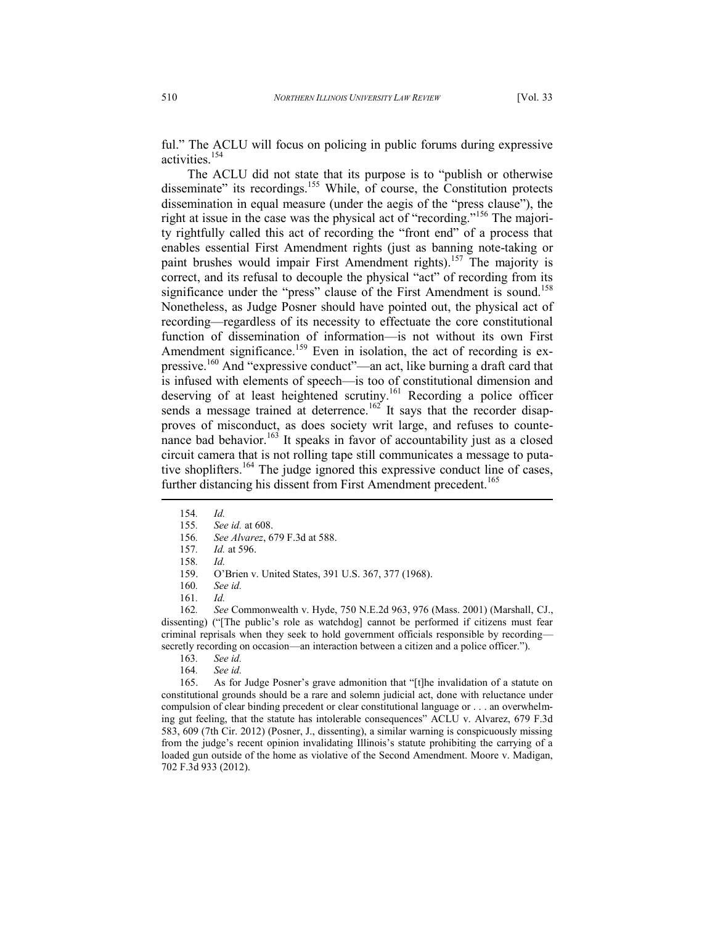ful." The ACLU will focus on policing in public forums during expressive activities.<sup>154</sup>

The ACLU did not state that its purpose is to "publish or otherwise disseminate" its recordings.<sup>155</sup> While, of course, the Constitution protects dissemination in equal measure (under the aegis of the "press clause"), the right at issue in the case was the physical act of "recording."<sup>156</sup> The majority rightfully called this act of recording the "front end" of a process that enables essential First Amendment rights (just as banning note-taking or paint brushes would impair First Amendment rights).<sup>157</sup> The majority is correct, and its refusal to decouple the physical "act" of recording from its significance under the "press" clause of the First Amendment is sound.<sup>158</sup> Nonetheless, as Judge Posner should have pointed out, the physical act of recording—regardless of its necessity to effectuate the core constitutional function of dissemination of information—is not without its own First Amendment significance.<sup>159</sup> Even in isolation, the act of recording is expressive.<sup>160</sup> And "expressive conduct"—an act, like burning a draft card that is infused with elements of speech—is too of constitutional dimension and deserving of at least heightened scrutiny.<sup>161</sup> Recording a police officer sends a message trained at deterrence.<sup>162</sup> It says that the recorder disapproves of misconduct, as does society writ large, and refuses to countenance bad behavior.<sup>163</sup> It speaks in favor of accountability just as a closed circuit camera that is not rolling tape still communicates a message to putative shoplifters.<sup>164</sup> The judge ignored this expressive conduct line of cases, further distancing his dissent from First Amendment precedent.<sup>165</sup>

- 154*. Id.*
- 155*. See id.* at 608.
- 156*. See Alvarez*, 679 F.3d at 588.
- 157*. Id.* at 596.
- 158*. Id.*
- 159. O'Brien v. United States, 391 U.S. 367, 377 (1968).
- 160*. See id.*
- 161*. Id.*

162*. See* Commonwealth v. Hyde, 750 N.E.2d 963, 976 (Mass. 2001) (Marshall, CJ., dissenting) ("[The public's role as watchdog] cannot be performed if citizens must fear criminal reprisals when they seek to hold government officials responsible by recording secretly recording on occasion—an interaction between a citizen and a police officer.").

- 
- 163*. See id.*  See id.

165. As for Judge Posner's grave admonition that "[t]he invalidation of a statute on constitutional grounds should be a rare and solemn judicial act, done with reluctance under compulsion of clear binding precedent or clear constitutional language or . . . an overwhelming gut feeling, that the statute has intolerable consequences" ACLU v. Alvarez, 679 F.3d 583, 609 (7th Cir. 2012) (Posner, J., dissenting), a similar warning is conspicuously missing from the judge's recent opinion invalidating Illinois's statute prohibiting the carrying of a loaded gun outside of the home as violative of the Second Amendment. Moore v. Madigan, 702 F.3d 933 (2012).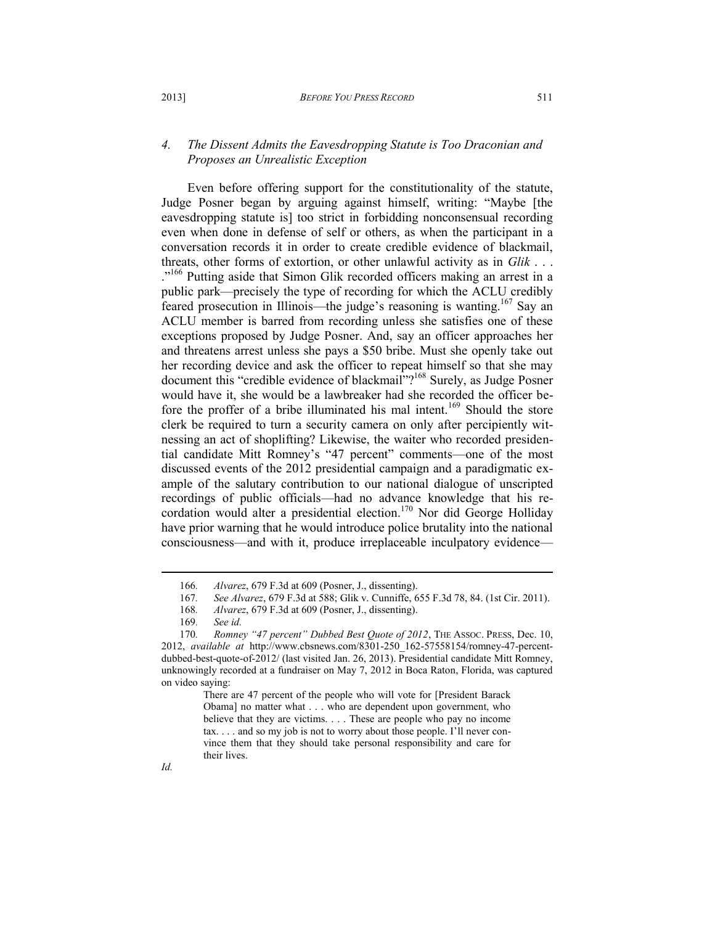### *4. The Dissent Admits the Eavesdropping Statute is Too Draconian and Proposes an Unrealistic Exception*

Even before offering support for the constitutionality of the statute, Judge Posner began by arguing against himself, writing: "Maybe [the eavesdropping statute is] too strict in forbidding nonconsensual recording even when done in defense of self or others, as when the participant in a conversation records it in order to create credible evidence of blackmail, threats, other forms of extortion, or other unlawful activity as in *Glik* . . . ."<sup>166</sup> Putting aside that Simon Glik recorded officers making an arrest in a public park—precisely the type of recording for which the ACLU credibly feared prosecution in Illinois—the judge's reasoning is wanting.<sup>167</sup> Say an ACLU member is barred from recording unless she satisfies one of these exceptions proposed by Judge Posner. And, say an officer approaches her and threatens arrest unless she pays a \$50 bribe. Must she openly take out her recording device and ask the officer to repeat himself so that she may document this "credible evidence of blackmail"?<sup>168</sup> Surely, as Judge Posner would have it, she would be a lawbreaker had she recorded the officer before the proffer of a bribe illuminated his mal intent.<sup>169</sup> Should the store clerk be required to turn a security camera on only after percipiently witnessing an act of shoplifting? Likewise, the waiter who recorded presidential candidate Mitt Romney's "47 percent" comments—one of the most discussed events of the 2012 presidential campaign and a paradigmatic example of the salutary contribution to our national dialogue of unscripted recordings of public officials—had no advance knowledge that his recordation would alter a presidential election.<sup>170</sup> Nor did George Holliday have prior warning that he would introduce police brutality into the national consciousness—and with it, produce irreplaceable inculpatory evidence—

<sup>166</sup>*. Alvarez*, 679 F.3d at 609 (Posner, J., dissenting).

<sup>167</sup>*. See Alvarez*, 679 F.3d at 588; Glik v. Cunniffe, 655 F.3d 78, 84. (1st Cir. 2011).

<sup>168</sup>*. Alvarez*, 679 F.3d at 609 (Posner, J., dissenting).

<sup>169</sup>*. See id.*

<sup>170</sup>*. Romney "47 percent" Dubbed Best Quote of 2012*, THE ASSOC. PRESS, Dec. 10, 2012, *available at* http://www.cbsnews.com/8301-250\_162-57558154/romney-47-percentdubbed-best-quote-of-2012/ (last visited Jan. 26, 2013). Presidential candidate Mitt Romney, unknowingly recorded at a fundraiser on May 7, 2012 in Boca Raton, Florida, was captured on video saying:

There are 47 percent of the people who will vote for [President Barack Obama] no matter what . . . who are dependent upon government, who believe that they are victims. . . . These are people who pay no income tax. . . . and so my job is not to worry about those people. I'll never convince them that they should take personal responsibility and care for their lives.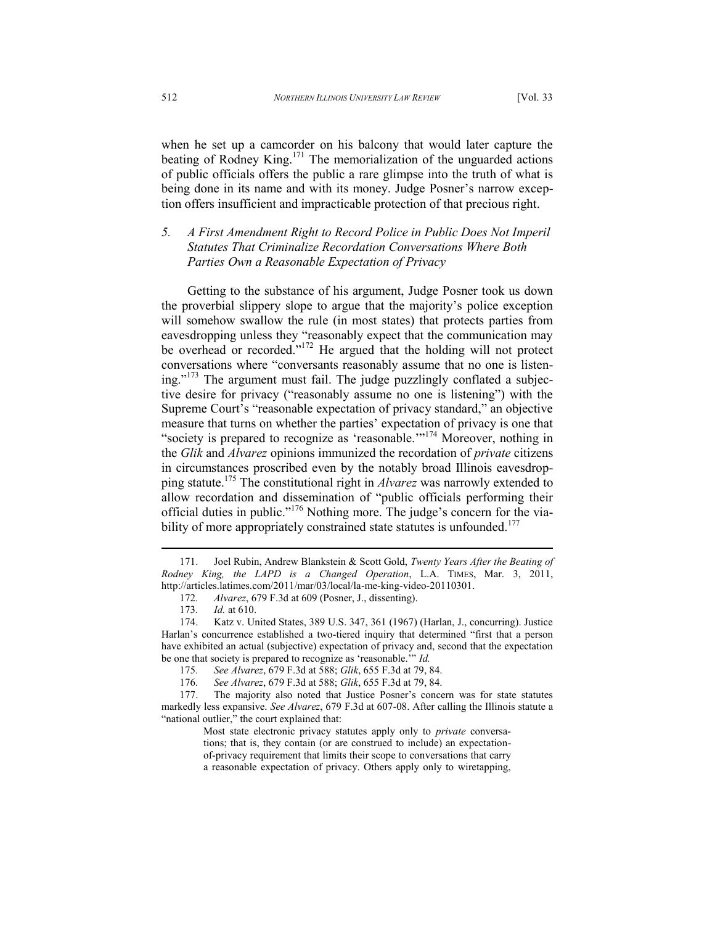when he set up a camcorder on his balcony that would later capture the beating of Rodney King.<sup>171</sup> The memorialization of the unguarded actions of public officials offers the public a rare glimpse into the truth of what is being done in its name and with its money. Judge Posner's narrow exception offers insufficient and impracticable protection of that precious right.

*5. A First Amendment Right to Record Police in Public Does Not Imperil Statutes That Criminalize Recordation Conversations Where Both Parties Own a Reasonable Expectation of Privacy* 

Getting to the substance of his argument, Judge Posner took us down the proverbial slippery slope to argue that the majority's police exception will somehow swallow the rule (in most states) that protects parties from eavesdropping unless they "reasonably expect that the communication may be overhead or recorded."<sup>172</sup> He argued that the holding will not protect conversations where "conversants reasonably assume that no one is listening."<sup>173</sup> The argument must fail. The judge puzzlingly conflated a subjective desire for privacy ("reasonably assume no one is listening") with the Supreme Court's "reasonable expectation of privacy standard," an objective measure that turns on whether the parties' expectation of privacy is one that "society is prepared to recognize as 'reasonable.'"<sup>174</sup> Moreover, nothing in the *Glik* and *Alvarez* opinions immunized the recordation of *private* citizens in circumstances proscribed even by the notably broad Illinois eavesdropping statute.<sup>175</sup> The constitutional right in *Alvarez* was narrowly extended to allow recordation and dissemination of "public officials performing their official duties in public."<sup>176</sup> Nothing more. The judge's concern for the viability of more appropriately constrained state statutes is unfounded.<sup>177</sup>

<sup>171.</sup> Joel Rubin, Andrew Blankstein & Scott Gold, *Twenty Years After the Beating of Rodney King, the LAPD is a Changed Operation*, L.A. TIMES, Mar. 3, 2011, http://articles.latimes.com/2011/mar/03/local/la-me-king-video-20110301.

<sup>172</sup>*. Alvarez*, 679 F.3d at 609 (Posner, J., dissenting).

<sup>173</sup>*. Id.* at 610.

<sup>174.</sup> Katz v. United States, 389 U.S. 347, 361 (1967) (Harlan, J., concurring). Justice Harlan's concurrence established a two-tiered inquiry that determined "first that a person have exhibited an actual (subjective) expectation of privacy and, second that the expectation be one that society is prepared to recognize as 'reasonable.'" *Id.*

<sup>175</sup>*. See Alvarez*, 679 F.3d at 588; *Glik*, 655 F.3d at 79, 84.

<sup>176</sup>*. See Alvarez*, 679 F.3d at 588; *Glik*, 655 F.3d at 79, 84.

<sup>177.</sup> The majority also noted that Justice Posner's concern was for state statutes markedly less expansive. *See Alvarez*, 679 F.3d at 607-08. After calling the Illinois statute a "national outlier," the court explained that:

Most state electronic privacy statutes apply only to *private* conversations; that is, they contain (or are construed to include) an expectationof-privacy requirement that limits their scope to conversations that carry a reasonable expectation of privacy. Others apply only to wiretapping,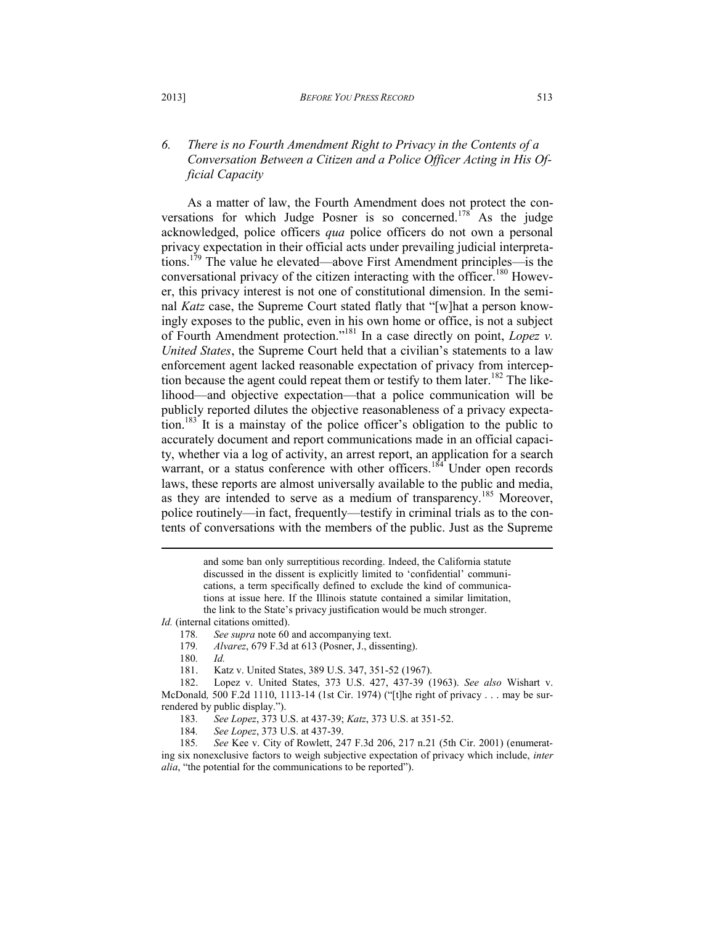# *6. There is no Fourth Amendment Right to Privacy in the Contents of a Conversation Between a Citizen and a Police Officer Acting in His Official Capacity*

As a matter of law, the Fourth Amendment does not protect the conversations for which Judge Posner is so concerned.<sup>178</sup> As the judge acknowledged, police officers *qua* police officers do not own a personal privacy expectation in their official acts under prevailing judicial interpretations.<sup>179</sup> The value he elevated—above First Amendment principles—is the conversational privacy of the citizen interacting with the officer.<sup>180</sup> However, this privacy interest is not one of constitutional dimension. In the seminal *Katz* case, the Supreme Court stated flatly that "[w]hat a person knowingly exposes to the public, even in his own home or office, is not a subject of Fourth Amendment protection."<sup>181</sup> In a case directly on point, *Lopez v. United States*, the Supreme Court held that a civilian's statements to a law enforcement agent lacked reasonable expectation of privacy from interception because the agent could repeat them or testify to them later.<sup>182</sup> The likelihood—and objective expectation—that a police communication will be publicly reported dilutes the objective reasonableness of a privacy expectation.<sup>183</sup> It is a mainstay of the police officer's obligation to the public to accurately document and report communications made in an official capacity, whether via a log of activity, an arrest report, an application for a search warrant, or a status conference with other officers.<sup>184</sup> Under open records laws, these reports are almost universally available to the public and media, as they are intended to serve as a medium of transparency.<sup>185</sup> Moreover, police routinely—in fact, frequently—testify in criminal trials as to the contents of conversations with the members of the public. Just as the Supreme

> and some ban only surreptitious recording. Indeed, the California statute discussed in the dissent is explicitly limited to 'confidential' communications, a term specifically defined to exclude the kind of communications at issue here. If the Illinois statute contained a similar limitation, the link to the State's privacy justification would be much stronger.

*Id.* (internal citations omitted).

178*. See supra* note 60 and accompanying text.

179*. Alvarez*, 679 F.3d at 613 (Posner, J., dissenting).

180*. Id.*  Katz v. United States, 389 U.S. 347, 351-52 (1967).

182. Lopez v. United States, 373 U.S. 427, 437-39 (1963). *See also* Wishart v. McDonald*,* 500 F.2d 1110, 1113-14 (1st Cir. 1974) ("[t]he right of privacy . . . may be surrendered by public display.").

183*. See Lopez*, 373 U.S. at 437-39; *Katz*, 373 U.S. at 351-52.

184*. See Lopez*, 373 U.S. at 437-39.

185*. See* Kee v. City of Rowlett, 247 F.3d 206, 217 n.21 (5th Cir. 2001) (enumerating six nonexclusive factors to weigh subjective expectation of privacy which include, *inter alia*, "the potential for the communications to be reported").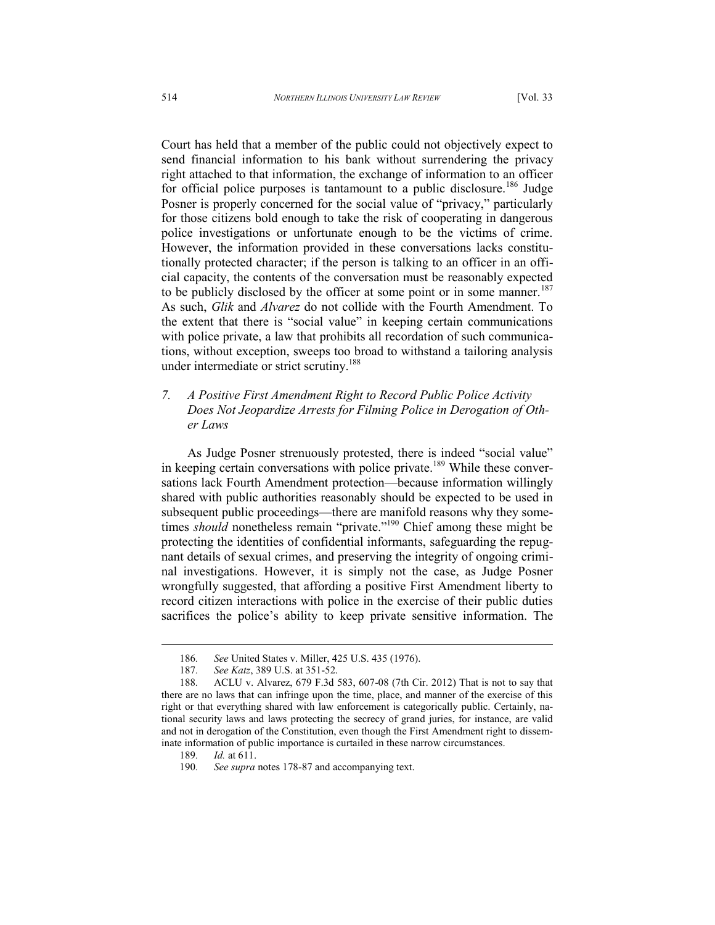Court has held that a member of the public could not objectively expect to send financial information to his bank without surrendering the privacy right attached to that information, the exchange of information to an officer for official police purposes is tantamount to a public disclosure.<sup>186</sup> Judge Posner is properly concerned for the social value of "privacy," particularly for those citizens bold enough to take the risk of cooperating in dangerous police investigations or unfortunate enough to be the victims of crime. However, the information provided in these conversations lacks constitutionally protected character; if the person is talking to an officer in an official capacity, the contents of the conversation must be reasonably expected to be publicly disclosed by the officer at some point or in some manner.<sup>187</sup> As such, *Glik* and *Alvarez* do not collide with the Fourth Amendment. To the extent that there is "social value" in keeping certain communications with police private, a law that prohibits all recordation of such communications, without exception, sweeps too broad to withstand a tailoring analysis under intermediate or strict scrutiny.<sup>188</sup>

# *7. A Positive First Amendment Right to Record Public Police Activity Does Not Jeopardize Arrests for Filming Police in Derogation of Other Laws*

As Judge Posner strenuously protested, there is indeed "social value" in keeping certain conversations with police private.<sup>189</sup> While these conversations lack Fourth Amendment protection—because information willingly shared with public authorities reasonably should be expected to be used in subsequent public proceedings—there are manifold reasons why they sometimes *should* nonetheless remain "private."<sup>190</sup> Chief among these might be protecting the identities of confidential informants, safeguarding the repugnant details of sexual crimes, and preserving the integrity of ongoing criminal investigations. However, it is simply not the case, as Judge Posner wrongfully suggested, that affording a positive First Amendment liberty to record citizen interactions with police in the exercise of their public duties sacrifices the police's ability to keep private sensitive information. The

<sup>186</sup>*. See* United States v. Miller, 425 U.S. 435 (1976).

<sup>187</sup>*. See Katz*, 389 U.S. at 351-52.

<sup>188</sup>*.* ACLU v. Alvarez, 679 F.3d 583, 607-08 (7th Cir. 2012) That is not to say that there are no laws that can infringe upon the time, place, and manner of the exercise of this right or that everything shared with law enforcement is categorically public. Certainly, national security laws and laws protecting the secrecy of grand juries, for instance, are valid and not in derogation of the Constitution, even though the First Amendment right to disseminate information of public importance is curtailed in these narrow circumstances.

<sup>189</sup>*. Id.* at 611.

<sup>190</sup>*. See supra* notes 178-87 and accompanying text.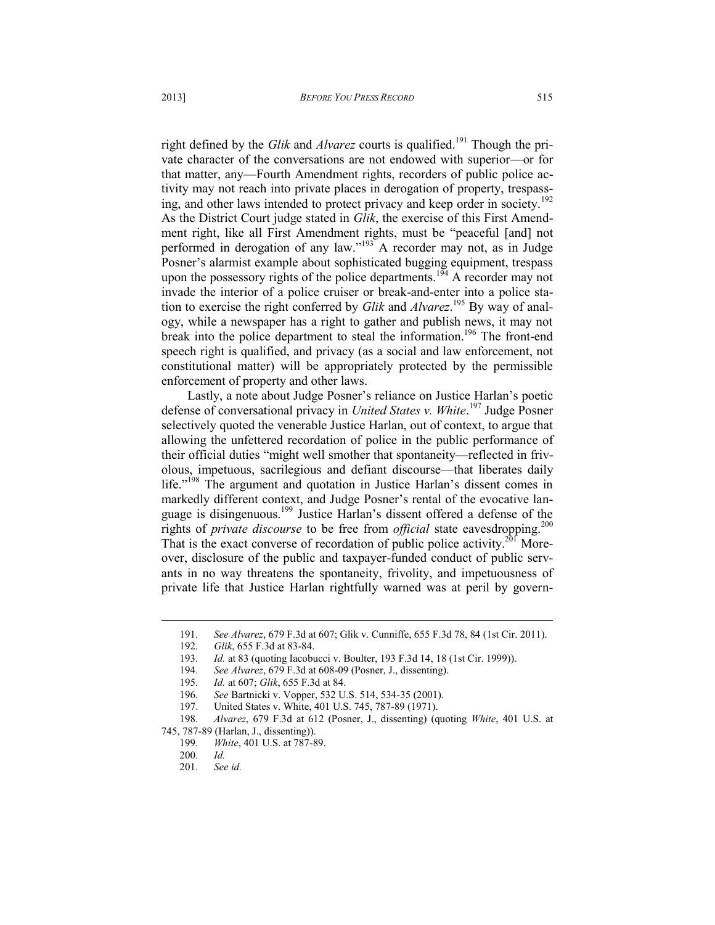right defined by the *Glik* and *Alvarez* courts is qualified.<sup>191</sup> Though the private character of the conversations are not endowed with superior—or for that matter, any—Fourth Amendment rights, recorders of public police activity may not reach into private places in derogation of property, trespassing, and other laws intended to protect privacy and keep order in society.<sup>192</sup> As the District Court judge stated in *Glik*, the exercise of this First Amendment right, like all First Amendment rights, must be "peaceful [and] not performed in derogation of any law."<sup>193</sup> A recorder may not, as in Judge Posner's alarmist example about sophisticated bugging equipment, trespass upon the possessory rights of the police departments.<sup>194</sup> A recorder may not invade the interior of a police cruiser or break-and-enter into a police station to exercise the right conferred by *Glik* and *Alvarez*. <sup>195</sup> By way of analogy, while a newspaper has a right to gather and publish news, it may not break into the police department to steal the information.<sup>196</sup> The front-end speech right is qualified, and privacy (as a social and law enforcement, not constitutional matter) will be appropriately protected by the permissible enforcement of property and other laws.

Lastly, a note about Judge Posner's reliance on Justice Harlan's poetic defense of conversational privacy in *United States v. White*. <sup>197</sup> Judge Posner selectively quoted the venerable Justice Harlan, out of context, to argue that allowing the unfettered recordation of police in the public performance of their official duties "might well smother that spontaneity—reflected in frivolous, impetuous, sacrilegious and defiant discourse—that liberates daily life."<sup>198</sup> The argument and quotation in Justice Harlan's dissent comes in markedly different context, and Judge Posner's rental of the evocative language is disingenuous.<sup>199</sup> Justice Harlan's dissent offered a defense of the rights of *private discourse* to be free from *official* state eavesdropping.<sup>200</sup> That is the exact converse of recordation of public police activity.<sup>201</sup> Moreover, disclosure of the public and taxpayer-funded conduct of public servants in no way threatens the spontaneity, frivolity, and impetuousness of private life that Justice Harlan rightfully warned was at peril by govern-

<sup>191</sup>*. See Alvarez*, 679 F.3d at 607; Glik v. Cunniffe, 655 F.3d 78, 84 (1st Cir. 2011).

<sup>192</sup>*. Glik*, 655 F.3d at 83-84.

<sup>193</sup>*. Id.* at 83 (quoting Iacobucci v. Boulter, 193 F.3d 14, 18 (1st Cir. 1999)).

<sup>194</sup>*. See Alvarez*, 679 F.3d at 608-09 (Posner, J., dissenting).

<sup>195</sup>*. Id.* at 607; *Glik*, 655 F.3d at 84.

<sup>196</sup>*. See* Bartnicki v. Vopper, 532 U.S. 514, 534-35 (2001).

<sup>197.</sup> United States v. White, 401 U.S. 745, 787-89 (1971).

<sup>198</sup>*. Alvarez*, 679 F.3d at 612 (Posner, J., dissenting) (quoting *White*, 401 U.S. at 745, 787-89 (Harlan, J., dissenting)).

<sup>199</sup>*. White*, 401 U.S. at 787-89.

<sup>200</sup>*. Id.*

<sup>201</sup>*. See id.*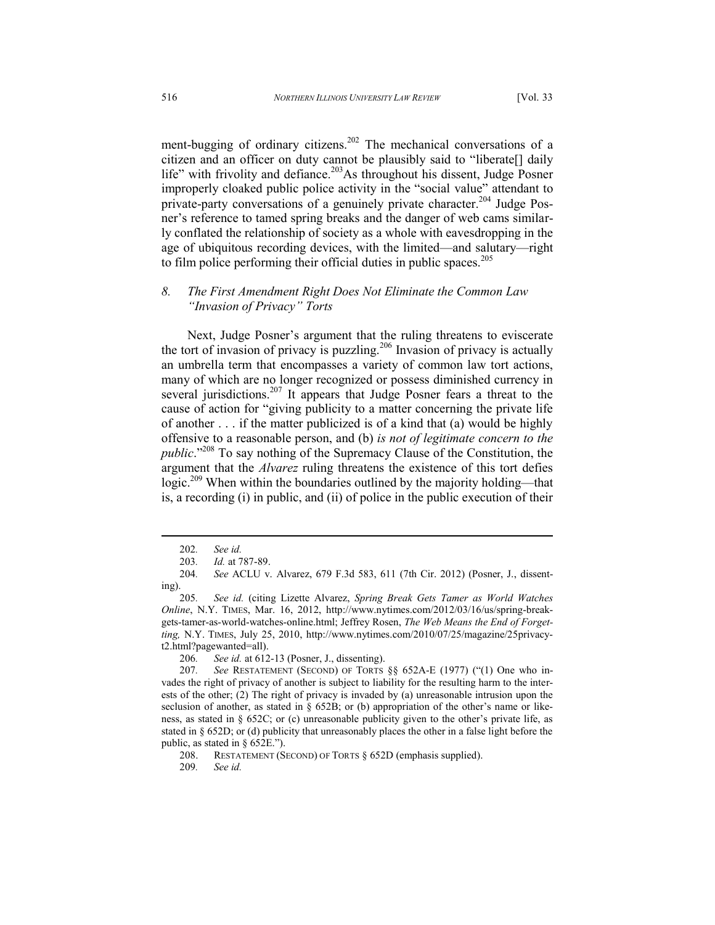ment-bugging of ordinary citizens.<sup>202</sup> The mechanical conversations of a citizen and an officer on duty cannot be plausibly said to "liberate[] daily life" with frivolity and defiance.<sup>203</sup>As throughout his dissent, Judge Posner improperly cloaked public police activity in the "social value" attendant to private-party conversations of a genuinely private character.<sup>204</sup> Judge Posner's reference to tamed spring breaks and the danger of web cams similarly conflated the relationship of society as a whole with eavesdropping in the age of ubiquitous recording devices, with the limited—and salutary—right to film police performing their official duties in public spaces.<sup>205</sup>

### *8. The First Amendment Right Does Not Eliminate the Common Law "Invasion of Privacy" Torts*

Next, Judge Posner's argument that the ruling threatens to eviscerate the tort of invasion of privacy is puzzling.<sup>206</sup> Invasion of privacy is actually an umbrella term that encompasses a variety of common law tort actions, many of which are no longer recognized or possess diminished currency in several jurisdictions.<sup>207</sup> It appears that Judge Posner fears a threat to the cause of action for "giving publicity to a matter concerning the private life of another . . . if the matter publicized is of a kind that (a) would be highly offensive to a reasonable person, and (b) *is not of legitimate concern to the public*."<sup>208</sup> To say nothing of the Supremacy Clause of the Constitution, the argument that the *Alvarez* ruling threatens the existence of this tort defies logic.<sup>209</sup> When within the boundaries outlined by the majority holding—that is, a recording (i) in public, and (ii) of police in the public execution of their

 $\overline{a}$ 

<sup>202</sup>*. See id.*

<sup>203</sup>*. Id.* at 787-89.

<sup>204</sup>*. See* ACLU v. Alvarez, 679 F.3d 583, 611 (7th Cir. 2012) (Posner, J., dissenting).

<sup>205</sup>*. See id.* (citing Lizette Alvarez, *Spring Break Gets Tamer as World Watches Online*, N.Y. TIMES, Mar. 16, 2012, http://www.nytimes.com/2012/03/16/us/spring-breakgets-tamer-as-world-watches-online.html; Jeffrey Rosen, *The Web Means the End of Forgetting,* N.Y. TIMES, July 25, 2010, http://www.nytimes.com/2010/07/25/magazine/25privacyt2.html?pagewanted=all).

<sup>206</sup>*. See id.* at 612-13 (Posner, J., dissenting).

<sup>207</sup>*. See* RESTATEMENT (SECOND) OF TORTS §§ 652A-E (1977) ("(1) One who invades the right of privacy of another is subject to liability for the resulting harm to the interests of the other; (2) The right of privacy is invaded by (a) unreasonable intrusion upon the seclusion of another, as stated in § 652B; or (b) appropriation of the other's name or likeness, as stated in § 652C; or (c) unreasonable publicity given to the other's private life, as stated in § 652D; or (d) publicity that unreasonably places the other in a false light before the public, as stated in § 652E.").

<sup>208.</sup> RESTATEMENT (SECOND) OF TORTS § 652D (emphasis supplied).

<sup>209</sup>*. See id.*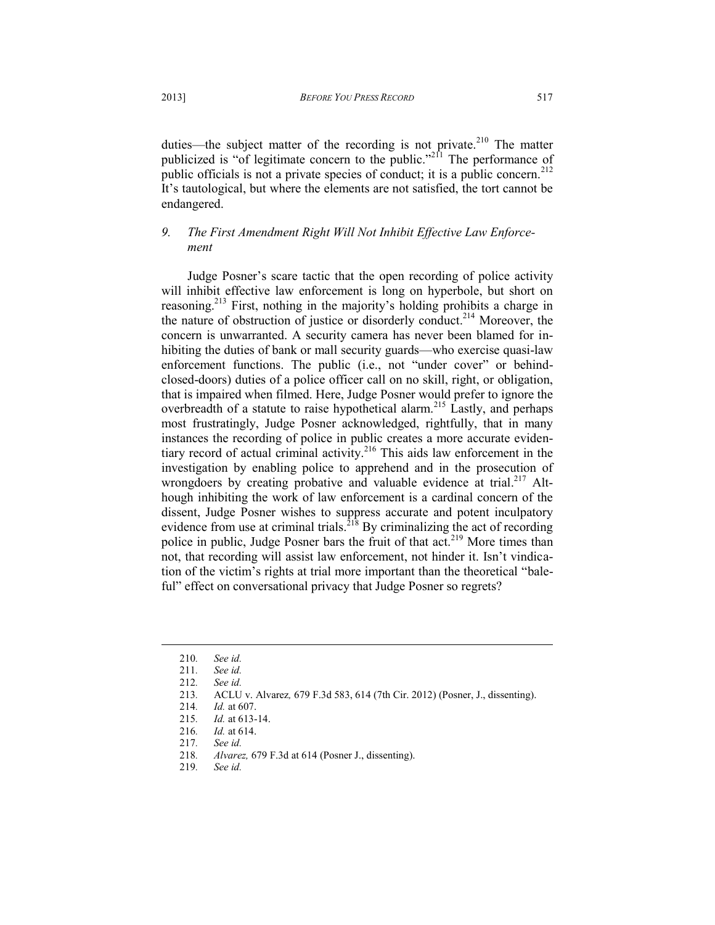duties—the subject matter of the recording is not private.<sup>210</sup> The matter publicized is "of legitimate concern to the public."<sup>2 $\Omega$ </sup> The performance of public officials is not a private species of conduct; it is a public concern.<sup>212</sup> It's tautological, but where the elements are not satisfied, the tort cannot be endangered.

# *9. The First Amendment Right Will Not Inhibit Effective Law Enforcement*

Judge Posner's scare tactic that the open recording of police activity will inhibit effective law enforcement is long on hyperbole, but short on reasoning.<sup>213</sup> First, nothing in the majority's holding prohibits a charge in the nature of obstruction of justice or disorderly conduct.<sup>214</sup> Moreover, the concern is unwarranted. A security camera has never been blamed for inhibiting the duties of bank or mall security guards—who exercise quasi-law enforcement functions. The public (i.e., not "under cover" or behindclosed-doors) duties of a police officer call on no skill, right, or obligation, that is impaired when filmed. Here, Judge Posner would prefer to ignore the overbreadth of a statute to raise hypothetical alarm.<sup>215</sup> Lastly, and perhaps most frustratingly, Judge Posner acknowledged, rightfully, that in many instances the recording of police in public creates a more accurate evidentiary record of actual criminal activity.<sup>216</sup> This aids law enforcement in the investigation by enabling police to apprehend and in the prosecution of wrongdoers by creating probative and valuable evidence at trial.<sup>217</sup> Although inhibiting the work of law enforcement is a cardinal concern of the dissent, Judge Posner wishes to suppress accurate and potent inculpatory evidence from use at criminal trials.<sup>218</sup> By criminalizing the act of recording police in public, Judge Posner bars the fruit of that  $act<sup>219</sup>$  More times than not, that recording will assist law enforcement, not hinder it. Isn't vindication of the victim's rights at trial more important than the theoretical "baleful" effect on conversational privacy that Judge Posner so regrets?

<sup>210</sup>*. See id.*

See id.

<sup>212</sup>*. See id.*

<sup>213</sup>*.* ACLU v. Alvarez*,* 679 F.3d 583, 614 (7th Cir. 2012) (Posner, J., dissenting).

<sup>214</sup>*. Id.* at 607.

<sup>215</sup>*. Id.* at 613-14.

<sup>216</sup>*. Id.* at 614.

<sup>217</sup>*. See id.*

<sup>218</sup>*. Alvarez,* 679 F.3d at 614 (Posner J., dissenting).

<sup>219</sup>*. See id.*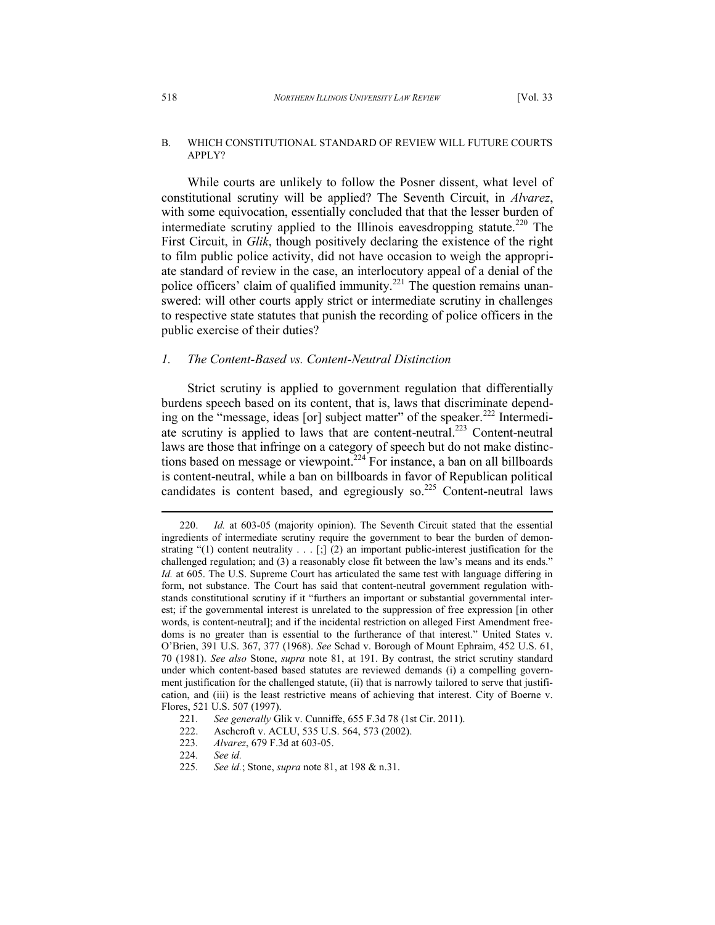### B. WHICH CONSTITUTIONAL STANDARD OF REVIEW WILL FUTURE COURTS APPLY?

While courts are unlikely to follow the Posner dissent, what level of constitutional scrutiny will be applied? The Seventh Circuit, in *Alvarez*, with some equivocation, essentially concluded that that the lesser burden of intermediate scrutiny applied to the Illinois eavesdropping statute.<sup>220</sup> The First Circuit, in *Glik*, though positively declaring the existence of the right to film public police activity, did not have occasion to weigh the appropriate standard of review in the case, an interlocutory appeal of a denial of the police officers' claim of qualified immunity.<sup>221</sup> The question remains unanswered: will other courts apply strict or intermediate scrutiny in challenges to respective state statutes that punish the recording of police officers in the public exercise of their duties?

# *1. The Content-Based vs. Content-Neutral Distinction*

Strict scrutiny is applied to government regulation that differentially burdens speech based on its content, that is, laws that discriminate depending on the "message, ideas [or] subject matter" of the speaker.<sup>222</sup> Intermediate scrutiny is applied to laws that are content-neutral.<sup>223</sup> Content-neutral laws are those that infringe on a category of speech but do not make distinctions based on message or viewpoint.<sup>224</sup> For instance, a ban on all billboards is content-neutral, while a ban on billboards in favor of Republican political candidates is content based, and egregiously so.<sup>225</sup> Content-neutral laws

<sup>220.</sup> *Id.* at 603-05 (majority opinion). The Seventh Circuit stated that the essential ingredients of intermediate scrutiny require the government to bear the burden of demonstrating "(1) content neutrality . . . [;] (2) an important public-interest justification for the challenged regulation; and (3) a reasonably close fit between the law's means and its ends." *Id.* at 605. The U.S. Supreme Court has articulated the same test with language differing in form, not substance. The Court has said that content-neutral government regulation withstands constitutional scrutiny if it "furthers an important or substantial governmental interest; if the governmental interest is unrelated to the suppression of free expression [in other words, is content-neutral]; and if the incidental restriction on alleged First Amendment freedoms is no greater than is essential to the furtherance of that interest." United States v. O'Brien, 391 U.S. 367, 377 (1968). *See* Schad v. Borough of Mount Ephraim, 452 U.S. 61, 70 (1981). *See also* Stone, *supra* note 81, at 191. By contrast, the strict scrutiny standard under which content-based based statutes are reviewed demands (i) a compelling government justification for the challenged statute, (ii) that is narrowly tailored to serve that justification, and (iii) is the least restrictive means of achieving that interest. City of Boerne v. Flores, 521 U.S. 507 (1997).

<sup>221</sup>*. See generally* Glik v. Cunniffe, 655 F.3d 78 (1st Cir. 2011).

<sup>222.</sup> Aschcroft v. ACLU, 535 U.S. 564, 573 (2002).

<sup>223</sup>*. Alvarez*, 679 F.3d at 603-05.

<sup>224</sup>*. See id.*

<sup>225</sup>*. See id.*; Stone, *supra* note 81, at 198 & n.31.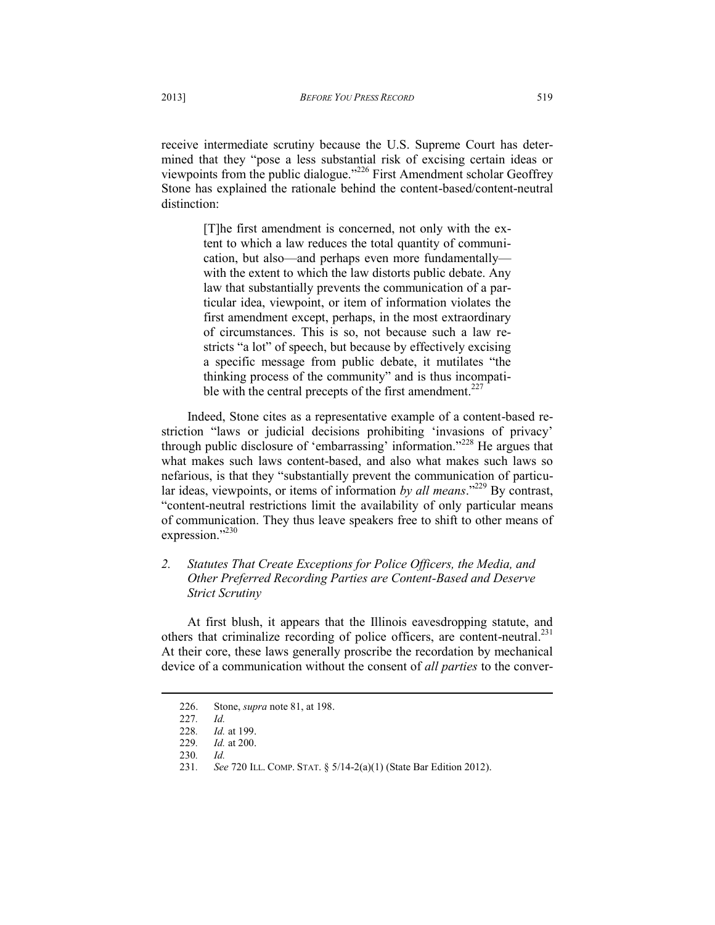receive intermediate scrutiny because the U.S. Supreme Court has determined that they "pose a less substantial risk of excising certain ideas or viewpoints from the public dialogue."<sup>226</sup> First Amendment scholar Geoffrey Stone has explained the rationale behind the content-based/content-neutral distinction:

> [T]he first amendment is concerned, not only with the extent to which a law reduces the total quantity of communication, but also—and perhaps even more fundamentally with the extent to which the law distorts public debate. Any law that substantially prevents the communication of a particular idea, viewpoint, or item of information violates the first amendment except, perhaps, in the most extraordinary of circumstances. This is so, not because such a law restricts "a lot" of speech, but because by effectively excising a specific message from public debate, it mutilates "the thinking process of the community" and is thus incompatible with the central precepts of the first amendment. $227$

Indeed, Stone cites as a representative example of a content-based restriction "laws or judicial decisions prohibiting 'invasions of privacy' through public disclosure of 'embarrassing' information."<sup>228</sup> He argues that what makes such laws content-based, and also what makes such laws so nefarious, is that they "substantially prevent the communication of particular ideas, viewpoints, or items of information *by all means*."<sup>229</sup> By contrast, "content-neutral restrictions limit the availability of only particular means of communication. They thus leave speakers free to shift to other means of expression."<sup>230</sup>

# *2. Statutes That Create Exceptions for Police Officers, the Media, and Other Preferred Recording Parties are Content-Based and Deserve Strict Scrutiny*

At first blush, it appears that the Illinois eavesdropping statute, and others that criminalize recording of police officers, are content-neutral.<sup>231</sup> At their core, these laws generally proscribe the recordation by mechanical device of a communication without the consent of *all parties* to the conver-

<sup>226.</sup> Stone, *supra* note 81, at 198.

<sup>227</sup>*. Id.*

<sup>228</sup>*. Id.* at 199.

<sup>229</sup>*. Id.* at 200.

<sup>230</sup>*. Id.*

<sup>231</sup>*. See* 720 ILL. COMP. STAT. § 5/14-2(a)(1) (State Bar Edition 2012).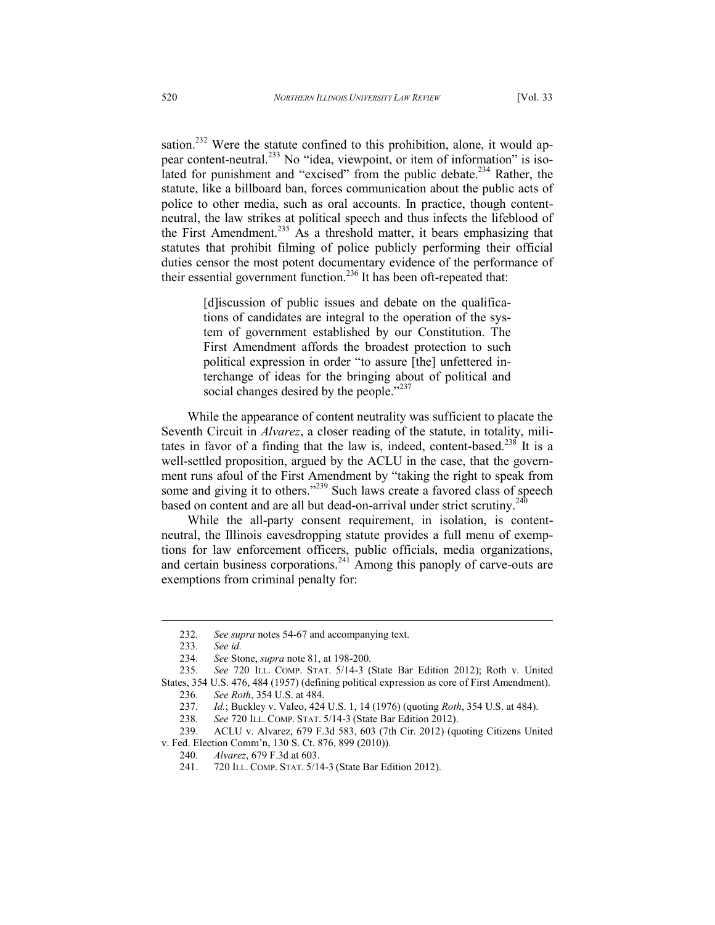sation.<sup>232</sup> Were the statute confined to this prohibition, alone, it would appear content-neutral.<sup>233</sup> No "idea, viewpoint, or item of information" is isolated for punishment and "excised" from the public debate.<sup>234</sup> Rather, the statute, like a billboard ban, forces communication about the public acts of police to other media, such as oral accounts. In practice, though contentneutral, the law strikes at political speech and thus infects the lifeblood of the First Amendment.<sup>235</sup> As a threshold matter, it bears emphasizing that statutes that prohibit filming of police publicly performing their official duties censor the most potent documentary evidence of the performance of their essential government function.<sup>236</sup> It has been oft-repeated that:

> [d]iscussion of public issues and debate on the qualifications of candidates are integral to the operation of the system of government established by our Constitution. The First Amendment affords the broadest protection to such political expression in order "to assure [the] unfettered interchange of ideas for the bringing about of political and social changes desired by the people."<sup>237</sup>

While the appearance of content neutrality was sufficient to placate the Seventh Circuit in *Alvarez*, a closer reading of the statute, in totality, militates in favor of a finding that the law is, indeed, content-based.<sup>238</sup> It is a well-settled proposition, argued by the ACLU in the case, that the government runs afoul of the First Amendment by "taking the right to speak from some and giving it to others."<sup>239</sup> Such laws create a favored class of speech based on content and are all but dead-on-arrival under strict scrutiny.<sup>240</sup>

While the all-party consent requirement, in isolation, is contentneutral, the Illinois eavesdropping statute provides a full menu of exemptions for law enforcement officers, public officials, media organizations, and certain business corporations. $241$  Among this panoply of carve-outs are exemptions from criminal penalty for:

<sup>232</sup>*. See supra* notes 54-67 and accompanying text.

<sup>233</sup>*. See id.* 

<sup>234</sup>*. See* Stone, *supra* note 81, at 198-200.

<sup>235</sup>*. See* 720 ILL. COMP. STAT. 5/14-3 (State Bar Edition 2012); Roth v. United States, 354 U.S. 476, 484 (1957) (defining political expression as core of First Amendment).

<sup>236</sup>*. See Roth*, 354 U.S. at 484.

<sup>237</sup>*. Id.*; Buckley v. Valeo, 424 U.S. 1, 14 (1976) (quoting *Roth*, 354 U.S. at 484).

<sup>238</sup>*. See* 720 ILL. COMP. STAT. 5/14-3 (State Bar Edition 2012).

<sup>239.</sup> ACLU v. Alvarez, 679 F.3d 583, 603 (7th Cir. 2012) (quoting Citizens United v. Fed. Election Comm'n, 130 S. Ct. 876, 899 (2010)).

<sup>240</sup>*. Alvarez*, 679 F.3d at 603.

<sup>241. 720</sup> ILL. COMP. STAT. 5/14-3 (State Bar Edition 2012).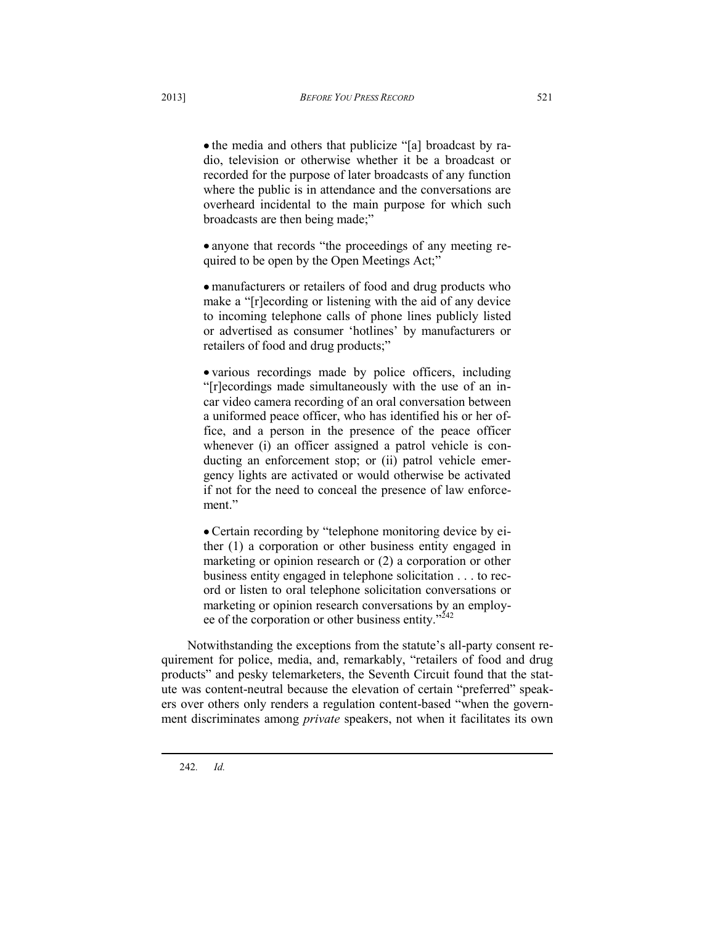• the media and others that publicize "[a] broadcast by radio, television or otherwise whether it be a broadcast or recorded for the purpose of later broadcasts of any function where the public is in attendance and the conversations are overheard incidental to the main purpose for which such broadcasts are then being made;"

• anyone that records "the proceedings of any meeting required to be open by the Open Meetings Act;"

manufacturers or retailers of food and drug products who make a "[r]ecording or listening with the aid of any device to incoming telephone calls of phone lines publicly listed or advertised as consumer 'hotlines' by manufacturers or retailers of food and drug products;"

various recordings made by police officers, including "[r]ecordings made simultaneously with the use of an incar video camera recording of an oral conversation between a uniformed peace officer, who has identified his or her office, and a person in the presence of the peace officer whenever (i) an officer assigned a patrol vehicle is conducting an enforcement stop; or (ii) patrol vehicle emergency lights are activated or would otherwise be activated if not for the need to conceal the presence of law enforcement."

Certain recording by "telephone monitoring device by either (1) a corporation or other business entity engaged in marketing or opinion research or (2) a corporation or other business entity engaged in telephone solicitation . . . to record or listen to oral telephone solicitation conversations or marketing or opinion research conversations by an employee of the corporation or other business entity."<sup>242</sup>

Notwithstanding the exceptions from the statute's all-party consent requirement for police, media, and, remarkably, "retailers of food and drug products" and pesky telemarketers, the Seventh Circuit found that the statute was content-neutral because the elevation of certain "preferred" speakers over others only renders a regulation content-based "when the government discriminates among *private* speakers, not when it facilitates its own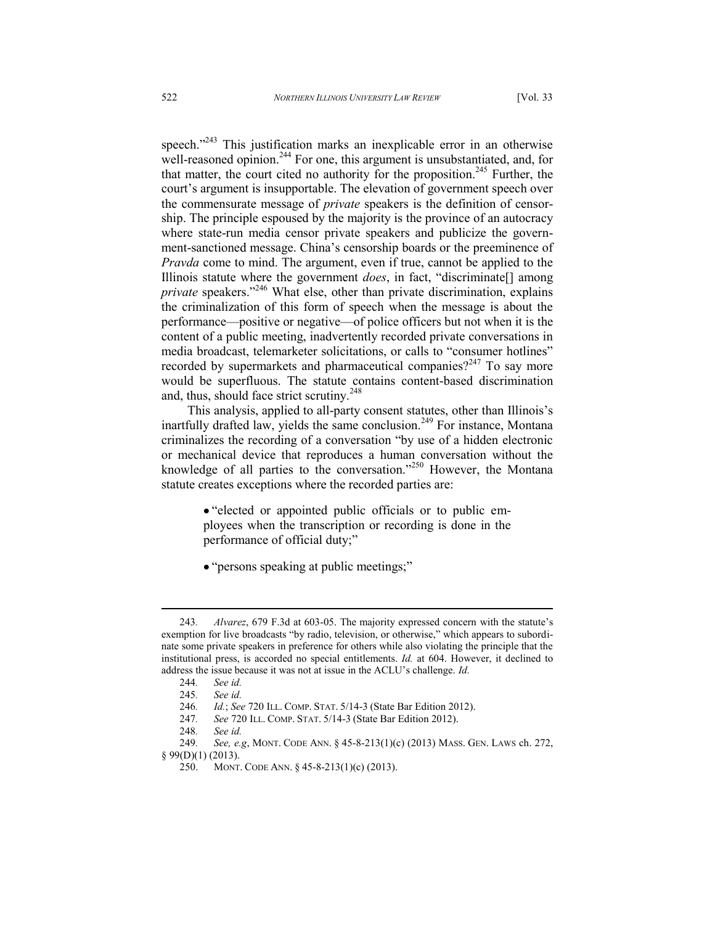speech. $1243}$  This justification marks an inexplicable error in an otherwise well-reasoned opinion. $^{244}$  For one, this argument is unsubstantiated, and, for that matter, the court cited no authority for the proposition.<sup>245</sup> Further, the court's argument is insupportable. The elevation of government speech over the commensurate message of *private* speakers is the definition of censorship. The principle espoused by the majority is the province of an autocracy where state-run media censor private speakers and publicize the government-sanctioned message. China's censorship boards or the preeminence of *Pravda* come to mind. The argument, even if true, cannot be applied to the Illinois statute where the government *does*, in fact, "discriminate[] among *private* speakers."<sup>246</sup> What else, other than private discrimination, explains the criminalization of this form of speech when the message is about the performance—positive or negative—of police officers but not when it is the content of a public meeting, inadvertently recorded private conversations in media broadcast, telemarketer solicitations, or calls to "consumer hotlines" recorded by supermarkets and pharmaceutical companies?<sup>247</sup> To say more would be superfluous. The statute contains content-based discrimination and, thus, should face strict scrutiny.<sup>248</sup>

This analysis, applied to all-party consent statutes, other than Illinois's inartfully drafted law, yields the same conclusion.<sup>249</sup> For instance, Montana criminalizes the recording of a conversation "by use of a hidden electronic or mechanical device that reproduces a human conversation without the knowledge of all parties to the conversation."<sup>250</sup> However, the Montana statute creates exceptions where the recorded parties are:

- "elected or appointed public officials or to public employees when the transcription or recording is done in the performance of official duty;"
- "persons speaking at public meetings;"

<sup>243</sup>*. Alvarez*, 679 F.3d at 603-05. The majority expressed concern with the statute's exemption for live broadcasts "by radio, television, or otherwise," which appears to subordinate some private speakers in preference for others while also violating the principle that the institutional press, is accorded no special entitlements. *Id.* at 604. However, it declined to address the issue because it was not at issue in the ACLU's challenge. *Id.* 

<sup>244</sup>*. See id.*

<sup>245</sup>*. See id.*

<sup>246</sup>*. Id.*; *See* 720 ILL. COMP. STAT. 5/14-3 (State Bar Edition 2012).

<sup>247</sup>*. See* 720 ILL. COMP. STAT. 5/14-3 (State Bar Edition 2012).

<sup>248</sup>*. See id.*

<sup>249</sup>*. See, e.g*, MONT. CODE ANN. § 45-8-213(1)(c) (2013) MASS. GEN. LAWS ch. 272, § 99(D)(1) (2013).

<sup>250.</sup> MONT. CODE ANN. § 45-8-213(1)(c) (2013).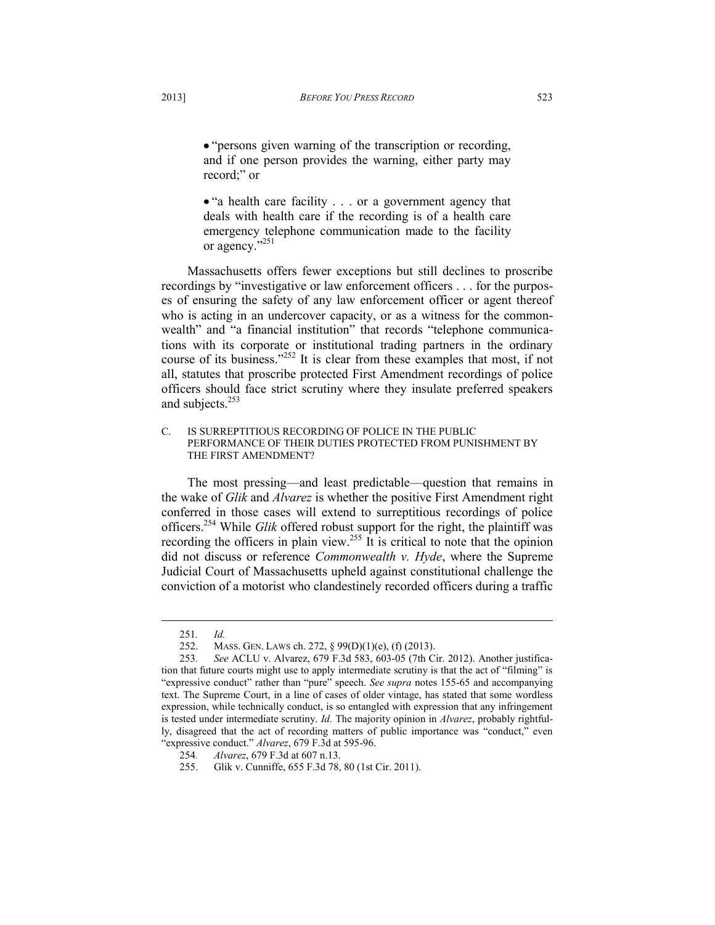"persons given warning of the transcription or recording, and if one person provides the warning, either party may record;" or

• "a health care facility . . . or a government agency that deals with health care if the recording is of a health care emergency telephone communication made to the facility or agency."<sup>251</sup>

Massachusetts offers fewer exceptions but still declines to proscribe recordings by "investigative or law enforcement officers . . . for the purposes of ensuring the safety of any law enforcement officer or agent thereof who is acting in an undercover capacity, or as a witness for the commonwealth" and "a financial institution" that records "telephone communications with its corporate or institutional trading partners in the ordinary course of its business."<sup>252</sup> It is clear from these examples that most, if not all, statutes that proscribe protected First Amendment recordings of police officers should face strict scrutiny where they insulate preferred speakers and subjects. $253$ 

C. IS SURREPTITIOUS RECORDING OF POLICE IN THE PUBLIC PERFORMANCE OF THEIR DUTIES PROTECTED FROM PUNISHMENT BY THE FIRST AMENDMENT?

The most pressing—and least predictable—question that remains in the wake of *Glik* and *Alvarez* is whether the positive First Amendment right conferred in those cases will extend to surreptitious recordings of police officers.<sup>254</sup> While *Glik* offered robust support for the right, the plaintiff was recording the officers in plain view.<sup>255</sup> It is critical to note that the opinion did not discuss or reference *Commonwealth v. Hyde*, where the Supreme Judicial Court of Massachusetts upheld against constitutional challenge the conviction of a motorist who clandestinely recorded officers during a traffic

<sup>251</sup>*. Id.*

<sup>252.</sup> MASS. GEN. LAWS ch. 272, § 99(D)(1)(e), (f) (2013).

<sup>253</sup>*. See* ACLU v. Alvarez, 679 F.3d 583, 603-05 (7th Cir. 2012). Another justification that future courts might use to apply intermediate scrutiny is that the act of "filming" is "expressive conduct" rather than "pure" speech. *See supra* notes 155-65 and accompanying text. The Supreme Court, in a line of cases of older vintage, has stated that some wordless expression, while technically conduct, is so entangled with expression that any infringement is tested under intermediate scrutiny. *Id.* The majority opinion in *Alvarez*, probably rightfully, disagreed that the act of recording matters of public importance was "conduct," even "expressive conduct." *Alvarez*, 679 F.3d at 595-96.

<sup>254</sup>*. Alvarez*, 679 F.3d at 607 n.13.

<sup>255.</sup> Glik v. Cunniffe, 655 F.3d 78, 80 (1st Cir. 2011).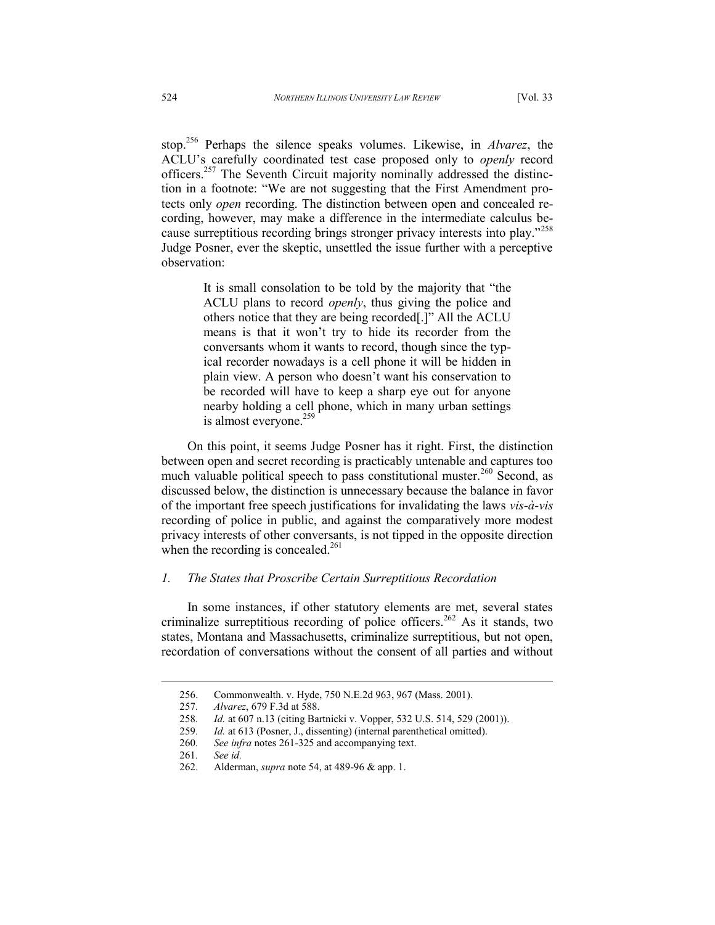stop.<sup>256</sup> Perhaps the silence speaks volumes. Likewise, in *Alvarez*, the ACLU's carefully coordinated test case proposed only to *openly* record officers.<sup>257</sup> The Seventh Circuit majority nominally addressed the distinction in a footnote: "We are not suggesting that the First Amendment protects only *open* recording. The distinction between open and concealed recording, however, may make a difference in the intermediate calculus because surreptitious recording brings stronger privacy interests into play."<sup>258</sup> Judge Posner, ever the skeptic, unsettled the issue further with a perceptive observation:

> It is small consolation to be told by the majority that "the ACLU plans to record *openly*, thus giving the police and others notice that they are being recorded[.]" All the ACLU means is that it won't try to hide its recorder from the conversants whom it wants to record, though since the typical recorder nowadays is a cell phone it will be hidden in plain view. A person who doesn't want his conservation to be recorded will have to keep a sharp eye out for anyone nearby holding a cell phone, which in many urban settings is almost everyone.<sup>259</sup>

On this point, it seems Judge Posner has it right. First, the distinction between open and secret recording is practicably untenable and captures too much valuable political speech to pass constitutional muster.<sup>260</sup> Second, as discussed below, the distinction is unnecessary because the balance in favor of the important free speech justifications for invalidating the laws *vis-à-vis* recording of police in public, and against the comparatively more modest privacy interests of other conversants, is not tipped in the opposite direction when the recording is concealed.<sup>261</sup>

### *1. The States that Proscribe Certain Surreptitious Recordation*

In some instances, if other statutory elements are met, several states criminalize surreptitious recording of police officers.<sup>262</sup> As it stands, two states, Montana and Massachusetts, criminalize surreptitious, but not open, recordation of conversations without the consent of all parties and without

<sup>256.</sup> Commonwealth. v. Hyde, 750 N.E.2d 963, 967 (Mass. 2001).

<sup>257</sup>*. Alvarez*, 679 F.3d at 588.

<sup>258</sup>*. Id.* at 607 n.13 (citing Bartnicki v. Vopper, 532 U.S. 514, 529 (2001)).

<sup>259</sup>*. Id.* at 613 (Posner, J., dissenting) (internal parenthetical omitted).

<sup>260</sup>*. See infra* notes 261-325 and accompanying text.

<sup>261</sup>*. See id.*

<sup>262.</sup> Alderman, *supra* note 54, at 489-96 & app. 1.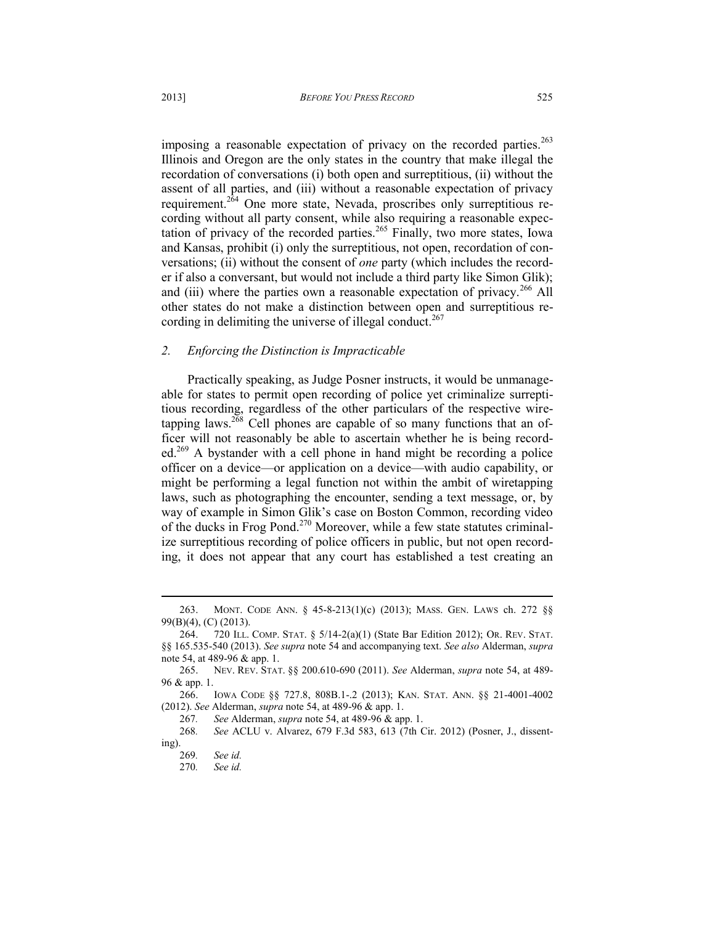imposing a reasonable expectation of privacy on the recorded parties.<sup>263</sup> Illinois and Oregon are the only states in the country that make illegal the recordation of conversations (i) both open and surreptitious, (ii) without the assent of all parties, and (iii) without a reasonable expectation of privacy requirement.<sup>264</sup> One more state, Nevada, proscribes only surreptitious recording without all party consent, while also requiring a reasonable expectation of privacy of the recorded parties.<sup>265</sup> Finally, two more states, Iowa and Kansas, prohibit (i) only the surreptitious, not open, recordation of conversations; (ii) without the consent of *one* party (which includes the recorder if also a conversant, but would not include a third party like Simon Glik); and (iii) where the parties own a reasonable expectation of privacy.<sup>266</sup> All other states do not make a distinction between open and surreptitious recording in delimiting the universe of illegal conduct.<sup>267</sup>

### *2. Enforcing the Distinction is Impracticable*

Practically speaking, as Judge Posner instructs, it would be unmanageable for states to permit open recording of police yet criminalize surreptitious recording, regardless of the other particulars of the respective wiretapping laws.<sup>268</sup> Cell phones are capable of so many functions that an officer will not reasonably be able to ascertain whether he is being recorded.<sup>269</sup> A bystander with a cell phone in hand might be recording a police officer on a device—or application on a device—with audio capability, or might be performing a legal function not within the ambit of wiretapping laws, such as photographing the encounter, sending a text message, or, by way of example in Simon Glik's case on Boston Common, recording video of the ducks in Frog Pond.<sup>270</sup> Moreover, while a few state statutes criminalize surreptitious recording of police officers in public, but not open recording, it does not appear that any court has established a test creating an

 $\overline{a}$ 

<sup>263.</sup> MONT. CODE ANN. § 45-8-213(1)(c) (2013); MASS. GEN. LAWS ch. 272 §§ 99(B)(4), (C) (2013).

<sup>264. 720</sup> ILL. COMP. STAT. § 5/14-2(a)(1) (State Bar Edition 2012); OR. REV. STAT. §§ 165.535-540 (2013). *See supra* note 54 and accompanying text. *See also* Alderman, *supra* note 54, at 489-96 & app. 1.

<sup>265.</sup> NEV. REV. STAT. §§ 200.610-690 (2011). *See* Alderman, *supra* note 54, at 489- 96 & app. 1.

<sup>266.</sup> IOWA CODE §§ 727.8, 808B.1-.2 (2013); KAN. STAT. ANN. §§ 21-4001-4002 (2012). *See* Alderman, *supra* note 54, at 489-96 & app. 1.

<sup>267</sup>*. See* Alderman, *supra* note 54, at 489-96 & app. 1.

<sup>268</sup>*. See* ACLU v. Alvarez, 679 F.3d 583, 613 (7th Cir. 2012) (Posner, J., dissenting).

<sup>269</sup>*. See id.*

<sup>270</sup>*. See id.*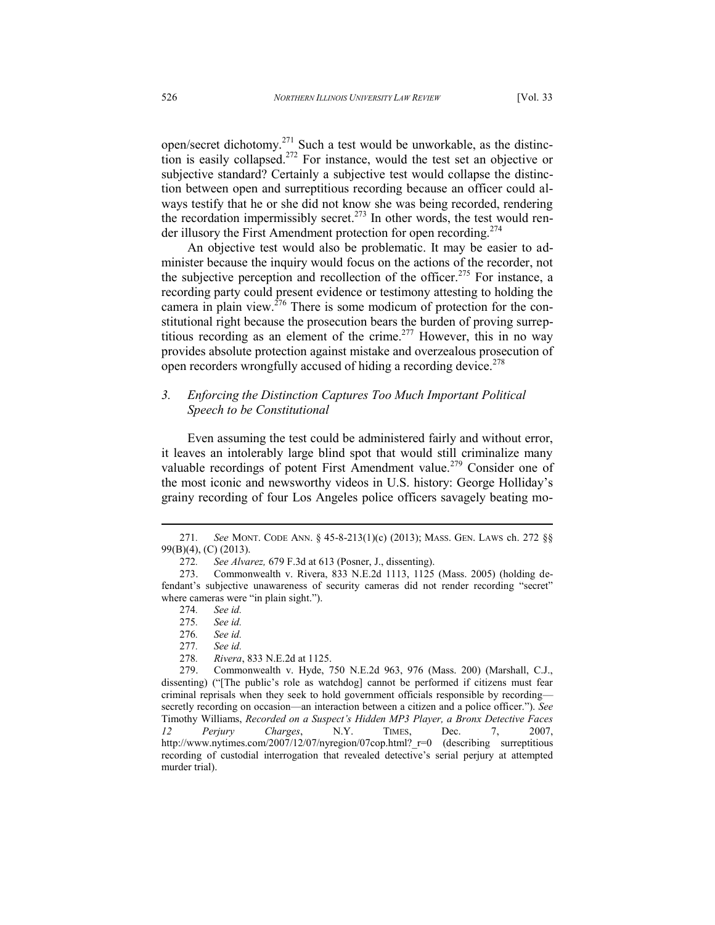open/secret dichotomy.<sup>271</sup> Such a test would be unworkable, as the distinction is easily collapsed.<sup>272</sup> For instance, would the test set an objective or subjective standard? Certainly a subjective test would collapse the distinction between open and surreptitious recording because an officer could always testify that he or she did not know she was being recorded, rendering the recordation impermissibly secret.<sup>273</sup> In other words, the test would render illusory the First Amendment protection for open recording.<sup>274</sup>

An objective test would also be problematic. It may be easier to administer because the inquiry would focus on the actions of the recorder, not the subjective perception and recollection of the officer.<sup>275</sup> For instance, a recording party could present evidence or testimony attesting to holding the camera in plain view.<sup>276</sup> There is some modicum of protection for the constitutional right because the prosecution bears the burden of proving surreptitious recording as an element of the crime.<sup>277</sup> However, this in no way provides absolute protection against mistake and overzealous prosecution of open recorders wrongfully accused of hiding a recording device.<sup>278</sup>

# *3. Enforcing the Distinction Captures Too Much Important Political Speech to be Constitutional*

Even assuming the test could be administered fairly and without error, it leaves an intolerably large blind spot that would still criminalize many valuable recordings of potent First Amendment value.<sup>279</sup> Consider one of the most iconic and newsworthy videos in U.S. history: George Holliday's grainy recording of four Los Angeles police officers savagely beating mo-

l

278*. Rivera*, 833 N.E.2d at 1125.

<sup>271</sup>*. See* MONT. CODE ANN. § 45-8-213(1)(c) (2013); MASS. GEN. LAWS ch. 272 §§ 99(B)(4), (C) (2013).

<sup>272</sup>*. See Alvarez,* 679 F.3d at 613 (Posner, J., dissenting).

<sup>273.</sup> Commonwealth v. Rivera, 833 N.E.2d 1113, 1125 (Mass. 2005) (holding defendant's subjective unawareness of security cameras did not render recording "secret" where cameras were "in plain sight.").

<sup>274</sup>*. See id.*

<sup>275</sup>*. See id.*

See id.

<sup>277</sup>*. See id.*

<sup>279.</sup> Commonwealth v. Hyde, 750 N.E.2d 963, 976 (Mass. 200) (Marshall, C.J., dissenting) ("[The public's role as watchdog] cannot be performed if citizens must fear criminal reprisals when they seek to hold government officials responsible by recording secretly recording on occasion—an interaction between a citizen and a police officer."). *See* Timothy Williams, *Recorded on a Suspect's Hidden MP3 Player, a Bronx Detective Faces 12 Perjury Charges*, N.Y. TIMES, Dec. 7, 2007, http://www.nytimes.com/2007/12/07/nyregion/07cop.html? r=0 (describing surreptitious recording of custodial interrogation that revealed detective's serial perjury at attempted murder trial).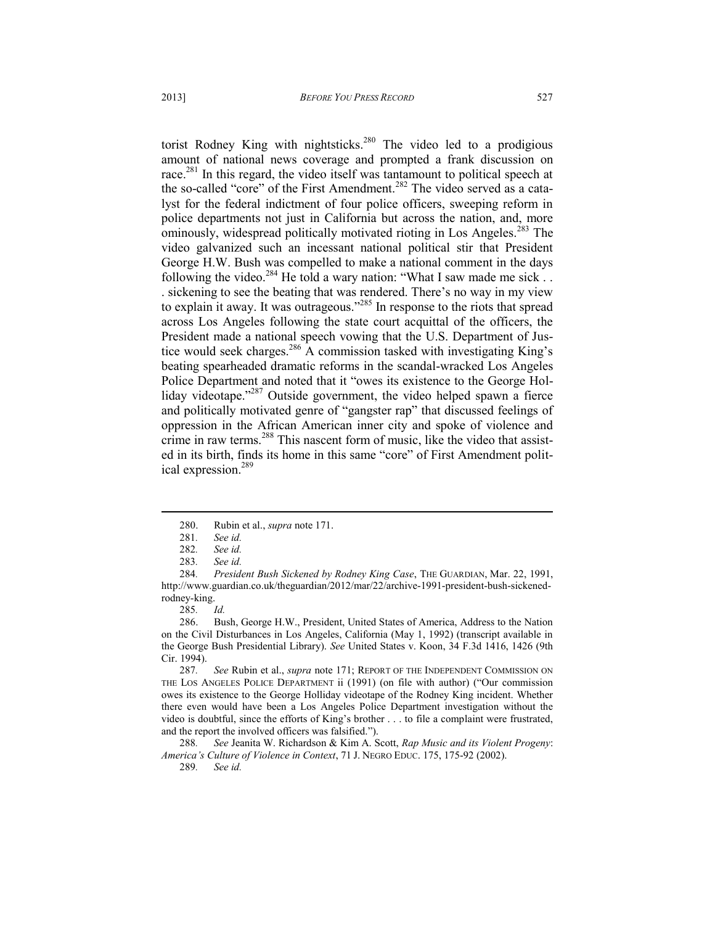torist Rodney King with nightsticks.<sup>280</sup> The video led to a prodigious amount of national news coverage and prompted a frank discussion on race.<sup>281</sup> In this regard, the video itself was tantamount to political speech at the so-called "core" of the First Amendment.<sup>282</sup> The video served as a catalyst for the federal indictment of four police officers, sweeping reform in police departments not just in California but across the nation, and, more ominously, widespread politically motivated rioting in Los Angeles.<sup>283</sup> The video galvanized such an incessant national political stir that President George H.W. Bush was compelled to make a national comment in the days following the video.<sup>284</sup> He told a wary nation: "What I saw made me sick . . . sickening to see the beating that was rendered. There's no way in my view to explain it away. It was outrageous."<sup>285</sup> In response to the riots that spread across Los Angeles following the state court acquittal of the officers, the President made a national speech vowing that the U.S. Department of Justice would seek charges.<sup>286</sup> A commission tasked with investigating King's beating spearheaded dramatic reforms in the scandal-wracked Los Angeles Police Department and noted that it "owes its existence to the George Holliday videotape."<sup>287</sup> Outside government, the video helped spawn a fierce and politically motivated genre of "gangster rap" that discussed feelings of oppression in the African American inner city and spoke of violence and crime in raw terms.<sup>288</sup> This nascent form of music, like the video that assisted in its birth, finds its home in this same "core" of First Amendment polit-

ical expression.<sup>289</sup>

285*. Id.*

286. Bush, George H.W., President, United States of America, Address to the Nation on the Civil Disturbances in Los Angeles, California (May 1, 1992) (transcript available in the George Bush Presidential Library). *See* United States v. Koon, 34 F.3d 1416, 1426 (9th Cir. 1994).

287*. See* Rubin et al., *supra* note 171; REPORT OF THE INDEPENDENT COMMISSION ON THE LOS ANGELES POLICE DEPARTMENT ii (1991) (on file with author) ("Our commission owes its existence to the George Holliday videotape of the Rodney King incident. Whether there even would have been a Los Angeles Police Department investigation without the video is doubtful, since the efforts of King's brother . . . to file a complaint were frustrated, and the report the involved officers was falsified.").

288*. See* Jeanita W. Richardson & Kim A. Scott, *Rap Music and its Violent Progeny*: *America's Culture of Violence in Context*, 71 J. NEGRO EDUC. 175, 175-92 (2002).

289*. See id.*

<sup>280.</sup> Rubin et al., *supra* note 171.

<sup>281</sup>*. See id.*

<sup>282</sup>*. See id.*

<sup>283</sup>*. See id.*

<sup>284</sup>*. President Bush Sickened by Rodney King Case*, THE GUARDIAN, Mar. 22, 1991, http://www.guardian.co.uk/theguardian/2012/mar/22/archive-1991-president-bush-sickenedrodney-king.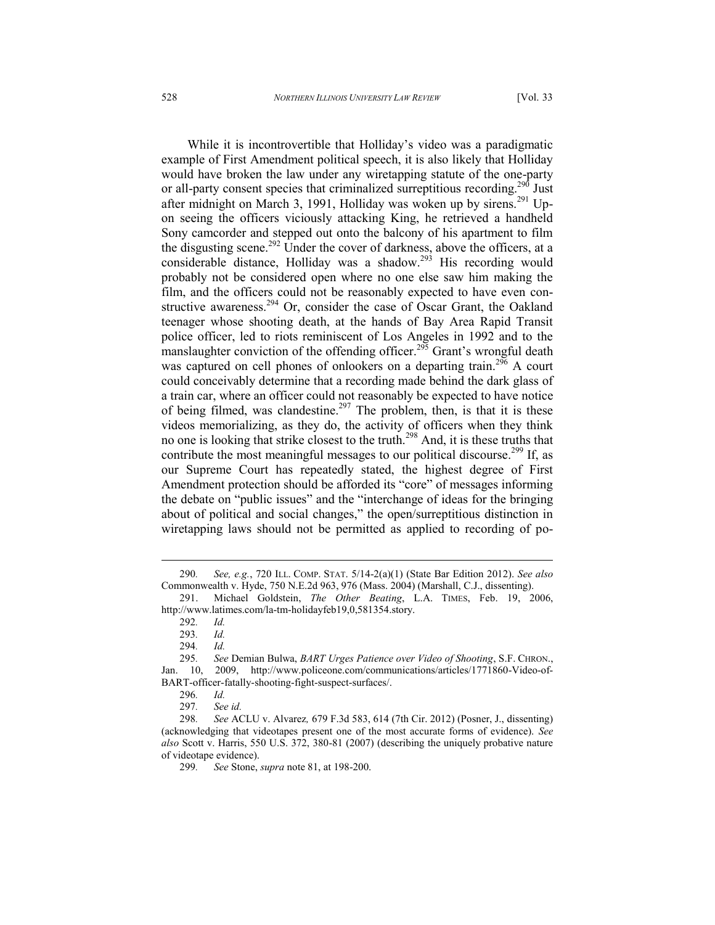While it is incontrovertible that Holliday's video was a paradigmatic example of First Amendment political speech, it is also likely that Holliday would have broken the law under any wiretapping statute of the one-party or all-party consent species that criminalized surreptitious recording.<sup>290</sup> Just after midnight on March 3, 1991, Holliday was woken up by sirens.<sup>291</sup> Upon seeing the officers viciously attacking King, he retrieved a handheld Sony camcorder and stepped out onto the balcony of his apartment to film the disgusting scene.<sup>292</sup> Under the cover of darkness, above the officers, at a considerable distance, Holliday was a shadow.<sup>293</sup> His recording would probably not be considered open where no one else saw him making the film, and the officers could not be reasonably expected to have even constructive awareness.<sup>294</sup> Or, consider the case of Oscar Grant, the Oakland teenager whose shooting death, at the hands of Bay Area Rapid Transit police officer, led to riots reminiscent of Los Angeles in 1992 and to the manslaughter conviction of the offending officer.<sup>295</sup> Grant's wrongful death was captured on cell phones of onlookers on a departing train.<sup>296</sup> A court could conceivably determine that a recording made behind the dark glass of a train car, where an officer could not reasonably be expected to have notice of being filmed, was clandestine.<sup>297</sup> The problem, then, is that it is these videos memorializing, as they do, the activity of officers when they think no one is looking that strike closest to the truth.<sup>298</sup> And, it is these truths that contribute the most meaningful messages to our political discourse.<sup>299</sup> If, as our Supreme Court has repeatedly stated, the highest degree of First Amendment protection should be afforded its "core" of messages informing the debate on "public issues" and the "interchange of ideas for the bringing about of political and social changes," the open/surreptitious distinction in wiretapping laws should not be permitted as applied to recording of po-

<sup>290</sup>*. See, e.g.*, 720 ILL. COMP. STAT. 5/14-2(a)(1) (State Bar Edition 2012). *See also*  Commonwealth v. Hyde, 750 N.E.2d 963, 976 (Mass. 2004) (Marshall, C.J., dissenting).

<sup>291.</sup> Michael Goldstein, *The Other Beating*, L.A. TIMES, Feb. 19, 2006, http://www.latimes.com/la-tm-holidayfeb19,0,581354.story.

<sup>292</sup>*. Id.*

<sup>293</sup>*. Id.*

<sup>294</sup>*. Id.*

<sup>295</sup>*. See* Demian Bulwa, *BART Urges Patience over Video of Shooting*, S.F. CHRON., Jan. 10, 2009, http://www.policeone.com/communications/articles/1771860-Video-of-BART-officer-fatally-shooting-fight-suspect-surfaces/.<br>296. Id.

<sup>296</sup>*. Id.*

<sup>297</sup>*. See id.*

<sup>298</sup>*. See* ACLU v. Alvarez*,* 679 F.3d 583, 614 (7th Cir. 2012) (Posner, J., dissenting) (acknowledging that videotapes present one of the most accurate forms of evidence). *See also* Scott v. Harris, 550 U.S. 372, 380-81 (2007) (describing the uniquely probative nature of videotape evidence).

<sup>299</sup>*. See* Stone, *supra* note 81, at 198-200.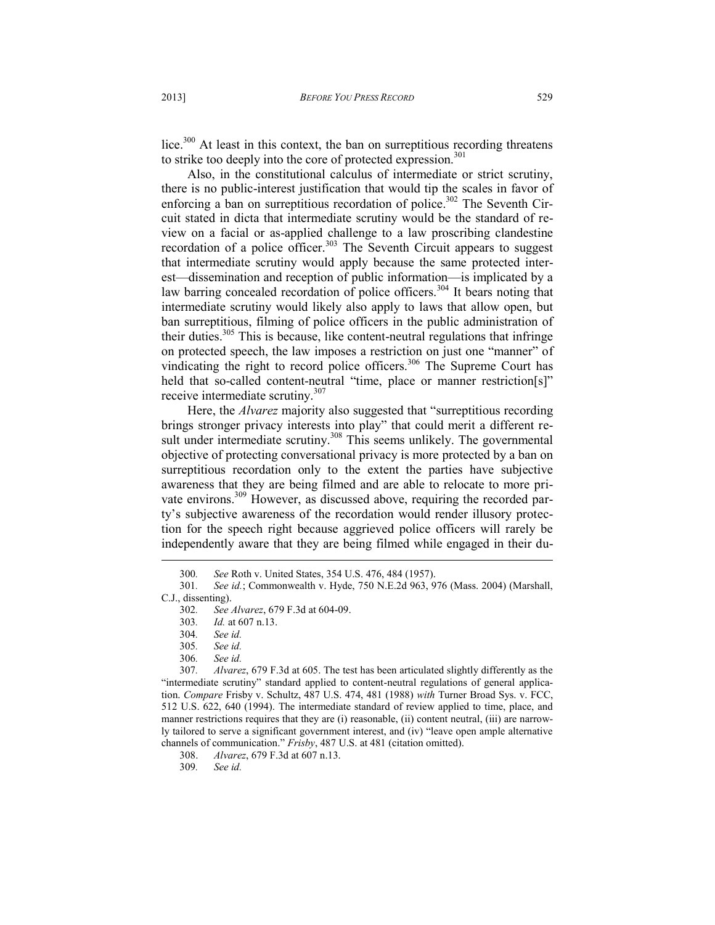lice.<sup>300</sup> At least in this context, the ban on surreptitious recording threatens to strike too deeply into the core of protected expression.<sup>301</sup>

Also, in the constitutional calculus of intermediate or strict scrutiny, there is no public-interest justification that would tip the scales in favor of enforcing a ban on surreptitious recordation of police.<sup>302</sup> The Seventh Circuit stated in dicta that intermediate scrutiny would be the standard of review on a facial or as-applied challenge to a law proscribing clandestine recordation of a police officer.<sup>303</sup> The Seventh Circuit appears to suggest that intermediate scrutiny would apply because the same protected interest—dissemination and reception of public information—is implicated by a law barring concealed recordation of police officers.<sup>304</sup> It bears noting that intermediate scrutiny would likely also apply to laws that allow open, but ban surreptitious, filming of police officers in the public administration of their duties.<sup>305</sup> This is because, like content-neutral regulations that infringe on protected speech, the law imposes a restriction on just one "manner" of vindicating the right to record police officers.<sup>306</sup> The Supreme Court has held that so-called content-neutral "time, place or manner restriction[s]" receive intermediate scrutiny.<sup>307</sup>

Here, the *Alvarez* majority also suggested that "surreptitious recording brings stronger privacy interests into play" that could merit a different result under intermediate scrutiny.<sup>308</sup> This seems unlikely. The governmental objective of protecting conversational privacy is more protected by a ban on surreptitious recordation only to the extent the parties have subjective awareness that they are being filmed and are able to relocate to more private environs.<sup>309</sup> However, as discussed above, requiring the recorded party's subjective awareness of the recordation would render illusory protection for the speech right because aggrieved police officers will rarely be independently aware that they are being filmed while engaged in their du l

<sup>300</sup>*. See* Roth v. United States, 354 U.S. 476, 484 (1957).

<sup>301</sup>*. See id.*; Commonwealth v. Hyde, 750 N.E.2d 963, 976 (Mass. 2004) (Marshall, C.J., dissenting).

<sup>302</sup>*. See Alvarez*, 679 F.3d at 604-09.

<sup>303</sup>*. Id.* at 607 n.13.

<sup>304</sup>*. See id.*

<sup>305</sup>*. See id.*

<sup>306</sup>*. See id.*

<sup>307</sup>*. Alvarez*, 679 F.3d at 605. The test has been articulated slightly differently as the "intermediate scrutiny" standard applied to content-neutral regulations of general application. *Compare* Frisby v. Schultz, 487 U.S. 474, 481 (1988) *with* Turner Broad Sys. v. FCC, 512 U.S. 622, 640 (1994). The intermediate standard of review applied to time, place, and manner restrictions requires that they are (i) reasonable, (ii) content neutral, (iii) are narrowly tailored to serve a significant government interest, and (iv) "leave open ample alternative channels of communication." *Frisby*, 487 U.S. at 481 (citation omitted).

<sup>308.</sup> *Alvarez*, 679 F.3d at 607 n.13.

<sup>309</sup>*. See id.*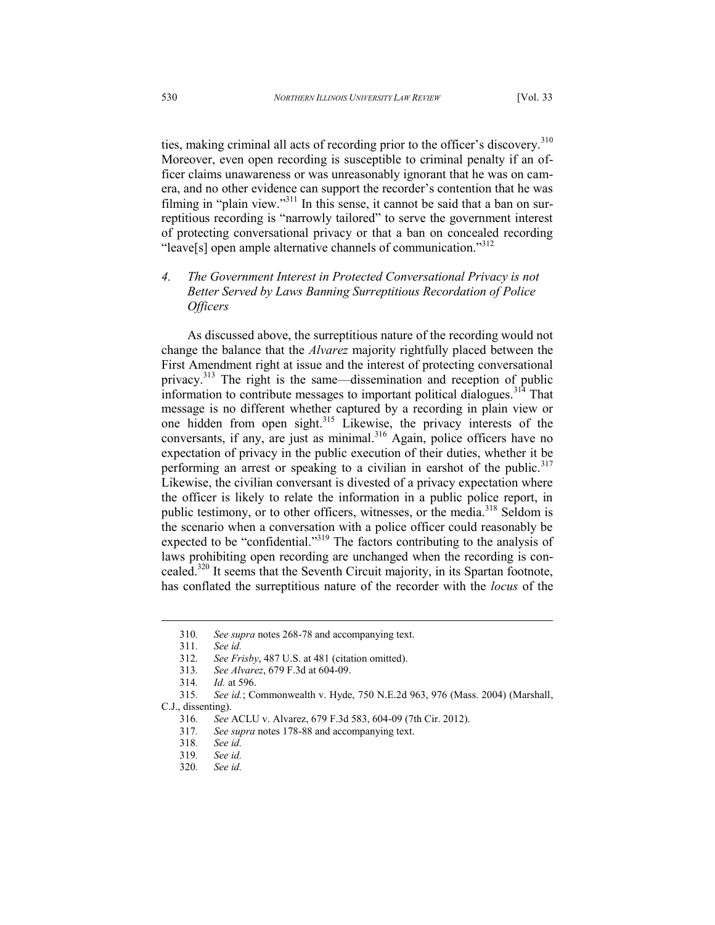ties, making criminal all acts of recording prior to the officer's discovery.<sup>310</sup> Moreover, even open recording is susceptible to criminal penalty if an officer claims unawareness or was unreasonably ignorant that he was on camera, and no other evidence can support the recorder's contention that he was filming in "plain view."<sup>311</sup> In this sense, it cannot be said that a ban on surreptitious recording is "narrowly tailored" to serve the government interest of protecting conversational privacy or that a ban on concealed recording "leave[s] open ample alternative channels of communication."<sup>312</sup>

# *4. The Government Interest in Protected Conversational Privacy is not Better Served by Laws Banning Surreptitious Recordation of Police Officers*

As discussed above, the surreptitious nature of the recording would not change the balance that the *Alvarez* majority rightfully placed between the First Amendment right at issue and the interest of protecting conversational privacy.<sup>313</sup> The right is the same—dissemination and reception of public information to contribute messages to important political dialogues.<sup>314</sup> That message is no different whether captured by a recording in plain view or one hidden from open sight.<sup>315</sup> Likewise, the privacy interests of the conversants, if any, are just as minimal.<sup>316</sup> Again, police officers have no expectation of privacy in the public execution of their duties, whether it be performing an arrest or speaking to a civilian in earshot of the public.<sup>317</sup> Likewise, the civilian conversant is divested of a privacy expectation where the officer is likely to relate the information in a public police report, in public testimony, or to other officers, witnesses, or the media.<sup>318</sup> Seldom is the scenario when a conversation with a police officer could reasonably be expected to be "confidential."<sup>319</sup> The factors contributing to the analysis of laws prohibiting open recording are unchanged when the recording is concealed.<sup>320</sup> It seems that the Seventh Circuit majority, in its Spartan footnote, has conflated the surreptitious nature of the recorder with the *locus* of the

l

313*. See Alvarez*, 679 F.3d at 604-09.

<sup>310</sup>*. See supra* notes 268-78 and accompanying text.

<sup>311</sup>*. See id.*

<sup>312</sup>*. See Frisby*, 487 U.S. at 481 (citation omitted).

<sup>314</sup>*. Id.* at 596.

<sup>315</sup>*. See id.*; Commonwealth v. Hyde, 750 N.E.2d 963, 976 (Mass. 2004) (Marshall, C.J., dissenting).

<sup>316</sup>*. See* ACLU v. Alvarez, 679 F.3d 583, 604-09 (7th Cir. 2012).

<sup>317</sup>*. See supra* notes 178-88 and accompanying text.

<sup>318</sup>*. See id.*

<sup>319</sup>*. See id.*

<sup>320</sup>*. See id.*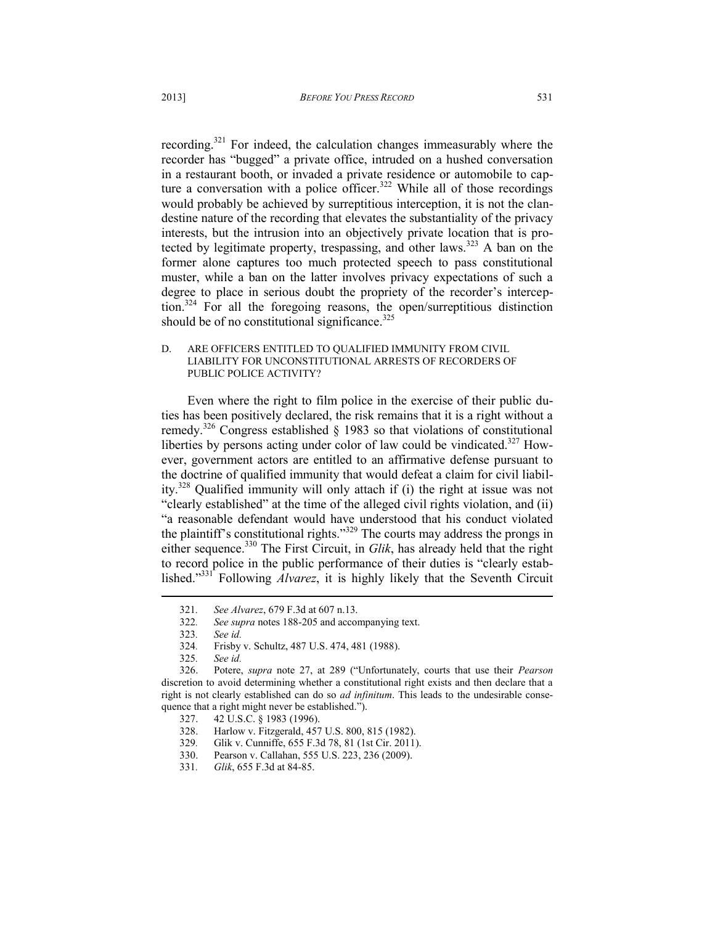recording.<sup>321</sup> For indeed, the calculation changes immeasurably where the recorder has "bugged" a private office, intruded on a hushed conversation in a restaurant booth, or invaded a private residence or automobile to capture a conversation with a police officer.<sup>322</sup> While all of those recordings would probably be achieved by surreptitious interception, it is not the clandestine nature of the recording that elevates the substantiality of the privacy interests, but the intrusion into an objectively private location that is protected by legitimate property, trespassing, and other laws.<sup>323</sup> A ban on the former alone captures too much protected speech to pass constitutional muster, while a ban on the latter involves privacy expectations of such a degree to place in serious doubt the propriety of the recorder's interception.<sup>324</sup> For all the foregoing reasons, the open/surreptitious distinction should be of no constitutional significance. $325$ 

### D. ARE OFFICERS ENTITLED TO QUALIFIED IMMUNITY FROM CIVIL LIABILITY FOR UNCONSTITUTIONAL ARRESTS OF RECORDERS OF PUBLIC POLICE ACTIVITY?

Even where the right to film police in the exercise of their public duties has been positively declared, the risk remains that it is a right without a remedy.<sup>326</sup> Congress established  $\S$  1983 so that violations of constitutional liberties by persons acting under color of law could be vindicated. $327$  However, government actors are entitled to an affirmative defense pursuant to the doctrine of qualified immunity that would defeat a claim for civil liability.<sup>328</sup> Qualified immunity will only attach if (i) the right at issue was not "clearly established" at the time of the alleged civil rights violation, and (ii) "a reasonable defendant would have understood that his conduct violated the plaintiff's constitutional rights."<sup>329</sup> The courts may address the prongs in either sequence.<sup>330</sup> The First Circuit, in *Glik*, has already held that the right to record police in the public performance of their duties is "clearly established."<sup>331</sup> Following *Alvarez*, it is highly likely that the Seventh Circuit  $\overline{a}$ 

<sup>321</sup>*. See Alvarez*, 679 F.3d at 607 n.13.

<sup>322</sup>*. See supra* notes 188-205 and accompanying text.

<sup>323</sup>*. See id.*

<sup>324</sup>*.* Frisby v. Schultz, 487 U.S. 474, 481 (1988).

<sup>325</sup>*. See id.*

<sup>326.</sup> Potere, *supra* note 27, at 289 ("Unfortunately, courts that use their *Pearson* discretion to avoid determining whether a constitutional right exists and then declare that a right is not clearly established can do so *ad infinitum*. This leads to the undesirable consequence that a right might never be established.").

<sup>327. 42</sup> U.S.C. § 1983 (1996).

<sup>328.</sup> Harlow v. Fitzgerald, 457 U.S. 800, 815 (1982).

<sup>329</sup>*.* Glik v. Cunniffe, 655 F.3d 78, 81 (1st Cir. 2011).

<sup>330.</sup> Pearson v. Callahan, 555 U.S. 223, 236 (2009).

<sup>331</sup>*. Glik*, 655 F.3d at 84-85.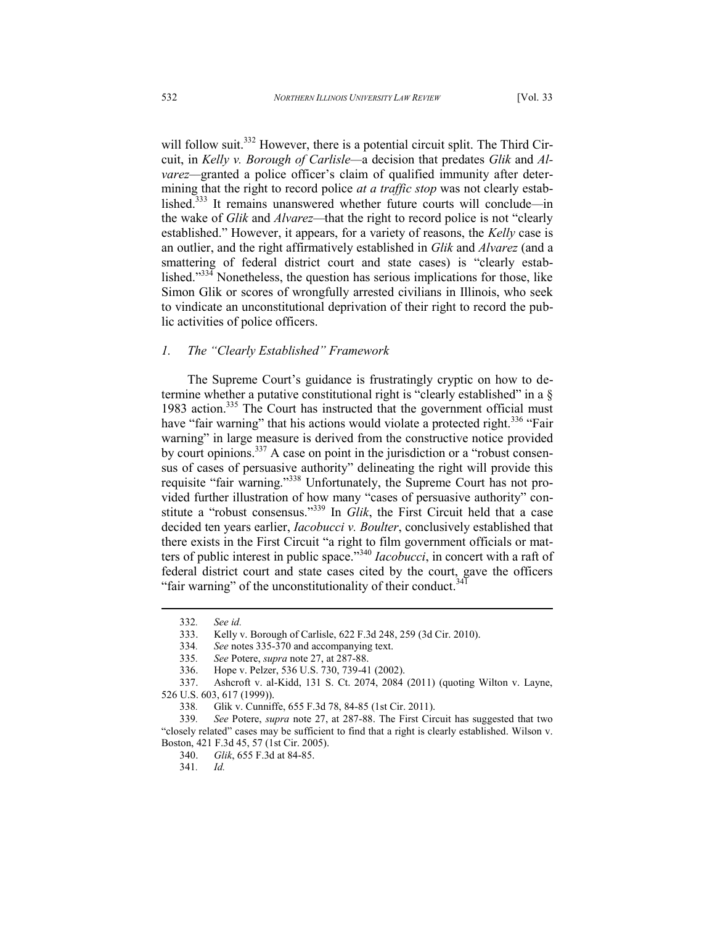will follow suit.<sup>332</sup> However, there is a potential circuit split. The Third Circuit, in *Kelly v. Borough of Carlisle—*a decision that predates *Glik* and *Alvarez—*granted a police officer's claim of qualified immunity after determining that the right to record police *at a traffic stop* was not clearly established.<sup>333</sup> It remains unanswered whether future courts will conclude*—*in the wake of *Glik* and *Alvarez—*that the right to record police is not "clearly established." However, it appears, for a variety of reasons, the *Kelly* case is an outlier, and the right affirmatively established in *Glik* and *Alvarez* (and a smattering of federal district court and state cases) is "clearly established." $334$ <sup>T</sup> Nonetheless, the question has serious implications for those, like Simon Glik or scores of wrongfully arrested civilians in Illinois, who seek to vindicate an unconstitutional deprivation of their right to record the public activities of police officers.

### *1. The "Clearly Established" Framework*

The Supreme Court's guidance is frustratingly cryptic on how to determine whether a putative constitutional right is "clearly established" in a § 1983 action.<sup>335</sup> The Court has instructed that the government official must have "fair warning" that his actions would violate a protected right.<sup>336</sup> "Fair warning" in large measure is derived from the constructive notice provided by court opinions.<sup>337</sup> A case on point in the jurisdiction or a "robust consensus of cases of persuasive authority" delineating the right will provide this requisite "fair warning."<sup>338</sup> Unfortunately, the Supreme Court has not provided further illustration of how many "cases of persuasive authority" constitute a "robust consensus."<sup>339</sup> In *Glik*, the First Circuit held that a case decided ten years earlier, *Iacobucci v. Boulter*, conclusively established that there exists in the First Circuit "a right to film government officials or matters of public interest in public space."<sup>340</sup> *Iacobucci*, in concert with a raft of federal district court and state cases cited by the court, gave the officers "fair warning" of the unconstitutionality of their conduct.<sup>34</sup>

<sup>332</sup>*. See id.*

<sup>333.</sup> Kelly v. Borough of Carlisle, 622 F.3d 248, 259 (3d Cir. 2010).

<sup>334</sup>*. See* notes 335-370 and accompanying text.

<sup>335</sup>*. See* Potere, *supra* note 27, at 287-88.

<sup>336.</sup> Hope v. Pelzer, 536 U.S. 730, 739-41 (2002).

<sup>337.</sup> Ashcroft v. al-Kidd, 131 S. Ct. 2074, 2084 (2011) (quoting Wilton v. Layne, 526 U.S. 603, 617 (1999)).

<sup>338</sup>*.* Glik v. Cunniffe, 655 F.3d 78, 84-85 (1st Cir. 2011).

<sup>339</sup>*. See* Potere, *supra* note 27, at 287-88. The First Circuit has suggested that two "closely related" cases may be sufficient to find that a right is clearly established. Wilson v. Boston, 421 F.3d 45, 57 (1st Cir. 2005).

<sup>340.</sup> *Glik*, 655 F.3d at 84-85.

<sup>341</sup>*. Id.*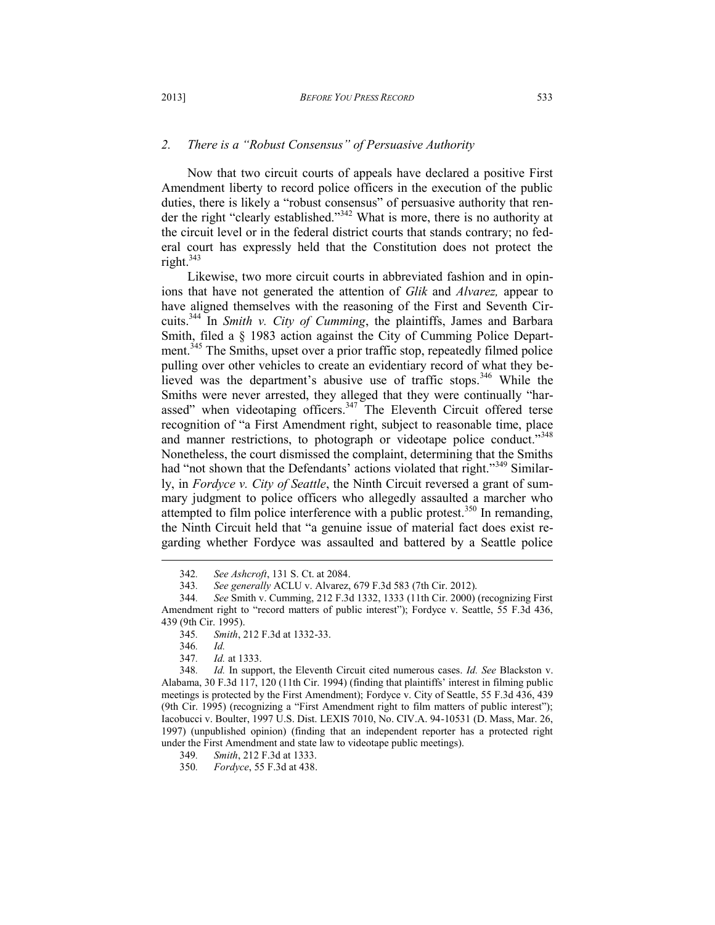### *2. There is a "Robust Consensus" of Persuasive Authority*

Now that two circuit courts of appeals have declared a positive First Amendment liberty to record police officers in the execution of the public duties, there is likely a "robust consensus" of persuasive authority that render the right "clearly established."<sup>342</sup> What is more, there is no authority at the circuit level or in the federal district courts that stands contrary; no federal court has expressly held that the Constitution does not protect the right. $343$ 

Likewise, two more circuit courts in abbreviated fashion and in opinions that have not generated the attention of *Glik* and *Alvarez,* appear to have aligned themselves with the reasoning of the First and Seventh Circuits.<sup>344</sup> In *Smith v. City of Cumming*, the plaintiffs, James and Barbara Smith, filed a § 1983 action against the City of Cumming Police Department.<sup>345</sup> The Smiths, upset over a prior traffic stop, repeatedly filmed police pulling over other vehicles to create an evidentiary record of what they believed was the department's abusive use of traffic stops.<sup>346</sup> While the Smiths were never arrested, they alleged that they were continually "harassed" when videotaping officers.<sup>347</sup> The Eleventh Circuit offered terse recognition of "a First Amendment right, subject to reasonable time, place and manner restrictions, to photograph or videotape police conduct."<sup>348</sup> Nonetheless, the court dismissed the complaint, determining that the Smiths had "not shown that the Defendants' actions violated that right."<sup>349</sup> Similarly, in *Fordyce v. City of Seattle*, the Ninth Circuit reversed a grant of summary judgment to police officers who allegedly assaulted a marcher who attempted to film police interference with a public protest.<sup>350</sup> In remanding, the Ninth Circuit held that "a genuine issue of material fact does exist regarding whether Fordyce was assaulted and battered by a Seattle police  $\overline{a}$ 

<sup>342</sup>*. See Ashcroft*, 131 S. Ct. at 2084.

<sup>343</sup>*. See generally* ACLU v. Alvarez, 679 F.3d 583 (7th Cir. 2012).

<sup>344</sup>*. See* Smith v. Cumming, 212 F.3d 1332, 1333 (11th Cir. 2000) (recognizing First Amendment right to "record matters of public interest"); Fordyce v. Seattle, 55 F.3d 436, 439 (9th Cir. 1995).

<sup>345</sup>*. Smith*, 212 F.3d at 1332-33.

<sup>346</sup>*. Id.*

<sup>347</sup>*. Id.* at 1333.

<sup>348</sup>*. Id.* In support, the Eleventh Circuit cited numerous cases. *Id. See* Blackston v. Alabama, 30 F.3d 117, 120 (11th Cir. 1994) (finding that plaintiffs' interest in filming public meetings is protected by the First Amendment); Fordyce v. City of Seattle, 55 F.3d 436, 439 (9th Cir. 1995) (recognizing a "First Amendment right to film matters of public interest"); Iacobucci v. Boulter, 1997 U.S. Dist. LEXIS 7010, No. CIV.A. 94-10531 (D. Mass, Mar. 26, 1997) (unpublished opinion) (finding that an independent reporter has a protected right under the First Amendment and state law to videotape public meetings).

<sup>349</sup>*. Smith*, 212 F.3d at 1333.

<sup>350</sup>*. Fordyce*, 55 F.3d at 438.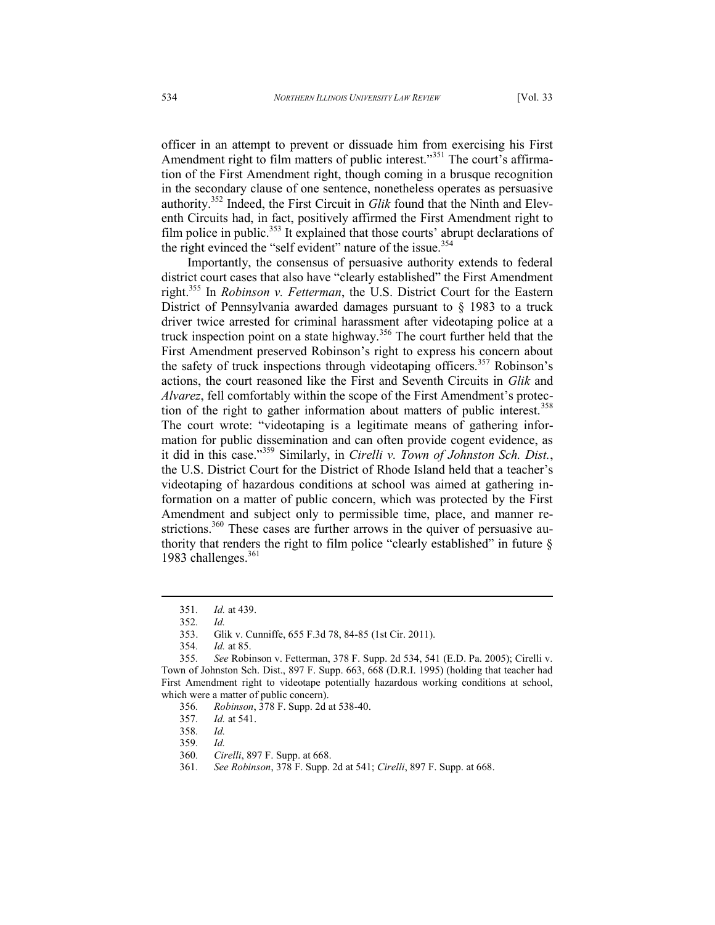officer in an attempt to prevent or dissuade him from exercising his First Amendment right to film matters of public interest."<sup>351</sup> The court's affirmation of the First Amendment right, though coming in a brusque recognition in the secondary clause of one sentence, nonetheless operates as persuasive authority.<sup>352</sup> Indeed, the First Circuit in *Glik* found that the Ninth and Eleventh Circuits had, in fact, positively affirmed the First Amendment right to film police in public.<sup>353</sup> It explained that those courts' abrupt declarations of the right evinced the "self evident" nature of the issue.<sup>354</sup>

Importantly, the consensus of persuasive authority extends to federal district court cases that also have "clearly established" the First Amendment right.<sup>355</sup> In *Robinson v. Fetterman*, the U.S. District Court for the Eastern District of Pennsylvania awarded damages pursuant to § 1983 to a truck driver twice arrested for criminal harassment after videotaping police at a truck inspection point on a state highway.<sup>356</sup> The court further held that the First Amendment preserved Robinson's right to express his concern about the safety of truck inspections through videotaping officers.<sup>357</sup> Robinson's actions, the court reasoned like the First and Seventh Circuits in *Glik* and *Alvarez*, fell comfortably within the scope of the First Amendment's protection of the right to gather information about matters of public interest.<sup>358</sup> The court wrote: "videotaping is a legitimate means of gathering information for public dissemination and can often provide cogent evidence, as it did in this case."<sup>359</sup> Similarly, in *Cirelli v. Town of Johnston Sch. Dist.*, the U.S. District Court for the District of Rhode Island held that a teacher's videotaping of hazardous conditions at school was aimed at gathering information on a matter of public concern, which was protected by the First Amendment and subject only to permissible time, place, and manner restrictions.<sup>360</sup> These cases are further arrows in the quiver of persuasive authority that renders the right to film police "clearly established" in future  $\S$ 1983 challenges.<sup>361</sup>

 $\overline{a}$ 

<sup>351</sup>*. Id.* at 439.

<sup>352</sup>*. Id.*

<sup>353.</sup> Glik v. Cunniffe, 655 F.3d 78, 84-85 (1st Cir. 2011).

<sup>354</sup>*. Id.* at 85.

<sup>355</sup>*. See* Robinson v. Fetterman, 378 F. Supp. 2d 534, 541 (E.D. Pa. 2005); Cirelli v. Town of Johnston Sch. Dist., 897 F. Supp. 663, 668 (D.R.I. 1995) (holding that teacher had First Amendment right to videotape potentially hazardous working conditions at school, which were a matter of public concern).

<sup>356</sup>*. Robinson*, 378 F. Supp. 2d at 538-40.

<sup>357</sup>*. Id.* at 541.

<sup>358</sup>*. Id.*

<sup>359</sup>*. Id.*

<sup>360</sup>*. Cirelli*, 897 F. Supp. at 668.

<sup>361</sup>*. See Robinson*, 378 F. Supp. 2d at 541; *Cirelli*, 897 F. Supp. at 668.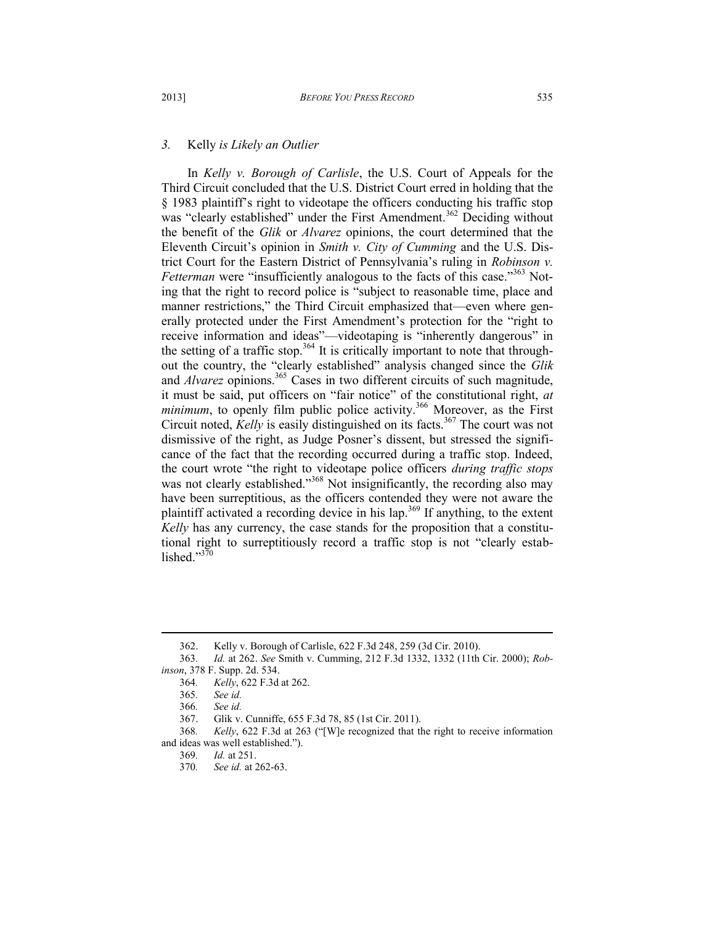### *3.* Kelly *is Likely an Outlier*

In *Kelly v. Borough of Carlisle*, the U.S. Court of Appeals for the Third Circuit concluded that the U.S. District Court erred in holding that the § 1983 plaintiff's right to videotape the officers conducting his traffic stop was "clearly established" under the First Amendment.<sup>362</sup> Deciding without the benefit of the *Glik* or *Alvarez* opinions, the court determined that the Eleventh Circuit's opinion in *Smith v. City of Cumming* and the U.S. District Court for the Eastern District of Pennsylvania's ruling in *Robinson v. Fetterman* were "insufficiently analogous to the facts of this case."<sup>363</sup> Noting that the right to record police is "subject to reasonable time, place and manner restrictions," the Third Circuit emphasized that—even where generally protected under the First Amendment's protection for the "right to receive information and ideas"—videotaping is "inherently dangerous" in the setting of a traffic stop.<sup>364</sup> It is critically important to note that throughout the country, the "clearly established" analysis changed since the *Glik*  and *Alvarez* opinions.<sup>365</sup> Cases in two different circuits of such magnitude, it must be said, put officers on "fair notice" of the constitutional right, *at minimum*, to openly film public police activity.<sup>366</sup> Moreover, as the First Circuit noted, *Kelly* is easily distinguished on its facts.<sup>367</sup> The court was not dismissive of the right, as Judge Posner's dissent, but stressed the significance of the fact that the recording occurred during a traffic stop. Indeed, the court wrote "the right to videotape police officers *during traffic stops* was not clearly established."<sup>368</sup> Not insignificantly, the recording also may have been surreptitious, as the officers contended they were not aware the plaintiff activated a recording device in his lap.<sup>369</sup> If anything, to the extent *Kelly* has any currency, the case stands for the proposition that a constitutional right to surreptitiously record a traffic stop is not "clearly established." $370$ 

<sup>362.</sup> Kelly v. Borough of Carlisle, 622 F.3d 248, 259 (3d Cir. 2010).

<sup>363</sup>*. Id.* at 262. *See* Smith v. Cumming, 212 F.3d 1332, 1332 (11th Cir. 2000); *Robinson*, 378 F. Supp. 2d. 534.

<sup>364</sup>*. Kelly*, 622 F.3d at 262.

<sup>365</sup>*. See id.*

<sup>366</sup>*. See id.*

<sup>367.</sup> Glik v. Cunniffe, 655 F.3d 78, 85 (1st Cir. 2011).

<sup>368</sup>*. Kelly*, 622 F.3d at 263 ("[W]e recognized that the right to receive information and ideas was well established.").

<sup>369</sup>*. Id.* at 251.

<sup>370</sup>*. See id.* at 262-63.